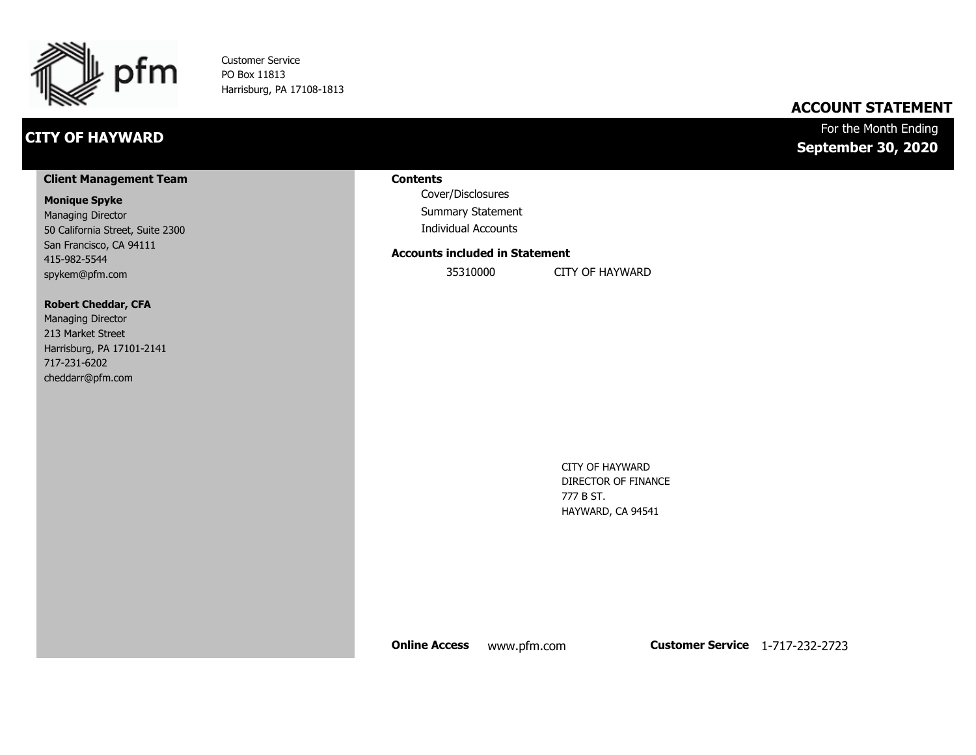

Customer Service PO Box 11813 Harrisburg, PA 17108-1813

# **CITY OF HAYWARD**

## **ACCOUNT STATEMENT**

## For the Month Ending **September 30, 2020**

#### **Client Management Team**

#### **Monique Spyke**

Managing Director 50 California Street, Suite 2300 San Francisco, CA 94111 415-982-5544 spykem@pfm.com

#### **Robert Cheddar, CFA**

| <b>Managing Director</b>  |
|---------------------------|
| 213 Market Street         |
| Harrisburg, PA 17101-2141 |
| 717-231-6202              |
| cheddarr@pfm.com          |

#### **Contents**

Cover/Disclosures Summary Statement Individual Accounts

#### **Accounts included in Statement**

35310000 CITY OF HAYWARD

CITY OF HAYWARD DIRECTOR OF FINANCE 777 B ST. HAYWARD, CA 94541

**Online Access** www.pfm.com **Customer Service** 1-717-232-2723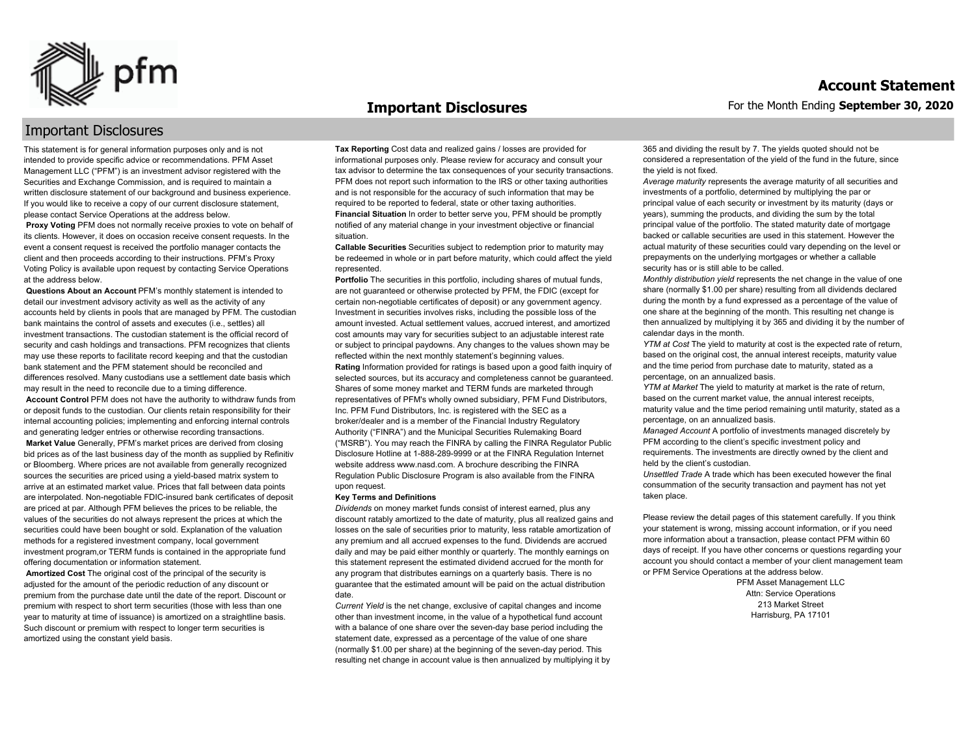

#### **Important Disclosures**

## Important Disclosures

This statement is for general information purposes only and is not intended to provide specific advice or recommendations. PFM Asset Management LLC ("PFM") is an investment advisor registered with the Securities and Exchange Commission, and is required to maintain a written disclosure statement of our background and business experience. If you would like to receive a copy of our current disclosure statement, please contact Service Operations at the address below.

**Proxy Voting** PFM does not normally receive proxies to vote on behalf of its clients. However, it does on occasion receive consent requests. In the event a consent request is received the portfolio manager contacts the client and then proceeds according to their instructions. PFM's Proxy Voting Policy is available upon request by contacting Service Operations at the address below.

**Questions About an Account** PFM's monthly statement is intended to detail our investment advisory activity as well as the activity of any accounts held by clients in pools that are managed by PFM. The custodian bank maintains the control of assets and executes (i.e., settles) all investment transactions. The custodian statement is the official record of security and cash holdings and transactions. PFM recognizes that clients may use these reports to facilitate record keeping and that the custodian bank statement and the PFM statement should be reconciled and differences resolved. Many custodians use a settlement date basis which may result in the need to reconcile due to a timing difference.

**Account Control** PFM does not have the authority to withdraw funds from or deposit funds to the custodian. Our clients retain responsibility for their internal accounting policies; implementing and enforcing internal controls and generating ledger entries or otherwise recording transactions.

**Market Value** Generally, PFM's market prices are derived from closing bid prices as of the last business day of the month as supplied by Refinitiv or Bloomberg. Where prices are not available from generally recognized sources the securities are priced using a yield-based matrix system to arrive at an estimated market value. Prices that fall between data points are interpolated. Non-negotiable FDIC-insured bank certificates of deposit are priced at par. Although PFM believes the prices to be reliable, the values of the securities do not always represent the prices at which the securities could have been bought or sold. Explanation of the valuation methods for a registered investment company, local government investment program,or TERM funds is contained in the appropriate fund offering documentation or information statement.

**Amortized Cost** The original cost of the principal of the security is adjusted for the amount of the periodic reduction of any discount or premium from the purchase date until the date of the report. Discount or premium with respect to short term securities (those with less than one year to maturity at time of issuance) is amortized on a straightline basis. Such discount or premium with respect to longer term securities is amortized using the constant yield basis.

**Tax Reporting** Cost data and realized gains / losses are provided for informational purposes only. Please review for accuracy and consult your tax advisor to determine the tax consequences of your security transactions. PFM does not report such information to the IRS or other taxing authorities and is not responsible for the accuracy of such information that may be required to be reported to federal, state or other taxing authorities. **Financial Situation** In order to better serve you, PFM should be promptly notified of any material change in your investment objective or financial situation.

**Callable Securities** Securities subject to redemption prior to maturity may be redeemed in whole or in part before maturity, which could affect the yield represented.

Portfolio The securities in this portfolio, including shares of mutual funds, are not guaranteed or otherwise protected by PFM, the FDIC (except for certain non-negotiable certificates of deposit) or any government agency. Investment in securities involves risks, including the possible loss of the amount invested. Actual settlement values, accrued interest, and amortized cost amounts may vary for securities subject to an adjustable interest rate or subject to principal paydowns. Any changes to the values shown may be reflected within the next monthly statement's beginning values. **Rating** Information provided for ratings is based upon a good faith inquiry of selected sources, but its accuracy and completeness cannot be guaranteed. Shares of some money market and TERM funds are marketed through representatives of PFM's wholly owned subsidiary, PFM Fund Distributors, Inc. PFM Fund Distributors, Inc. is registered with the SEC as a broker/dealer and is a member of the Financial Industry Regulatory Authority ("FINRA") and the Municipal Securities Rulemaking Board ("MSRB"). You may reach the FINRA by calling the FINRA Regulator Public Disclosure Hotline at 1-888-289-9999 or at the FINRA Regulation Internet website address www.nasd.com. A brochure describing the FINRA Regulation Public Disclosure Program is also available from the FINRA upon request.

#### **Key Terms and Definitions**

*Dividends* on money market funds consist of interest earned, plus any discount ratably amortized to the date of maturity, plus all realized gains and losses on the sale of securities prior to maturity, less ratable amortization of any premium and all accrued expenses to the fund. Dividends are accrued daily and may be paid either monthly or quarterly. The monthly earnings on this statement represent the estimated dividend accrued for the month for any program that distributes earnings on a quarterly basis. There is no guarantee that the estimated amount will be paid on the actual distribution date.

*Current Yield* is the net change, exclusive of capital changes and income other than investment income, in the value of a hypothetical fund account with a balance of one share over the seven-day base period including the statement date, expressed as a percentage of the value of one share (normally \$1.00 per share) at the beginning of the seven-day period. This resulting net change in account value is then annualized by multiplying it by 365 and dividing the result by 7. The yields quoted should not be considered a representation of the yield of the fund in the future, since the yield is not fixed.

*Average maturity* represents the average maturity of all securities and investments of a portfolio, determined by multiplying the par or principal value of each security or investment by its maturity (days or years), summing the products, and dividing the sum by the total principal value of the portfolio. The stated maturity date of mortgage backed or callable securities are used in this statement. However the actual maturity of these securities could vary depending on the level or prepayments on the underlying mortgages or whether a callable security has or is still able to be called.

*Monthly distribution yield* represents the net change in the value of one share (normally \$1.00 per share) resulting from all dividends declared during the month by a fund expressed as a percentage of the value of one share at the beginning of the month. This resulting net change is then annualized by multiplying it by 365 and dividing it by the number of calendar days in the month.

*YTM at Cost* The yield to maturity at cost is the expected rate of return, based on the original cost, the annual interest receipts, maturity value and the time period from purchase date to maturity, stated as a percentage, on an annualized basis.

*YTM at Market* The yield to maturity at market is the rate of return, based on the current market value, the annual interest receipts, maturity value and the time period remaining until maturity, stated as a percentage, on an annualized basis.

*Managed Account* A portfolio of investments managed discretely by PFM according to the client's specific investment policy and requirements. The investments are directly owned by the client and held by the client's custodian.

*Unsettled Trade* A trade which has been executed however the final consummation of the security transaction and payment has not yet taken place.

Please review the detail pages of this statement carefully. If you think your statement is wrong, missing account information, or if you need more information about a transaction, please contact PFM within 60 days of receipt. If you have other concerns or questions regarding your account you should contact a member of your client management team or PFM Service Operations at the address below.

> PFM Asset Management LLC Attn: Service Operations 213 Market Street Harrisburg, PA 17101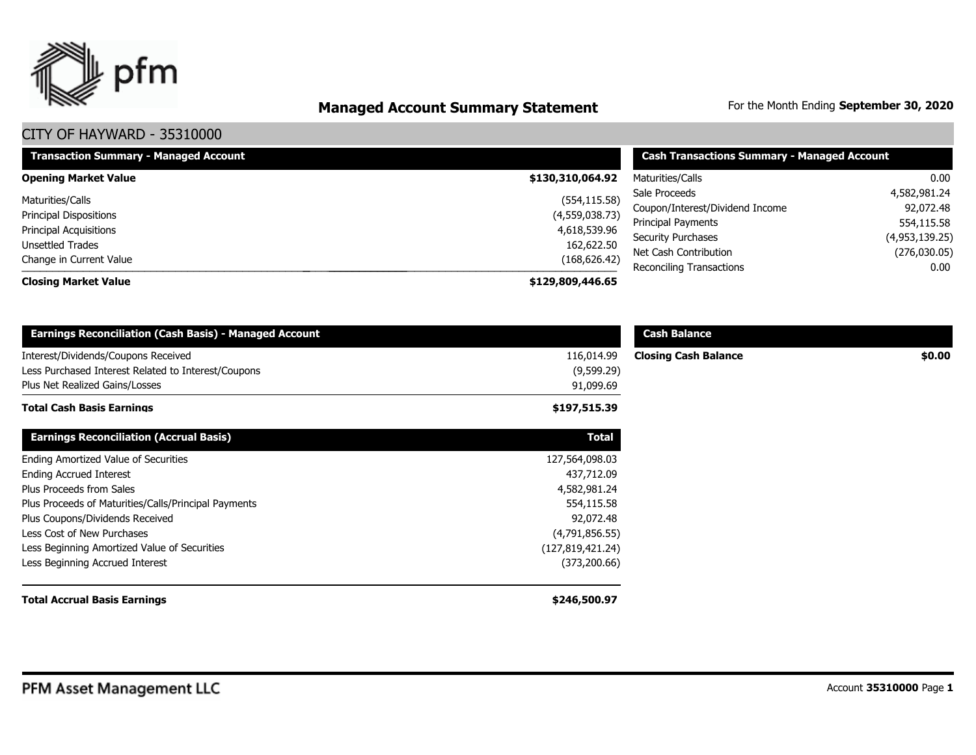

# **Managed Account Summary Statement** For the Month Ending September 30, 2020

| <b>Transaction Summary - Managed Account</b> | <b>Cash Transactions Summary - Managed Account</b> |                                 |                |
|----------------------------------------------|----------------------------------------------------|---------------------------------|----------------|
| <b>Opening Market Value</b>                  | \$130,310,064.92                                   | Maturities/Calls                | 0.00           |
| Maturities/Calls                             | (554, 115.58)                                      | Sale Proceeds                   | 4,582,981.24   |
| Principal Dispositions                       | (4,559,038.73)                                     | Coupon/Interest/Dividend Income | 92,072.48      |
| Principal Acquisitions                       | 4,618,539.96                                       | Principal Payments              | 554,115.58     |
| <b>Unsettled Trades</b>                      | 162,622.50                                         | <b>Security Purchases</b>       | (4,953,139.25) |
| Change in Current Value                      | (168, 626.42)                                      | Net Cash Contribution           | (276,030.05)   |
|                                              |                                                    | Reconciling Transactions        | 0.00           |
| <b>Closing Market Value</b>                  | \$129,809,446.65                                   |                                 |                |

| <b>Earnings Reconciliation (Cash Basis) - Managed Account</b>                              |                          | <b>Cash Balance</b>         |        |
|--------------------------------------------------------------------------------------------|--------------------------|-----------------------------|--------|
| Interest/Dividends/Coupons Received<br>Less Purchased Interest Related to Interest/Coupons | 116,014.99<br>(9,599.29) | <b>Closing Cash Balance</b> | \$0.00 |
| Plus Net Realized Gains/Losses                                                             | 91,099.69                |                             |        |
| <b>Total Cash Basis Earnings</b>                                                           | \$197,515.39             |                             |        |
| <b>Earnings Reconciliation (Accrual Basis)</b>                                             | <b>Total</b>             |                             |        |
| Ending Amortized Value of Securities                                                       | 127,564,098.03           |                             |        |
| <b>Ending Accrued Interest</b>                                                             | 437,712.09               |                             |        |
| Plus Proceeds from Sales                                                                   | 4,582,981.24             |                             |        |
| Plus Proceeds of Maturities/Calls/Principal Payments                                       | 554,115.58               |                             |        |
| Plus Coupons/Dividends Received                                                            | 92,072.48                |                             |        |
| Less Cost of New Purchases                                                                 | (4,791,856.55)           |                             |        |
| Less Beginning Amortized Value of Securities                                               | (127, 819, 421.24)       |                             |        |
| Less Beginning Accrued Interest                                                            | (373, 200.66)            |                             |        |
| <b>Total Accrual Basis Earnings</b>                                                        | \$246,500.97             |                             |        |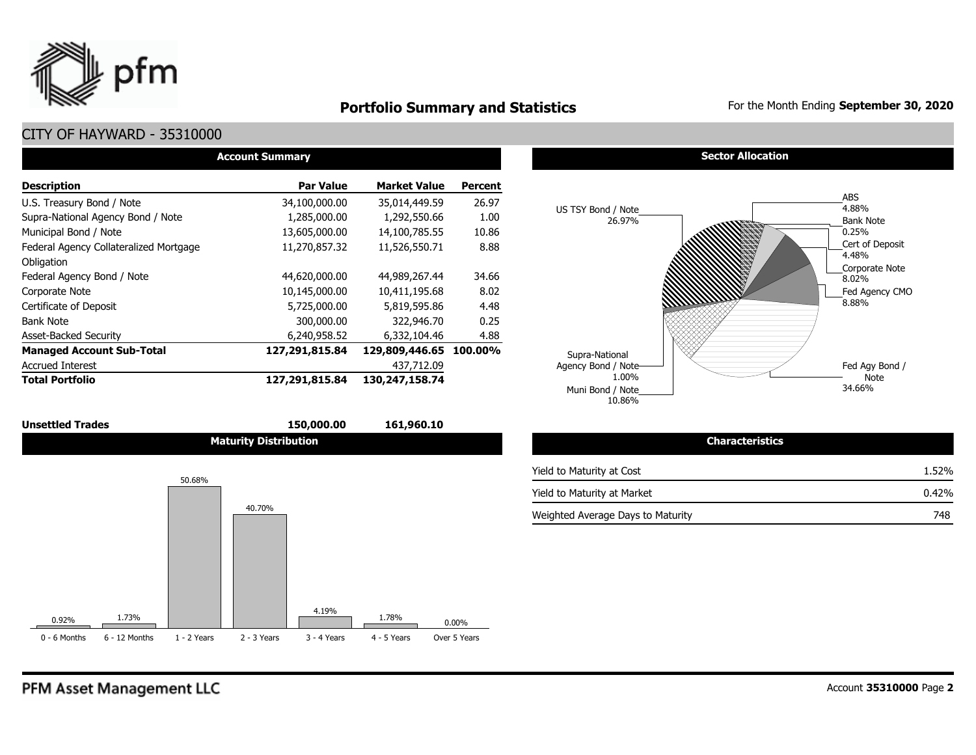

# **Portfolio Summary and Statistics** For the Month Ending September 30, 2020

## CITY OF HAYWARD - 35310000

| <b>Account Summary</b>                 |                  |                        |                |  |  |  |  |  |  |
|----------------------------------------|------------------|------------------------|----------------|--|--|--|--|--|--|
| <b>Description</b>                     | <b>Par Value</b> | <b>Market Value</b>    | <b>Percent</b> |  |  |  |  |  |  |
| U.S. Treasury Bond / Note              | 34,100,000.00    | 35,014,449.59          | 26.97          |  |  |  |  |  |  |
| Supra-National Agency Bond / Note      | 1,285,000.00     | 1,292,550.66           | 1.00           |  |  |  |  |  |  |
| Municipal Bond / Note                  | 13,605,000.00    | 14,100,785.55          | 10.86          |  |  |  |  |  |  |
| Federal Agency Collateralized Mortgage | 11,270,857.32    | 11,526,550.71          | 8.88           |  |  |  |  |  |  |
| Obligation                             |                  |                        |                |  |  |  |  |  |  |
| Federal Agency Bond / Note             | 44,620,000.00    | 44,989,267.44          | 34.66          |  |  |  |  |  |  |
| Corporate Note                         | 10,145,000.00    | 10,411,195.68          | 8.02           |  |  |  |  |  |  |
| Certificate of Deposit                 | 5,725,000.00     | 5,819,595.86           | 4.48           |  |  |  |  |  |  |
| <b>Bank Note</b>                       | 300,000.00       | 322,946.70             | 0.25           |  |  |  |  |  |  |
| <b>Asset-Backed Security</b>           | 6,240,958.52     | 6,332,104.46           | 4.88           |  |  |  |  |  |  |
| <b>Managed Account Sub-Total</b>       | 127,291,815.84   | 129,809,446.65 100.00% |                |  |  |  |  |  |  |
| <b>Accrued Interest</b>                |                  | 437,712.09             |                |  |  |  |  |  |  |
| <b>Total Portfolio</b>                 | 127,291,815.84   | 130, 247, 158. 74      |                |  |  |  |  |  |  |





#### **Sector Allocation**



| <b>Characteristics</b>            |       |
|-----------------------------------|-------|
| Yield to Maturity at Cost         | 1.52% |
| Yield to Maturity at Market       | 0.42% |
| Weighted Average Days to Maturity | 748   |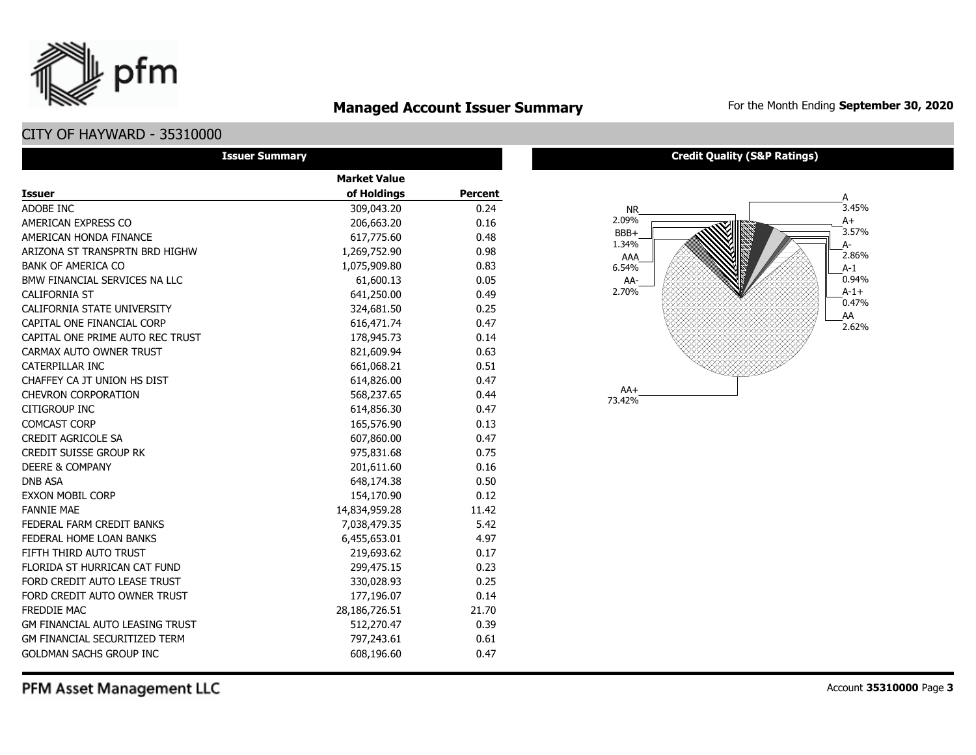

# **Managed Account Issuer Summary** For the Month Ending September 30, 2020

## CITY OF HAYWARD - 35310000

| <b>Issuer Summary</b>                  |                     |                |
|----------------------------------------|---------------------|----------------|
|                                        | <b>Market Value</b> |                |
| <b>Issuer</b>                          | of Holdings         | <b>Percent</b> |
| ADOBE INC                              | 309,043.20          | 0.24           |
| AMERICAN EXPRESS CO                    | 206,663.20          | 0.16           |
| AMERICAN HONDA FINANCE                 | 617,775.60          | 0.48           |
| ARIZONA ST TRANSPRTN BRD HIGHW         | 1,269,752.90        | 0.98           |
| <b>BANK OF AMERICA CO</b>              | 1,075,909.80        | 0.83           |
| BMW FINANCIAL SERVICES NA LLC          | 61,600.13           | 0.05           |
| <b>CALIFORNIA ST</b>                   | 641,250.00          | 0.49           |
| CALIFORNIA STATE UNIVERSITY            | 324,681.50          | 0.25           |
| CAPITAL ONE FINANCIAL CORP             | 616,471.74          | 0.47           |
| CAPITAL ONE PRIME AUTO REC TRUST       | 178,945.73          | 0.14           |
| CARMAX AUTO OWNER TRUST                | 821,609.94          | 0.63           |
| <b>CATERPILLAR INC</b>                 | 661,068.21          | 0.51           |
| CHAFFEY CA JT UNION HS DIST            | 614,826.00          | 0.47           |
| <b>CHEVRON CORPORATION</b>             | 568,237.65          | 0.44           |
| CITIGROUP INC                          | 614,856.30          | 0.47           |
| <b>COMCAST CORP</b>                    | 165,576.90          | 0.13           |
| <b>CREDIT AGRICOLE SA</b>              | 607,860.00          | 0.47           |
| <b>CREDIT SUISSE GROUP RK</b>          | 975,831.68          | 0.75           |
| <b>DEERE &amp; COMPANY</b>             | 201,611.60          | 0.16           |
| <b>DNB ASA</b>                         | 648,174.38          | 0.50           |
| <b>EXXON MOBIL CORP</b>                | 154,170.90          | 0.12           |
| <b>FANNIE MAE</b>                      | 14,834,959.28       | 11.42          |
| FEDERAL FARM CREDIT BANKS              | 7,038,479.35        | 5.42           |
| FEDERAL HOME LOAN BANKS                | 6,455,653.01        | 4.97           |
| FIFTH THIRD AUTO TRUST                 | 219,693.62          | 0.17           |
| FLORIDA ST HURRICAN CAT FUND           | 299,475.15          | 0.23           |
| FORD CREDIT AUTO LEASE TRUST           | 330,028.93          | 0.25           |
| FORD CREDIT AUTO OWNER TRUST           | 177,196.07          | 0.14           |
| FREDDIE MAC                            | 28,186,726.51       | 21.70          |
| <b>GM FINANCIAL AUTO LEASING TRUST</b> | 512,270.47          | 0.39           |
| <b>GM FINANCIAL SECURITIZED TERM</b>   | 797,243.61          | 0.61           |
| <b>GOLDMAN SACHS GROUP INC</b>         | 608,196.60          | 0.47           |

#### **Credit Quality (S&P Ratings)**



PFM Asset Management LLC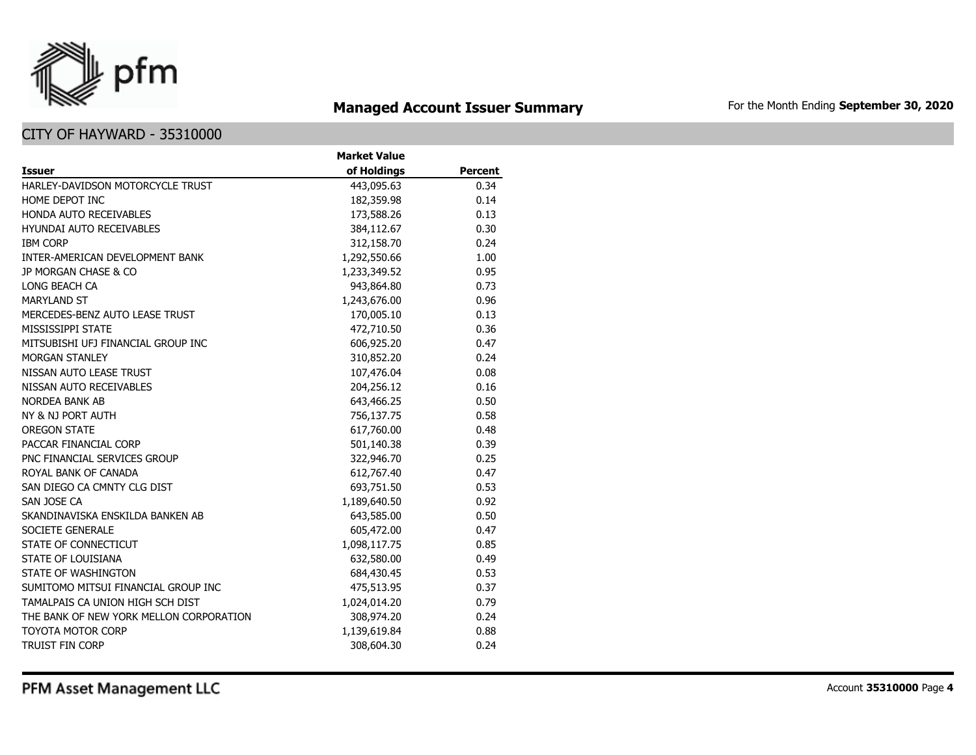

# **Managed Account Issuer Summary** For the Month Ending September 30, 2020

## CITY OF HAYWARD - 35310000

|                                         | <b>Market Value</b> |                |
|-----------------------------------------|---------------------|----------------|
| <b>Issuer</b>                           | of Holdings         | <b>Percent</b> |
| HARLEY-DAVIDSON MOTORCYCLE TRUST        | 443,095.63          | 0.34           |
| HOME DEPOT INC                          | 182,359.98          | 0.14           |
| HONDA AUTO RECEIVABLES                  | 173,588.26          | 0.13           |
| <b>HYUNDAI AUTO RECEIVABLES</b>         | 384,112.67          | 0.30           |
| <b>IBM CORP</b>                         | 312,158.70          | 0.24           |
| INTER-AMERICAN DEVELOPMENT BANK         | 1,292,550.66        | 1.00           |
| JP MORGAN CHASE & CO                    | 1,233,349.52        | 0.95           |
| LONG BEACH CA                           | 943,864.80          | 0.73           |
| <b>MARYLAND ST</b>                      | 1,243,676.00        | 0.96           |
| MERCEDES-BENZ AUTO LEASE TRUST          | 170,005.10          | 0.13           |
| MISSISSIPPI STATE                       | 472,710.50          | 0.36           |
| MITSUBISHI UFJ FINANCIAL GROUP INC      | 606,925.20          | 0.47           |
| <b>MORGAN STANLEY</b>                   | 310,852.20          | 0.24           |
| NISSAN AUTO LEASE TRUST                 | 107,476.04          | 0.08           |
| NISSAN AUTO RECEIVABLES                 | 204,256.12          | 0.16           |
| <b>NORDEA BANK AB</b>                   | 643,466.25          | 0.50           |
| NY & NJ PORT AUTH                       | 756,137.75          | 0.58           |
| <b>OREGON STATE</b>                     | 617,760.00          | 0.48           |
| PACCAR FINANCIAL CORP                   | 501,140.38          | 0.39           |
| PNC FINANCIAL SERVICES GROUP            | 322,946.70          | 0.25           |
| ROYAL BANK OF CANADA                    | 612,767.40          | 0.47           |
| SAN DIEGO CA CMNTY CLG DIST             | 693,751.50          | 0.53           |
| SAN JOSE CA                             | 1,189,640.50        | 0.92           |
| SKANDINAVISKA ENSKILDA BANKEN AB        | 643,585.00          | 0.50           |
| SOCIETE GENERALE                        | 605,472.00          | 0.47           |
| STATE OF CONNECTICUT                    | 1,098,117.75        | 0.85           |
| STATE OF LOUISIANA                      | 632,580.00          | 0.49           |
| STATE OF WASHINGTON                     | 684,430.45          | 0.53           |
| SUMITOMO MITSUI FINANCIAL GROUP INC     | 475,513.95          | 0.37           |
| TAMALPAIS CA UNION HIGH SCH DIST        | 1,024,014.20        | 0.79           |
| THE BANK OF NEW YORK MELLON CORPORATION | 308,974.20          | 0.24           |
| <b>TOYOTA MOTOR CORP</b>                | 1,139,619.84        | 0.88           |
| <b>TRUIST FIN CORP</b>                  | 308,604.30          | 0.24           |

PFM Asset Management LLC

Account **35310000** Page **4**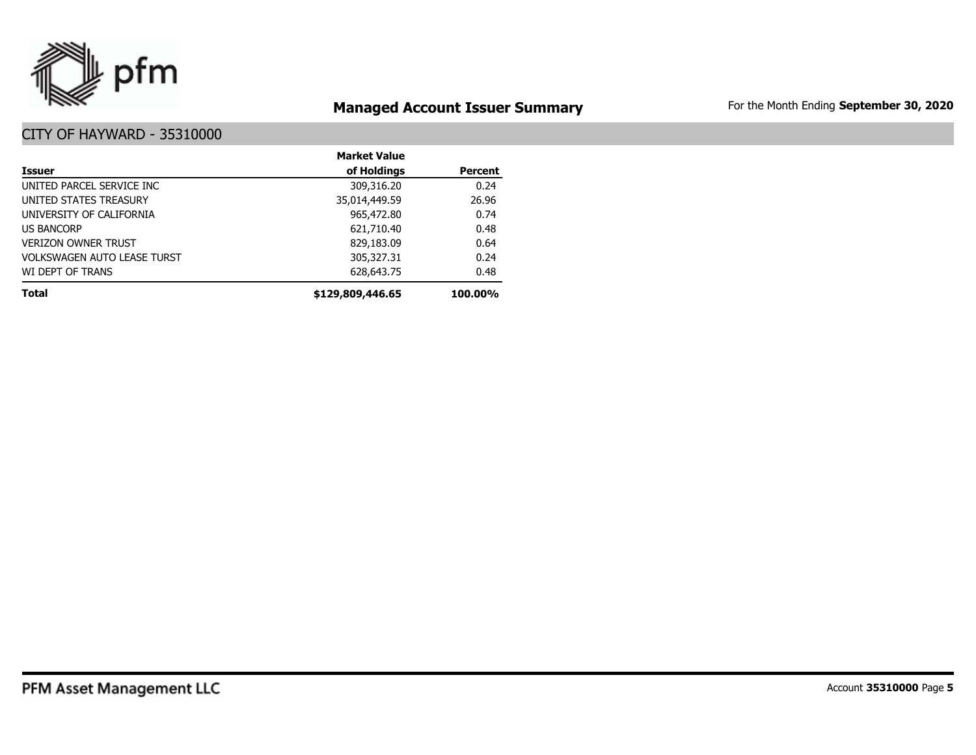

# **Managed Account Issuer Summary** For the Month Ending September 30, 2020

|                                    | <b>Market Value</b> |                |
|------------------------------------|---------------------|----------------|
| Issuer                             | of Holdings         | <b>Percent</b> |
| UNITED PARCEL SERVICE INC          | 309,316.20          | 0.24           |
| UNITED STATES TREASURY             | 35,014,449.59       | 26.96          |
| UNIVERSITY OF CALIFORNIA           | 965,472.80          | 0.74           |
| <b>US BANCORP</b>                  | 621,710.40          | 0.48           |
| <b>VERIZON OWNER TRUST</b>         | 829,183.09          | 0.64           |
| <b>VOLKSWAGEN AUTO LEASE TURST</b> | 305,327.31          | 0.24           |
| WI DEPT OF TRANS                   | 628,643.75          | 0.48           |
| <b>Total</b>                       | \$129,809,446.65    | 100.00%        |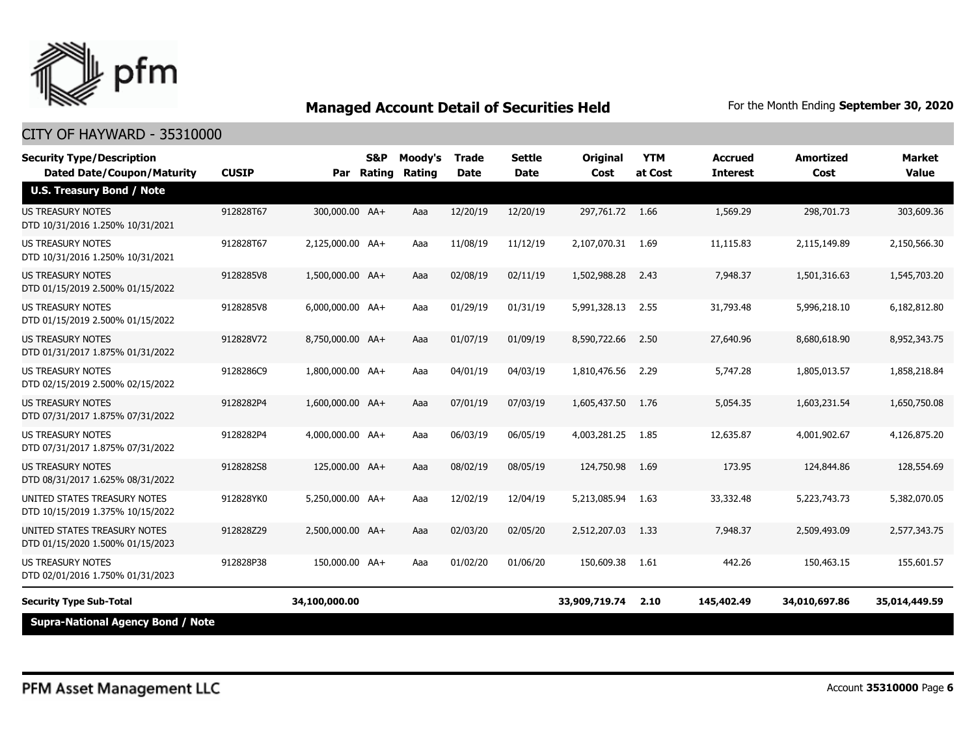

| <b>Security Type/Description</b><br><b>Dated Date/Coupon/Maturity</b> | <b>CUSIP</b> |                  | S&P<br>Par Rating | Moody's<br>Rating | <b>Trade</b><br><b>Date</b> | <b>Settle</b><br><b>Date</b> | <b>Original</b><br>Cost | <b>YTM</b><br>at Cost | <b>Accrued</b><br><b>Interest</b> | Amortized<br>Cost | Market<br><b>Value</b> |
|-----------------------------------------------------------------------|--------------|------------------|-------------------|-------------------|-----------------------------|------------------------------|-------------------------|-----------------------|-----------------------------------|-------------------|------------------------|
| <b>U.S. Treasury Bond / Note</b>                                      |              |                  |                   |                   |                             |                              |                         |                       |                                   |                   |                        |
| <b>US TREASURY NOTES</b><br>DTD 10/31/2016 1.250% 10/31/2021          | 912828T67    | 300,000,00 AA+   |                   | Aaa               | 12/20/19                    | 12/20/19                     | 297.761.72 1.66         |                       | 1,569.29                          | 298,701.73        | 303,609.36             |
| <b>US TREASURY NOTES</b><br>DTD 10/31/2016 1.250% 10/31/2021          | 912828T67    | 2,125,000.00 AA+ |                   | Aaa               | 11/08/19                    | 11/12/19                     | 2,107,070.31            | 1.69                  | 11,115.83                         | 2,115,149.89      | 2,150,566.30           |
| <b>US TREASURY NOTES</b><br>DTD 01/15/2019 2.500% 01/15/2022          | 9128285V8    | 1,500,000.00 AA+ |                   | Aaa               | 02/08/19                    | 02/11/19                     | 1,502,988.28            | 2.43                  | 7,948.37                          | 1,501,316.63      | 1,545,703.20           |
| <b>US TREASURY NOTES</b><br>DTD 01/15/2019 2.500% 01/15/2022          | 9128285V8    | 6,000,000.00 AA+ |                   | Aaa               | 01/29/19                    | 01/31/19                     | 5,991,328.13            | 2.55                  | 31,793.48                         | 5,996,218.10      | 6,182,812.80           |
| <b>US TREASURY NOTES</b><br>DTD 01/31/2017 1.875% 01/31/2022          | 912828V72    | 8,750,000.00 AA+ |                   | Aaa               | 01/07/19                    | 01/09/19                     | 8,590,722.66            | 2.50                  | 27,640.96                         | 8,680,618.90      | 8,952,343.75           |
| US TREASURY NOTES<br>DTD 02/15/2019 2.500% 02/15/2022                 | 9128286C9    | 1,800,000.00 AA+ |                   | Aaa               | 04/01/19                    | 04/03/19                     | 1,810,476.56            | 2.29                  | 5,747.28                          | 1,805,013.57      | 1,858,218.84           |
| <b>US TREASURY NOTES</b><br>DTD 07/31/2017 1.875% 07/31/2022          | 9128282P4    | 1,600,000.00 AA+ |                   | Aaa               | 07/01/19                    | 07/03/19                     | 1,605,437.50            | 1.76                  | 5,054.35                          | 1,603,231.54      | 1,650,750,08           |
| US TREASURY NOTES<br>DTD 07/31/2017 1.875% 07/31/2022                 | 9128282P4    | 4,000,000.00 AA+ |                   | Aaa               | 06/03/19                    | 06/05/19                     | 4,003,281.25            | 1.85                  | 12,635.87                         | 4,001,902.67      | 4,126,875.20           |
| <b>US TREASURY NOTES</b><br>DTD 08/31/2017 1.625% 08/31/2022          | 9128282S8    | 125,000.00 AA+   |                   | Aaa               | 08/02/19                    | 08/05/19                     | 124,750.98              | 1.69                  | 173.95                            | 124,844.86        | 128,554.69             |
| UNITED STATES TREASURY NOTES<br>DTD 10/15/2019 1.375% 10/15/2022      | 912828YK0    | 5,250,000.00 AA+ |                   | Aaa               | 12/02/19                    | 12/04/19                     | 5,213,085.94            | 1.63                  | 33,332.48                         | 5,223,743.73      | 5,382,070.05           |
| UNITED STATES TREASURY NOTES<br>DTD 01/15/2020 1.500% 01/15/2023      | 912828Z29    | 2,500,000.00 AA+ |                   | Aaa               | 02/03/20                    | 02/05/20                     | 2,512,207.03            | 1.33                  | 7,948.37                          | 2,509,493.09      | 2,577,343,75           |
| <b>US TREASURY NOTES</b><br>DTD 02/01/2016 1.750% 01/31/2023          | 912828P38    | 150,000.00 AA+   |                   | Aaa               | 01/02/20                    | 01/06/20                     | 150,609.38              | 1.61                  | 442.26                            | 150,463.15        | 155,601.57             |
| <b>Security Type Sub-Total</b>                                        |              | 34,100,000.00    |                   |                   |                             |                              | 33,909,719.74           | 2.10                  | 145,402.49                        | 34,010,697.86     | 35,014,449.59          |
| <b>Supra-National Agency Bond / Note</b>                              |              |                  |                   |                   |                             |                              |                         |                       |                                   |                   |                        |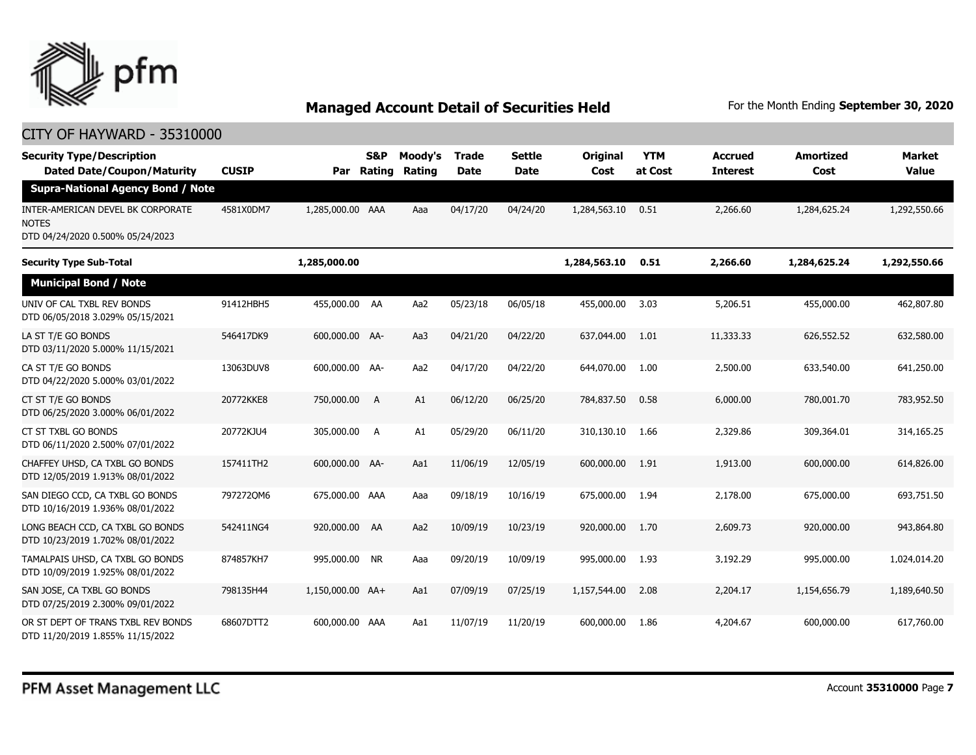

| <b>Security Type/Description</b><br><b>Dated Date/Coupon/Maturity</b>          | <b>CUSIP</b> | Par              | <b>S&amp;P</b><br>Rating | Moody's<br>Rating | <b>Trade</b><br><b>Date</b> | <b>Settle</b><br><b>Date</b> | Original<br>Cost | <b>YTM</b><br>at Cost | <b>Accrued</b><br><b>Interest</b> | <b>Amortized</b><br>Cost | <b>Market</b><br><b>Value</b> |
|--------------------------------------------------------------------------------|--------------|------------------|--------------------------|-------------------|-----------------------------|------------------------------|------------------|-----------------------|-----------------------------------|--------------------------|-------------------------------|
| <b>Supra-National Agency Bond / Note</b>                                       |              |                  |                          |                   |                             |                              |                  |                       |                                   |                          |                               |
| INTER-AMERICAN DEVEL BK CORPORATE<br>NOTES<br>DTD 04/24/2020 0.500% 05/24/2023 | 4581X0DM7    | 1,285,000.00 AAA |                          | Aaa               | 04/17/20                    | 04/24/20                     | 1,284,563.10     | 0.51                  | 2,266.60                          | 1,284,625.24             | 1,292,550.66                  |
| <b>Security Type Sub-Total</b>                                                 |              | 1,285,000.00     |                          |                   |                             |                              | 1,284,563.10     | 0.51                  | 2,266.60                          | 1,284,625.24             | 1,292,550.66                  |
| <b>Municipal Bond / Note</b>                                                   |              |                  |                          |                   |                             |                              |                  |                       |                                   |                          |                               |
| UNIV OF CAL TXBL REV BONDS<br>DTD 06/05/2018 3.029% 05/15/2021                 | 91412HBH5    | 455,000.00 AA    |                          | Aa2               | 05/23/18                    | 06/05/18                     | 455,000.00       | 3.03                  | 5,206.51                          | 455,000.00               | 462,807.80                    |
| LA ST T/E GO BONDS<br>DTD 03/11/2020 5.000% 11/15/2021                         | 546417DK9    | 600,000.00 AA-   |                          | Aa3               | 04/21/20                    | 04/22/20                     | 637,044.00       | 1.01                  | 11,333.33                         | 626,552.52               | 632,580.00                    |
| CA ST T/E GO BONDS<br>DTD 04/22/2020 5.000% 03/01/2022                         | 13063DUV8    | 600,000.00 AA-   |                          | Aa2               | 04/17/20                    | 04/22/20                     | 644,070,00       | 1.00                  | 2,500.00                          | 633,540.00               | 641,250.00                    |
| CT ST T/E GO BONDS<br>DTD 06/25/2020 3.000% 06/01/2022                         | 20772KKE8    | 750,000.00       | A                        | A1                | 06/12/20                    | 06/25/20                     | 784,837.50       | 0.58                  | 6,000,00                          | 780,001.70               | 783,952.50                    |
| CT ST TXBL GO BONDS<br>DTD 06/11/2020 2.500% 07/01/2022                        | 20772KJU4    | 305,000.00       | <b>A</b>                 | A1                | 05/29/20                    | 06/11/20                     | 310,130.10       | 1.66                  | 2,329.86                          | 309,364.01               | 314,165.25                    |
| CHAFFEY UHSD, CA TXBL GO BONDS<br>DTD 12/05/2019 1.913% 08/01/2022             | 157411TH2    | 600,000.00 AA-   |                          | Aa1               | 11/06/19                    | 12/05/19                     | 600,000.00       | 1.91                  | 1,913.00                          | 600,000.00               | 614,826.00                    |
| SAN DIEGO CCD, CA TXBL GO BONDS<br>DTD 10/16/2019 1.936% 08/01/2022            | 7972720M6    | 675,000.00 AAA   |                          | Aaa               | 09/18/19                    | 10/16/19                     | 675,000.00       | 1.94                  | 2,178.00                          | 675,000.00               | 693,751.50                    |
| LONG BEACH CCD, CA TXBL GO BONDS<br>DTD 10/23/2019 1.702% 08/01/2022           | 542411NG4    | 920,000.00 AA    |                          | Aa2               | 10/09/19                    | 10/23/19                     | 920,000.00       | 1.70                  | 2,609.73                          | 920,000.00               | 943,864.80                    |
| TAMALPAIS UHSD, CA TXBL GO BONDS<br>DTD 10/09/2019 1.925% 08/01/2022           | 874857KH7    | 995,000.00 NR    |                          | Aaa               | 09/20/19                    | 10/09/19                     | 995,000.00       | 1.93                  | 3,192.29                          | 995,000.00               | 1,024,014.20                  |
| SAN JOSE, CA TXBL GO BONDS<br>DTD 07/25/2019 2.300% 09/01/2022                 | 798135H44    | 1,150,000.00 AA+ |                          | Aa1               | 07/09/19                    | 07/25/19                     | 1,157,544.00     | 2.08                  | 2,204.17                          | 1,154,656.79             | 1,189,640.50                  |
| OR ST DEPT OF TRANS TXBL REV BONDS<br>DTD 11/20/2019 1.855% 11/15/2022         | 68607DTT2    | 600,000.00 AAA   |                          | Aa1               | 11/07/19                    | 11/20/19                     | 600,000.00       | 1.86                  | 4,204.67                          | 600,000.00               | 617,760.00                    |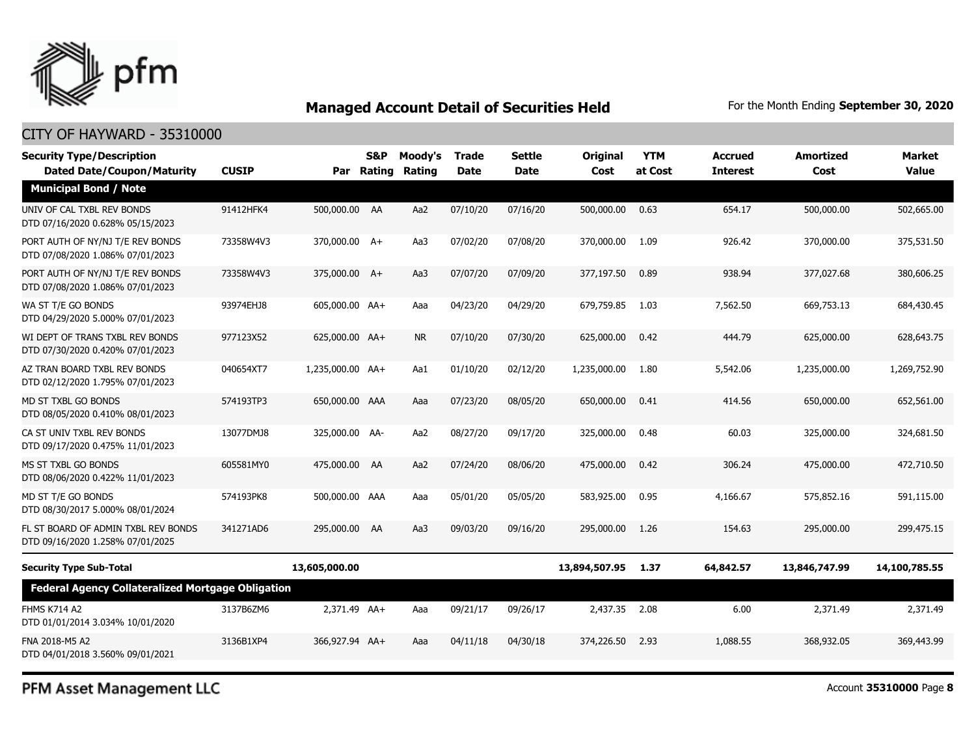

## CITY OF HAYWARD - 35310000

| <b>Security Type/Description</b><br><b>Dated Date/Coupon/Maturity</b>   | <b>CUSIP</b> |                  | S&P<br>Par Rating | Moody's<br>Rating | <b>Trade</b><br><b>Date</b> | <b>Settle</b><br>Date | Original<br>Cost | <b>YTM</b><br>at Cost | <b>Accrued</b><br><b>Interest</b> | <b>Amortized</b><br>Cost | <b>Market</b><br><b>Value</b> |
|-------------------------------------------------------------------------|--------------|------------------|-------------------|-------------------|-----------------------------|-----------------------|------------------|-----------------------|-----------------------------------|--------------------------|-------------------------------|
| <b>Municipal Bond / Note</b>                                            |              |                  |                   |                   |                             |                       |                  |                       |                                   |                          |                               |
| UNIV OF CAL TXBL REV BONDS<br>DTD 07/16/2020 0.628% 05/15/2023          | 91412HFK4    | 500,000.00 AA    |                   | Aa2               | 07/10/20                    | 07/16/20              | 500,000.00       | 0.63                  | 654.17                            | 500,000.00               | 502,665.00                    |
| PORT AUTH OF NY/NJ T/E REV BONDS<br>DTD 07/08/2020 1.086% 07/01/2023    | 73358W4V3    | 370,000.00 A+    |                   | Aa3               | 07/02/20                    | 07/08/20              | 370,000,00       | 1.09                  | 926.42                            | 370,000.00               | 375,531.50                    |
| PORT AUTH OF NY/NJ T/E REV BONDS<br>DTD 07/08/2020 1.086% 07/01/2023    | 73358W4V3    | 375,000.00 A+    |                   | Aa3               | 07/07/20                    | 07/09/20              | 377,197.50       | 0.89                  | 938.94                            | 377,027.68               | 380,606.25                    |
| WA ST T/E GO BONDS<br>DTD 04/29/2020 5.000% 07/01/2023                  | 93974EHJ8    | 605,000.00 AA+   |                   | Aaa               | 04/23/20                    | 04/29/20              | 679,759.85       | 1.03                  | 7,562.50                          | 669,753.13               | 684,430.45                    |
| WI DEPT OF TRANS TXBL REV BONDS<br>DTD 07/30/2020 0.420% 07/01/2023     | 977123X52    | 625,000.00 AA+   |                   | <b>NR</b>         | 07/10/20                    | 07/30/20              | 625,000.00       | 0.42                  | 444.79                            | 625,000.00               | 628,643.75                    |
| AZ TRAN BOARD TXBL REV BONDS<br>DTD 02/12/2020 1.795% 07/01/2023        | 040654XT7    | 1,235,000.00 AA+ |                   | Aa1               | 01/10/20                    | 02/12/20              | 1,235,000.00     | 1.80                  | 5,542.06                          | 1,235,000.00             | 1,269,752.90                  |
| MD ST TXBL GO BONDS<br>DTD 08/05/2020 0.410% 08/01/2023                 | 574193TP3    | 650,000.00 AAA   |                   | Aaa               | 07/23/20                    | 08/05/20              | 650,000,00       | 0.41                  | 414.56                            | 650,000.00               | 652,561.00                    |
| CA ST UNIV TXBL REV BONDS<br>DTD 09/17/2020 0.475% 11/01/2023           | 13077DMJ8    | 325,000.00 AA-   |                   | Aa2               | 08/27/20                    | 09/17/20              | 325,000.00       | 0.48                  | 60.03                             | 325,000.00               | 324,681.50                    |
| MS ST TXBL GO BONDS<br>DTD 08/06/2020 0.422% 11/01/2023                 | 605581MY0    | 475,000.00 AA    |                   | Aa2               | 07/24/20                    | 08/06/20              | 475,000.00       | 0.42                  | 306.24                            | 475,000.00               | 472,710.50                    |
| MD ST T/E GO BONDS<br>DTD 08/30/2017 5.000% 08/01/2024                  | 574193PK8    | 500,000.00 AAA   |                   | Aaa               | 05/01/20                    | 05/05/20              | 583,925.00       | 0.95                  | 4,166.67                          | 575,852.16               | 591,115.00                    |
| FL ST BOARD OF ADMIN TXBL REV BONDS<br>DTD 09/16/2020 1.258% 07/01/2025 | 341271AD6    | 295,000.00 AA    |                   | Aa3               | 09/03/20                    | 09/16/20              | 295,000.00       | 1.26                  | 154.63                            | 295,000.00               | 299,475.15                    |
| <b>Security Type Sub-Total</b>                                          |              | 13,605,000.00    |                   |                   |                             |                       | 13,894,507.95    | 1.37                  | 64,842.57                         | 13,846,747.99            | 14,100,785.55                 |
| <b>Federal Agency Collateralized Mortgage Obligation</b>                |              |                  |                   |                   |                             |                       |                  |                       |                                   |                          |                               |
| <b>FHMS K714 A2</b><br>DTD 01/01/2014 3.034% 10/01/2020                 | 3137B6ZM6    | 2.371.49 AA+     |                   | Aaa               | 09/21/17                    | 09/26/17              | 2,437.35         | 2.08                  | 6.00                              | 2,371.49                 | 2,371.49                      |
| FNA 2018-M5 A2<br>DTD 04/01/2018 3.560% 09/01/2021                      | 3136B1XP4    | 366,927.94 AA+   |                   | Aaa               | 04/11/18                    | 04/30/18              | 374,226.50       | 2.93                  | 1,088.55                          | 368,932.05               | 369,443.99                    |

PFM Asset Management LLC

Account **35310000** Page **8**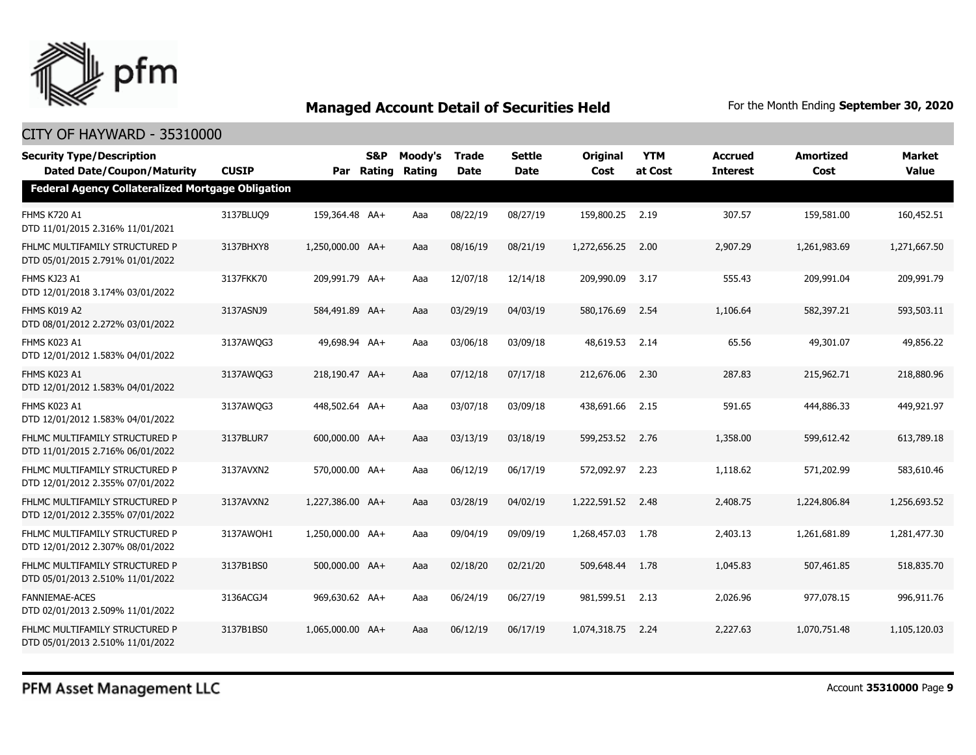

| <b>Security Type/Description</b><br><b>Dated Date/Coupon/Maturity</b> | <b>CUSIP</b> |                  | S&P<br>Par Rating | Moody's<br>Rating | <b>Trade</b><br><b>Date</b> | <b>Settle</b><br><b>Date</b> | <b>Original</b><br>Cost | <b>YTM</b><br>at Cost | <b>Accrued</b><br><b>Interest</b> | <b>Amortized</b><br>Cost | Market<br><b>Value</b> |  |  |
|-----------------------------------------------------------------------|--------------|------------------|-------------------|-------------------|-----------------------------|------------------------------|-------------------------|-----------------------|-----------------------------------|--------------------------|------------------------|--|--|
| <b>Federal Agency Collateralized Mortgage Obligation</b>              |              |                  |                   |                   |                             |                              |                         |                       |                                   |                          |                        |  |  |
| <b>FHMS K720 A1</b><br>DTD 11/01/2015 2.316% 11/01/2021               | 3137BLUQ9    | 159,364.48 AA+   |                   | Aaa               | 08/22/19                    | 08/27/19                     | 159,800.25              | 2.19                  | 307.57                            | 159,581.00               | 160,452.51             |  |  |
| FHLMC MULTIFAMILY STRUCTURED P<br>DTD 05/01/2015 2.791% 01/01/2022    | 3137BHXY8    | 1,250,000.00 AA+ |                   | Aaa               | 08/16/19                    | 08/21/19                     | 1,272,656.25            | 2.00                  | 2,907.29                          | 1,261,983.69             | 1,271,667.50           |  |  |
| FHMS KJ23 A1<br>DTD 12/01/2018 3.174% 03/01/2022                      | 3137FKK70    | 209,991.79 AA+   |                   | Aaa               | 12/07/18                    | 12/14/18                     | 209,990.09              | 3.17                  | 555.43                            | 209,991.04               | 209,991.79             |  |  |
| FHMS K019 A2<br>DTD 08/01/2012 2.272% 03/01/2022                      | 3137ASNJ9    | 584,491.89 AA+   |                   | Aaa               | 03/29/19                    | 04/03/19                     | 580,176.69              | 2.54                  | 1,106.64                          | 582,397.21               | 593,503.11             |  |  |
| FHMS K023 A1<br>DTD 12/01/2012 1.583% 04/01/2022                      | 3137AWQG3    | 49,698.94 AA+    |                   | Aaa               | 03/06/18                    | 03/09/18                     | 48,619.53               | 2.14                  | 65.56                             | 49,301.07                | 49,856.22              |  |  |
| FHMS K023 A1<br>DTD 12/01/2012 1.583% 04/01/2022                      | 3137AWQG3    | 218,190.47 AA+   |                   | Aaa               | 07/12/18                    | 07/17/18                     | 212,676.06              | 2.30                  | 287.83                            | 215,962.71               | 218,880.96             |  |  |
| FHMS K023 A1<br>DTD 12/01/2012 1.583% 04/01/2022                      | 3137AWQG3    | 448,502.64 AA+   |                   | Aaa               | 03/07/18                    | 03/09/18                     | 438,691.66              | 2.15                  | 591.65                            | 444,886.33               | 449,921.97             |  |  |
| FHLMC MULTIFAMILY STRUCTURED P<br>DTD 11/01/2015 2.716% 06/01/2022    | 3137BLUR7    | 600,000.00 AA+   |                   | Aaa               | 03/13/19                    | 03/18/19                     | 599,253.52              | 2.76                  | 1,358.00                          | 599,612.42               | 613,789.18             |  |  |
| FHLMC MULTIFAMILY STRUCTURED P<br>DTD 12/01/2012 2.355% 07/01/2022    | 3137AVXN2    | 570,000.00 AA+   |                   | Aaa               | 06/12/19                    | 06/17/19                     | 572,092.97              | 2.23                  | 1,118.62                          | 571,202.99               | 583,610.46             |  |  |
| FHLMC MULTIFAMILY STRUCTURED P<br>DTD 12/01/2012 2.355% 07/01/2022    | 3137AVXN2    | 1,227,386.00 AA+ |                   | Aaa               | 03/28/19                    | 04/02/19                     | 1,222,591.52            | 2.48                  | 2,408.75                          | 1,224,806.84             | 1,256,693.52           |  |  |
| FHLMC MULTIFAMILY STRUCTURED P<br>DTD 12/01/2012 2.307% 08/01/2022    | 3137AWQH1    | 1,250,000.00 AA+ |                   | Aaa               | 09/04/19                    | 09/09/19                     | 1,268,457.03            | 1.78                  | 2,403.13                          | 1,261,681.89             | 1,281,477.30           |  |  |
| FHLMC MULTIFAMILY STRUCTURED P<br>DTD 05/01/2013 2.510% 11/01/2022    | 3137B1BS0    | 500,000.00 AA+   |                   | Aaa               | 02/18/20                    | 02/21/20                     | 509,648.44              | 1.78                  | 1,045.83                          | 507,461.85               | 518,835.70             |  |  |
| <b>FANNIEMAE-ACES</b><br>DTD 02/01/2013 2.509% 11/01/2022             | 3136ACGJ4    | 969,630.62 AA+   |                   | Aaa               | 06/24/19                    | 06/27/19                     | 981,599.51              | 2.13                  | 2,026.96                          | 977,078.15               | 996,911.76             |  |  |
| FHLMC MULTIFAMILY STRUCTURED P<br>DTD 05/01/2013 2.510% 11/01/2022    | 3137B1BS0    | 1,065,000.00 AA+ |                   | Aaa               | 06/12/19                    | 06/17/19                     | 1,074,318,75            | 2.24                  | 2,227.63                          | 1,070,751.48             | 1,105,120.03           |  |  |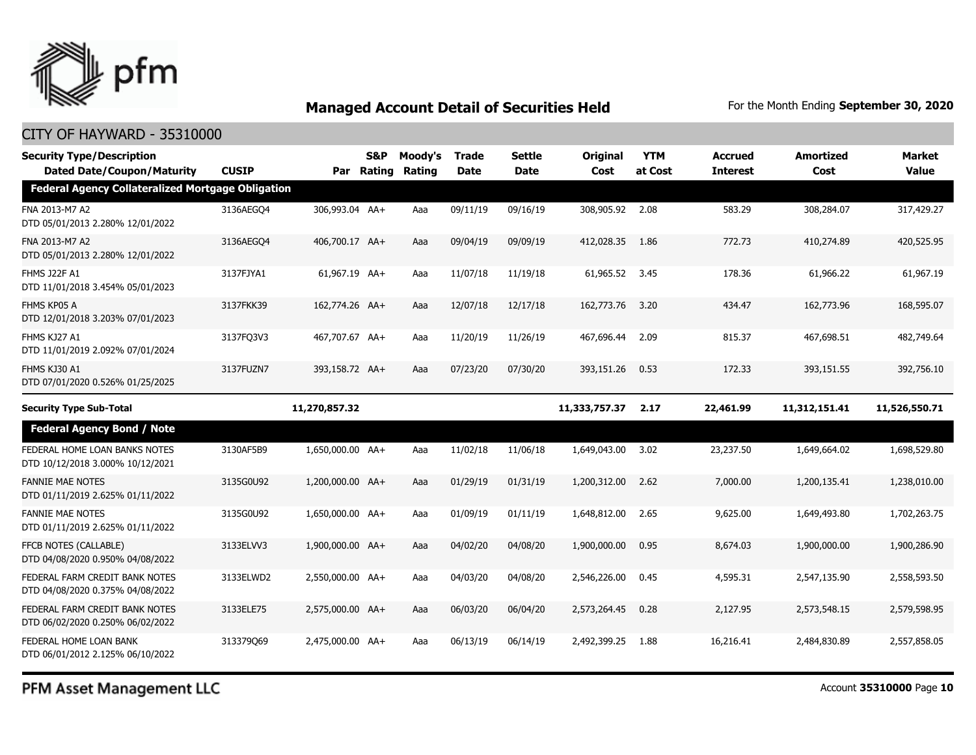

## CITY OF HAYWARD - 35310000

| <b>Security Type/Description</b><br><b>Dated Date/Coupon/Maturity</b> | <b>CUSIP</b> |                  | S&P<br>Par Rating | Moody's<br>Rating | <b>Trade</b><br><b>Date</b> | Settle<br><b>Date</b> | <b>Original</b><br>Cost | <b>YTM</b><br>at Cost | <b>Accrued</b><br><b>Interest</b> | <b>Amortized</b><br>Cost | <b>Market</b><br><b>Value</b> |
|-----------------------------------------------------------------------|--------------|------------------|-------------------|-------------------|-----------------------------|-----------------------|-------------------------|-----------------------|-----------------------------------|--------------------------|-------------------------------|
| <b>Federal Agency Collateralized Mortgage Obligation</b>              |              |                  |                   |                   |                             |                       |                         |                       |                                   |                          |                               |
| FNA 2013-M7 A2<br>DTD 05/01/2013 2.280% 12/01/2022                    | 3136AEGO4    | 306,993.04 AA+   |                   | Aaa               | 09/11/19                    | 09/16/19              | 308,905.92              | 2.08                  | 583.29                            | 308,284.07               | 317,429.27                    |
| FNA 2013-M7 A2<br>DTD 05/01/2013 2.280% 12/01/2022                    | 3136AEGO4    | 406,700.17 AA+   |                   | Aaa               | 09/04/19                    | 09/09/19              | 412,028.35              | 1.86                  | 772.73                            | 410,274.89               | 420,525.95                    |
| <b>FHMS J22F A1</b><br>DTD 11/01/2018 3.454% 05/01/2023               | 3137FJYA1    | 61,967.19 AA+    |                   | Aaa               | 11/07/18                    | 11/19/18              | 61,965.52               | 3.45                  | 178.36                            | 61,966.22                | 61,967.19                     |
| FHMS KP05 A<br>DTD 12/01/2018 3.203% 07/01/2023                       | 3137FKK39    | 162,774.26 AA+   |                   | Aaa               | 12/07/18                    | 12/17/18              | 162,773.76              | 3.20                  | 434.47                            | 162,773.96               | 168,595.07                    |
| FHMS KJ27 A1<br>DTD 11/01/2019 2.092% 07/01/2024                      | 3137FQ3V3    | 467,707.67 AA+   |                   | Aaa               | 11/20/19                    | 11/26/19              | 467,696.44              | 2.09                  | 815.37                            | 467,698.51               | 482,749.64                    |
| FHMS KJ30 A1<br>DTD 07/01/2020 0.526% 01/25/2025                      | 3137FUZN7    | 393,158.72 AA+   |                   | Aaa               | 07/23/20                    | 07/30/20              | 393,151.26              | 0.53                  | 172.33                            | 393,151.55               | 392,756.10                    |
| <b>Security Type Sub-Total</b>                                        |              | 11,270,857.32    |                   |                   |                             |                       | 11,333,757.37           | 2.17                  | 22,461.99                         | 11,312,151.41            | 11,526,550.71                 |
| <b>Federal Agency Bond / Note</b>                                     |              |                  |                   |                   |                             |                       |                         |                       |                                   |                          |                               |
| FEDERAL HOME LOAN BANKS NOTES<br>DTD 10/12/2018 3.000% 10/12/2021     | 3130AF5B9    | 1,650,000.00 AA+ |                   | Aaa               | 11/02/18                    | 11/06/18              | 1,649,043.00            | 3.02                  | 23,237.50                         | 1,649,664.02             | 1,698,529.80                  |
| <b>FANNIE MAE NOTES</b><br>DTD 01/11/2019 2.625% 01/11/2022           | 3135G0U92    | 1,200,000.00 AA+ |                   | Aaa               | 01/29/19                    | 01/31/19              | 1,200,312.00            | 2.62                  | 7,000.00                          | 1,200,135.41             | 1,238,010.00                  |
| <b>FANNIE MAE NOTES</b><br>DTD 01/11/2019 2.625% 01/11/2022           | 3135G0U92    | 1,650,000.00 AA+ |                   | Aaa               | 01/09/19                    | 01/11/19              | 1,648,812.00            | 2.65                  | 9,625.00                          | 1,649,493.80             | 1,702,263.75                  |
| FFCB NOTES (CALLABLE)<br>DTD 04/08/2020 0.950% 04/08/2022             | 3133ELVV3    | 1,900,000.00 AA+ |                   | Aaa               | 04/02/20                    | 04/08/20              | 1,900,000.00            | 0.95                  | 8,674.03                          | 1,900,000.00             | 1,900,286.90                  |
| FEDERAL FARM CREDIT BANK NOTES<br>DTD 04/08/2020 0.375% 04/08/2022    | 3133ELWD2    | 2,550,000.00 AA+ |                   | Aaa               | 04/03/20                    | 04/08/20              | 2,546,226.00            | 0.45                  | 4,595.31                          | 2,547,135.90             | 2,558,593.50                  |
| FEDERAL FARM CREDIT BANK NOTES<br>DTD 06/02/2020 0.250% 06/02/2022    | 3133ELE75    | 2,575,000.00 AA+ |                   | Aaa               | 06/03/20                    | 06/04/20              | 2,573,264.45            | 0.28                  | 2,127.95                          | 2,573,548.15             | 2,579,598.95                  |
| FEDERAL HOME LOAN BANK<br>DTD 06/01/2012 2.125% 06/10/2022            | 313379069    | 2,475,000.00 AA+ |                   | Aaa               | 06/13/19                    | 06/14/19              | 2,492,399.25            | 1.88                  | 16,216.41                         | 2,484,830.89             | 2,557,858.05                  |

PFM Asset Management LLC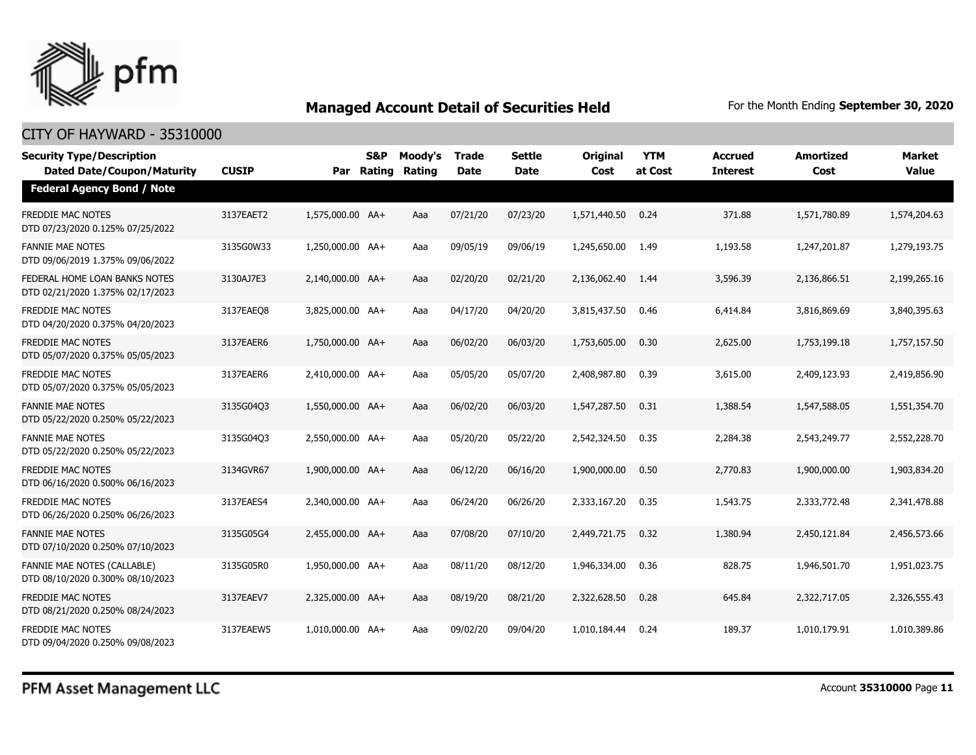

| <b>Security Type/Description</b><br><b>Dated Date/Coupon/Maturity</b>  | <b>CUSIP</b> | Par              | <b>S&amp;P</b><br>Rating | Moody's<br>Rating | <b>Trade</b><br><b>Date</b> | <b>Settle</b><br><b>Date</b> | <b>Original</b><br>Cost | <b>YTM</b><br>at Cost | <b>Accrued</b><br><b>Interest</b> | <b>Amortized</b><br>Cost | <b>Market</b><br><b>Value</b> |
|------------------------------------------------------------------------|--------------|------------------|--------------------------|-------------------|-----------------------------|------------------------------|-------------------------|-----------------------|-----------------------------------|--------------------------|-------------------------------|
| <b>Federal Agency Bond / Note</b>                                      |              |                  |                          |                   |                             |                              |                         |                       |                                   |                          |                               |
| <b>FREDDIE MAC NOTES</b><br>DTD 07/23/2020 0.125% 07/25/2022           | 3137EAET2    | 1,575,000.00 AA+ |                          | Aaa               | 07/21/20                    | 07/23/20                     | 1,571,440.50            | 0.24                  | 371.88                            | 1,571,780.89             | 1,574,204.63                  |
| <b>FANNIE MAE NOTES</b><br>DTD 09/06/2019 1.375% 09/06/2022            | 3135G0W33    | 1,250,000.00 AA+ |                          | Aaa               | 09/05/19                    | 09/06/19                     | 1,245,650.00            | 1.49                  | 1,193.58                          | 1,247,201.87             | 1,279,193.75                  |
| FEDERAL HOME LOAN BANKS NOTES<br>DTD 02/21/2020 1.375% 02/17/2023      | 3130AJ7E3    | 2,140,000.00 AA+ |                          | Aaa               | 02/20/20                    | 02/21/20                     | 2,136,062.40            | 1.44                  | 3,596.39                          | 2,136,866.51             | 2,199,265.16                  |
| <b>FREDDIE MAC NOTES</b><br>DTD 04/20/2020 0.375% 04/20/2023           | 3137EAEO8    | 3,825,000.00 AA+ |                          | Aaa               | 04/17/20                    | 04/20/20                     | 3,815,437.50            | 0.46                  | 6,414.84                          | 3,816,869.69             | 3,840,395.63                  |
| FREDDIE MAC NOTES<br>DTD 05/07/2020 0.375% 05/05/2023                  | 3137EAER6    | 1,750,000.00 AA+ |                          | Aaa               | 06/02/20                    | 06/03/20                     | 1,753,605.00            | 0.30                  | 2,625.00                          | 1,753,199.18             | 1,757,157.50                  |
| <b>FREDDIE MAC NOTES</b><br>DTD 05/07/2020 0.375% 05/05/2023           | 3137EAER6    | 2,410,000.00 AA+ |                          | Aaa               | 05/05/20                    | 05/07/20                     | 2,408,987.80            | 0.39                  | 3,615.00                          | 2,409,123.93             | 2,419,856.90                  |
| <b>FANNIE MAE NOTES</b><br>DTD 05/22/2020 0.250% 05/22/2023            | 3135G04Q3    | 1,550,000.00 AA+ |                          | Aaa               | 06/02/20                    | 06/03/20                     | 1,547,287.50            | 0.31                  | 1,388.54                          | 1,547,588.05             | 1,551,354.70                  |
| <b>FANNIE MAE NOTES</b><br>DTD 05/22/2020 0.250% 05/22/2023            | 3135G04Q3    | 2,550,000.00 AA+ |                          | Aaa               | 05/20/20                    | 05/22/20                     | 2,542,324.50            | 0.35                  | 2,284.38                          | 2,543,249.77             | 2,552,228.70                  |
| <b>FREDDIE MAC NOTES</b><br>DTD 06/16/2020 0.500% 06/16/2023           | 3134GVR67    | 1,900,000.00 AA+ |                          | Aaa               | 06/12/20                    | 06/16/20                     | 1,900,000.00            | 0.50                  | 2,770.83                          | 1,900,000.00             | 1,903,834.20                  |
| <b>FREDDIE MAC NOTES</b><br>DTD 06/26/2020 0.250% 06/26/2023           | 3137EAES4    | 2,340,000.00 AA+ |                          | Aaa               | 06/24/20                    | 06/26/20                     | 2,333,167.20            | 0.35                  | 1,543.75                          | 2,333,772.48             | 2,341,478.88                  |
| <b>FANNIE MAE NOTES</b><br>DTD 07/10/2020 0.250% 07/10/2023            | 3135G05G4    | 2,455,000.00 AA+ |                          | Aaa               | 07/08/20                    | 07/10/20                     | 2,449,721.75            | 0.32                  | 1,380.94                          | 2,450,121.84             | 2,456,573.66                  |
| <b>FANNIE MAE NOTES (CALLABLE)</b><br>DTD 08/10/2020 0.300% 08/10/2023 | 3135G05R0    | 1,950,000.00 AA+ |                          | Aaa               | 08/11/20                    | 08/12/20                     | 1,946,334.00            | 0.36                  | 828.75                            | 1,946,501.70             | 1,951,023.75                  |
| <b>FREDDIE MAC NOTES</b><br>DTD 08/21/2020 0.250% 08/24/2023           | 3137EAEV7    | 2,325,000.00 AA+ |                          | Aaa               | 08/19/20                    | 08/21/20                     | 2,322,628.50            | 0.28                  | 645.84                            | 2,322,717.05             | 2,326,555.43                  |
| <b>FREDDIE MAC NOTES</b><br>DTD 09/04/2020 0.250% 09/08/2023           | 3137EAEW5    | 1,010,000.00 AA+ |                          | Aaa               | 09/02/20                    | 09/04/20                     | 1,010,184.44            | 0.24                  | 189.37                            | 1,010,179.91             | 1,010,389.86                  |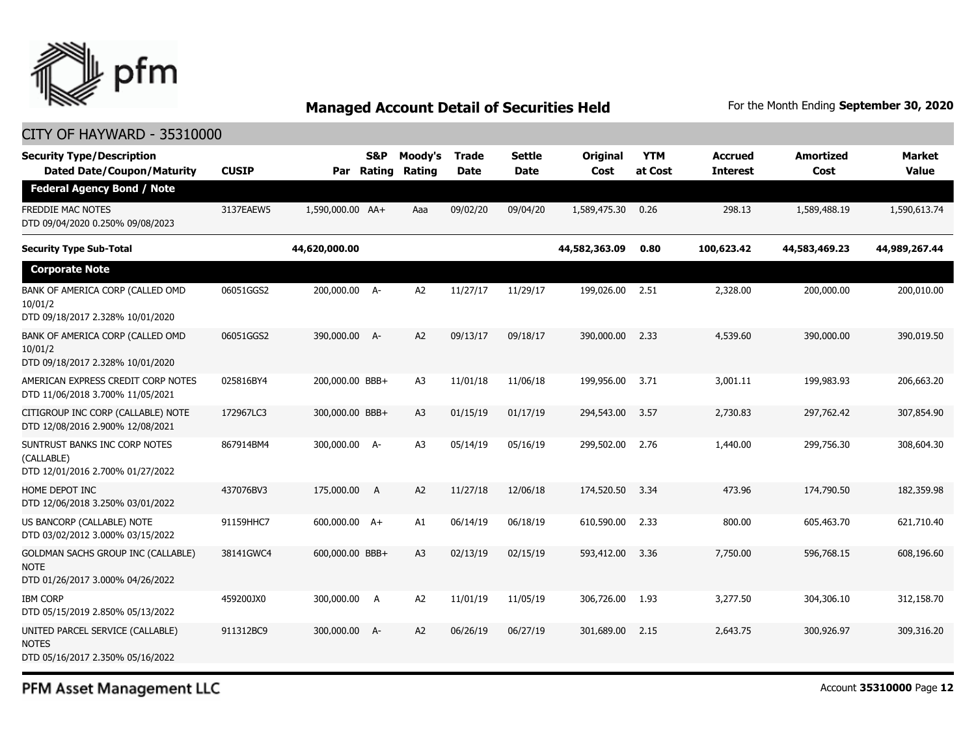

## CITY OF HAYWARD - 35310000

| <b>Security Type/Description</b><br><b>Dated Date/Coupon/Maturity</b>                 | <b>CUSIP</b> | Par              | <b>S&amp;P</b><br>Rating | Moody's<br>Rating | <b>Trade</b><br><b>Date</b> | Settle<br><b>Date</b> | Original<br>Cost | <b>YTM</b><br>at Cost | <b>Accrued</b><br><b>Interest</b> | <b>Amortized</b><br>Cost | <b>Market</b><br><b>Value</b> |
|---------------------------------------------------------------------------------------|--------------|------------------|--------------------------|-------------------|-----------------------------|-----------------------|------------------|-----------------------|-----------------------------------|--------------------------|-------------------------------|
| <b>Federal Agency Bond / Note</b>                                                     |              |                  |                          |                   |                             |                       |                  |                       |                                   |                          |                               |
| FREDDIE MAC NOTES<br>DTD 09/04/2020 0.250% 09/08/2023                                 | 3137EAEW5    | 1,590,000.00 AA+ |                          | Aaa               | 09/02/20                    | 09/04/20              | 1,589,475.30     | 0.26                  | 298.13                            | 1,589,488.19             | 1,590,613.74                  |
| <b>Security Type Sub-Total</b>                                                        |              | 44,620,000.00    |                          |                   |                             |                       | 44,582,363.09    | 0.80                  | 100,623.42                        | 44,583,469.23            | 44,989,267.44                 |
| <b>Corporate Note</b>                                                                 |              |                  |                          |                   |                             |                       |                  |                       |                                   |                          |                               |
| BANK OF AMERICA CORP (CALLED OMD<br>10/01/2<br>DTD 09/18/2017 2.328% 10/01/2020       | 06051GGS2    | 200,000.00 A-    |                          | A <sub>2</sub>    | 11/27/17                    | 11/29/17              | 199,026.00       | 2.51                  | 2,328.00                          | 200,000.00               | 200,010.00                    |
| BANK OF AMERICA CORP (CALLED OMD<br>10/01/2<br>DTD 09/18/2017 2.328% 10/01/2020       | 06051GGS2    | 390,000.00 A-    |                          | A2                | 09/13/17                    | 09/18/17              | 390,000,00       | 2.33                  | 4,539.60                          | 390,000.00               | 390,019.50                    |
| AMERICAN EXPRESS CREDIT CORP NOTES<br>DTD 11/06/2018 3.700% 11/05/2021                | 025816BY4    | 200,000.00 BBB+  |                          | A3                | 11/01/18                    | 11/06/18              | 199,956.00       | 3.71                  | 3,001.11                          | 199,983.93               | 206,663.20                    |
| CITIGROUP INC CORP (CALLABLE) NOTE<br>DTD 12/08/2016 2.900% 12/08/2021                | 172967LC3    | 300,000.00 BBB+  |                          | A <sub>3</sub>    | 01/15/19                    | 01/17/19              | 294,543.00       | 3.57                  | 2,730.83                          | 297,762.42               | 307.854.90                    |
| SUNTRUST BANKS INC CORP NOTES<br>(CALLABLE)<br>DTD 12/01/2016 2.700% 01/27/2022       | 867914BM4    | 300,000.00 A-    |                          | A <sub>3</sub>    | 05/14/19                    | 05/16/19              | 299,502.00       | 2.76                  | 1,440.00                          | 299,756.30               | 308,604.30                    |
| HOME DEPOT INC<br>DTD 12/06/2018 3.250% 03/01/2022                                    | 437076BV3    | 175,000.00       | <b>A</b>                 | A <sub>2</sub>    | 11/27/18                    | 12/06/18              | 174,520.50       | 3.34                  | 473.96                            | 174,790.50               | 182,359.98                    |
| US BANCORP (CALLABLE) NOTE<br>DTD 03/02/2012 3.000% 03/15/2022                        | 91159HHC7    | 600,000.00 A+    |                          | A1                | 06/14/19                    | 06/18/19              | 610,590.00       | 2.33                  | 800.00                            | 605,463.70               | 621,710.40                    |
| GOLDMAN SACHS GROUP INC (CALLABLE)<br><b>NOTE</b><br>DTD 01/26/2017 3.000% 04/26/2022 | 38141GWC4    | 600,000.00 BBB+  |                          | A <sub>3</sub>    | 02/13/19                    | 02/15/19              | 593,412.00       | 3.36                  | 7,750.00                          | 596,768.15               | 608,196.60                    |
| <b>IBM CORP</b><br>DTD 05/15/2019 2.850% 05/13/2022                                   | 459200JX0    | 300,000.00       | A                        | A <sub>2</sub>    | 11/01/19                    | 11/05/19              | 306,726.00       | 1.93                  | 3,277.50                          | 304,306.10               | 312,158.70                    |
| UNITED PARCEL SERVICE (CALLABLE)<br><b>NOTES</b><br>DTD 05/16/2017 2.350% 05/16/2022  | 911312BC9    | 300,000.00 A-    |                          | A2                | 06/26/19                    | 06/27/19              | 301,689.00       | 2.15                  | 2,643.75                          | 300,926.97               | 309,316.20                    |

PFM Asset Management LLC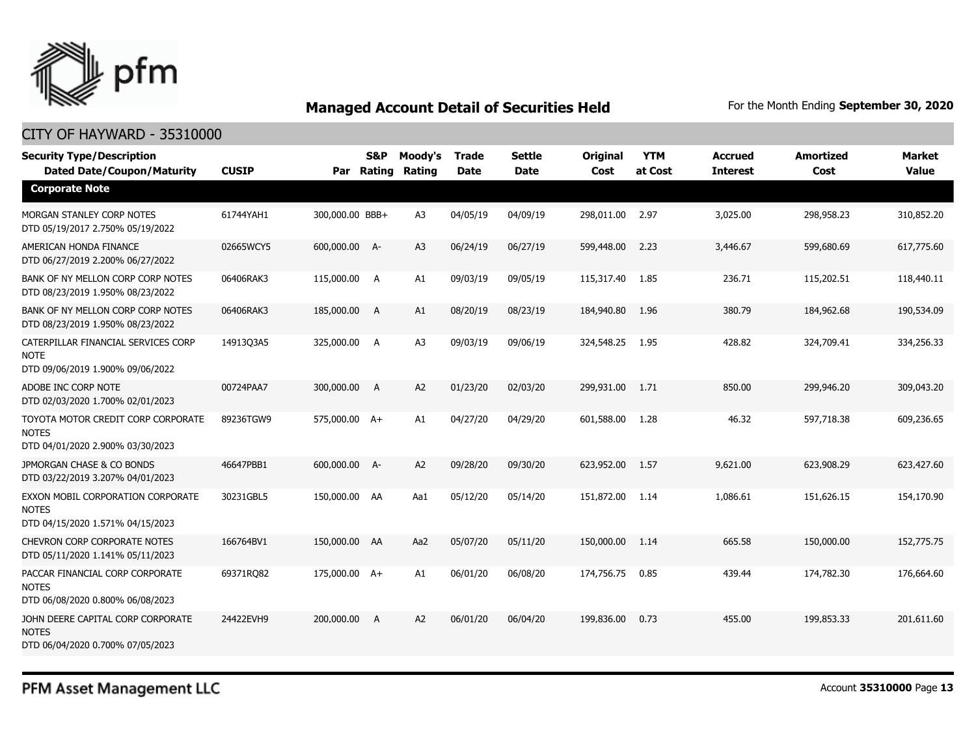

## CITY OF HAYWARD - 35310000

| <b>Security Type/Description</b><br><b>Dated Date/Coupon/Maturity</b>                  | <b>CUSIP</b> |                 | <b>S&amp;P</b><br>Par Rating | Moody's<br><b>Rating</b> | <b>Trade</b><br><b>Date</b> | <b>Settle</b><br><b>Date</b> | <b>Original</b><br>Cost | <b>YTM</b><br>at Cost | <b>Accrued</b><br><b>Interest</b> | <b>Amortized</b><br>Cost | <b>Market</b><br><b>Value</b> |
|----------------------------------------------------------------------------------------|--------------|-----------------|------------------------------|--------------------------|-----------------------------|------------------------------|-------------------------|-----------------------|-----------------------------------|--------------------------|-------------------------------|
| <b>Corporate Note</b>                                                                  |              |                 |                              |                          |                             |                              |                         |                       |                                   |                          |                               |
| MORGAN STANLEY CORP NOTES<br>DTD 05/19/2017 2.750% 05/19/2022                          | 61744YAH1    | 300,000.00 BBB+ |                              | A <sub>3</sub>           | 04/05/19                    | 04/09/19                     | 298,011.00              | 2.97                  | 3,025.00                          | 298,958.23               | 310,852.20                    |
| AMERICAN HONDA FINANCE<br>DTD 06/27/2019 2.200% 06/27/2022                             | 02665WCY5    | 600,000.00 A-   |                              | A3                       | 06/24/19                    | 06/27/19                     | 599,448.00              | 2.23                  | 3,446.67                          | 599,680.69               | 617,775.60                    |
| BANK OF NY MELLON CORP CORP NOTES<br>DTD 08/23/2019 1.950% 08/23/2022                  | 06406RAK3    | 115,000.00 A    |                              | A1                       | 09/03/19                    | 09/05/19                     | 115,317.40              | 1.85                  | 236.71                            | 115,202.51               | 118,440.11                    |
| BANK OF NY MELLON CORP CORP NOTES<br>DTD 08/23/2019 1.950% 08/23/2022                  | 06406RAK3    | 185,000.00      | $\overline{A}$               | A1                       | 08/20/19                    | 08/23/19                     | 184,940.80              | 1.96                  | 380.79                            | 184,962.68               | 190,534.09                    |
| CATERPILLAR FINANCIAL SERVICES CORP<br><b>NOTE</b><br>DTD 09/06/2019 1.900% 09/06/2022 | 14913Q3A5    | 325,000.00 A    |                              | A <sub>3</sub>           | 09/03/19                    | 09/06/19                     | 324,548.25              | 1.95                  | 428.82                            | 324,709.41               | 334,256.33                    |
| ADOBE INC CORP NOTE<br>DTD 02/03/2020 1.700% 02/01/2023                                | 00724PAA7    | 300,000.00      | A                            | A2                       | 01/23/20                    | 02/03/20                     | 299,931.00              | 1.71                  | 850.00                            | 299,946.20               | 309,043.20                    |
| TOYOTA MOTOR CREDIT CORP CORPORATE<br><b>NOTES</b><br>DTD 04/01/2020 2.900% 03/30/2023 | 89236TGW9    | 575,000.00 A+   |                              | A1                       | 04/27/20                    | 04/29/20                     | 601,588.00              | 1.28                  | 46.32                             | 597,718.38               | 609,236.65                    |
| JPMORGAN CHASE & CO BONDS<br>DTD 03/22/2019 3.207% 04/01/2023                          | 46647PBB1    | 600,000.00 A-   |                              | A <sub>2</sub>           | 09/28/20                    | 09/30/20                     | 623,952.00              | 1.57                  | 9,621.00                          | 623,908.29               | 623,427.60                    |
| EXXON MOBIL CORPORATION CORPORATE<br><b>NOTES</b><br>DTD 04/15/2020 1.571% 04/15/2023  | 30231GBL5    | 150,000.00 AA   |                              | Aa1                      | 05/12/20                    | 05/14/20                     | 151,872.00              | 1.14                  | 1,086.61                          | 151,626.15               | 154,170.90                    |
| <b>CHEVRON CORP CORPORATE NOTES</b><br>DTD 05/11/2020 1.141% 05/11/2023                | 166764BV1    | 150,000.00 AA   |                              | Aa2                      | 05/07/20                    | 05/11/20                     | 150,000.00              | 1.14                  | 665.58                            | 150,000.00               | 152,775.75                    |
| PACCAR FINANCIAL CORP CORPORATE<br><b>NOTES</b><br>DTD 06/08/2020 0.800% 06/08/2023    | 69371RO82    | 175,000.00 A+   |                              | A1                       | 06/01/20                    | 06/08/20                     | 174,756.75              | 0.85                  | 439.44                            | 174,782.30               | 176,664.60                    |
| JOHN DEERE CAPITAL CORP CORPORATE<br><b>NOTES</b><br>DTD 06/04/2020 0.700% 07/05/2023  | 24422EVH9    | 200,000.00      | A                            | A <sub>2</sub>           | 06/01/20                    | 06/04/20                     | 199,836.00              | 0.73                  | 455.00                            | 199,853.33               | 201,611.60                    |

PFM Asset Management LLC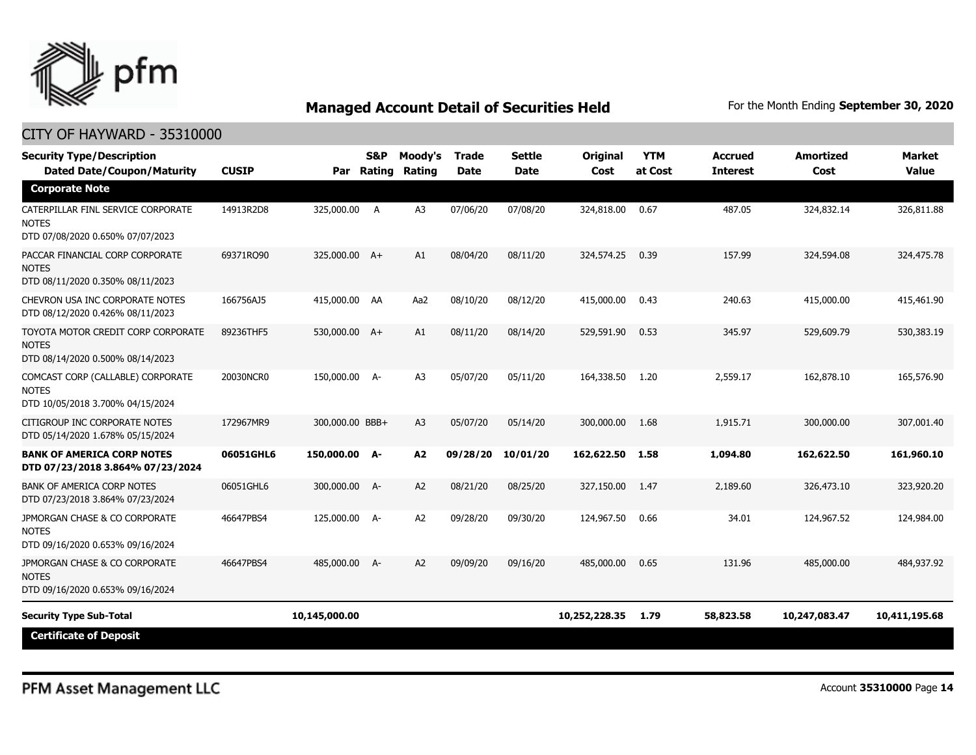

| <b>Security Type/Description</b><br><b>Dated Date/Coupon/Maturity</b>                  | <b>CUSIP</b> | Par             | <b>S&amp;P</b><br>Rating | Moody's<br>Rating | <b>Trade</b><br><b>Date</b> | <b>Settle</b><br><b>Date</b> | Original<br>Cost | <b>YTM</b><br>at Cost | <b>Accrued</b><br><b>Interest</b> | <b>Amortized</b><br>Cost | <b>Market</b><br><b>Value</b> |
|----------------------------------------------------------------------------------------|--------------|-----------------|--------------------------|-------------------|-----------------------------|------------------------------|------------------|-----------------------|-----------------------------------|--------------------------|-------------------------------|
| <b>Corporate Note</b>                                                                  |              |                 |                          |                   |                             |                              |                  |                       |                                   |                          |                               |
| CATERPILLAR FINL SERVICE CORPORATE<br><b>NOTES</b><br>DTD 07/08/2020 0.650% 07/07/2023 | 14913R2D8    | 325,000.00      | A                        | A <sub>3</sub>    | 07/06/20                    | 07/08/20                     | 324,818.00       | 0.67                  | 487.05                            | 324,832.14               | 326,811.88                    |
| PACCAR FINANCIAL CORP CORPORATE<br><b>NOTES</b><br>DTD 08/11/2020 0.350% 08/11/2023    | 69371RQ90    | 325,000.00 A+   |                          | A1                | 08/04/20                    | 08/11/20                     | 324,574.25       | 0.39                  | 157.99                            | 324,594.08               | 324,475.78                    |
| CHEVRON USA INC CORPORATE NOTES<br>DTD 08/12/2020 0.426% 08/11/2023                    | 166756AJ5    | 415,000.00 AA   |                          | Aa2               | 08/10/20                    | 08/12/20                     | 415,000.00       | 0.43                  | 240.63                            | 415,000.00               | 415,461.90                    |
| TOYOTA MOTOR CREDIT CORP CORPORATE<br><b>NOTES</b><br>DTD 08/14/2020 0.500% 08/14/2023 | 89236THF5    | 530,000.00 A+   |                          | A1                | 08/11/20                    | 08/14/20                     | 529,591.90       | 0.53                  | 345.97                            | 529,609.79               | 530,383.19                    |
| COMCAST CORP (CALLABLE) CORPORATE<br><b>NOTES</b><br>DTD 10/05/2018 3.700% 04/15/2024  | 20030NCR0    | 150,000.00 A-   |                          | A <sub>3</sub>    | 05/07/20                    | 05/11/20                     | 164,338.50       | 1.20                  | 2,559.17                          | 162,878.10               | 165,576.90                    |
| CITIGROUP INC CORPORATE NOTES<br>DTD 05/14/2020 1.678% 05/15/2024                      | 172967MR9    | 300,000.00 BBB+ |                          | A <sub>3</sub>    | 05/07/20                    | 05/14/20                     | 300,000.00       | 1.68                  | 1,915.71                          | 300,000.00               | 307,001.40                    |
| <b>BANK OF AMERICA CORP NOTES</b><br>DTD 07/23/2018 3.864% 07/23/2024                  | 06051GHL6    | 150,000.00 A-   |                          | A2                | 09/28/20                    | 10/01/20                     | 162,622.50       | 1.58                  | 1,094.80                          | 162,622.50               | 161,960.10                    |
| <b>BANK OF AMERICA CORP NOTES</b><br>DTD 07/23/2018 3.864% 07/23/2024                  | 06051GHL6    | 300,000.00      | <b>A-</b>                | A2                | 08/21/20                    | 08/25/20                     | 327,150.00       | 1.47                  | 2,189.60                          | 326,473.10               | 323,920.20                    |
| JPMORGAN CHASE & CO CORPORATE<br><b>NOTES</b><br>DTD 09/16/2020 0.653% 09/16/2024      | 46647PBS4    | 125,000.00 A-   |                          | A <sub>2</sub>    | 09/28/20                    | 09/30/20                     | 124,967.50       | 0.66                  | 34.01                             | 124,967.52               | 124,984.00                    |
| JPMORGAN CHASE & CO CORPORATE<br><b>NOTES</b><br>DTD 09/16/2020 0.653% 09/16/2024      | 46647PBS4    | 485,000.00 A-   |                          | A <sub>2</sub>    | 09/09/20                    | 09/16/20                     | 485,000.00       | 0.65                  | 131.96                            | 485,000.00               | 484,937.92                    |
| <b>Security Type Sub-Total</b>                                                         |              | 10,145,000.00   |                          |                   |                             |                              | 10,252,228.35    | 1.79                  | 58,823.58                         | 10,247,083.47            | 10,411,195.68                 |
| <b>Certificate of Deposit</b>                                                          |              |                 |                          |                   |                             |                              |                  |                       |                                   |                          |                               |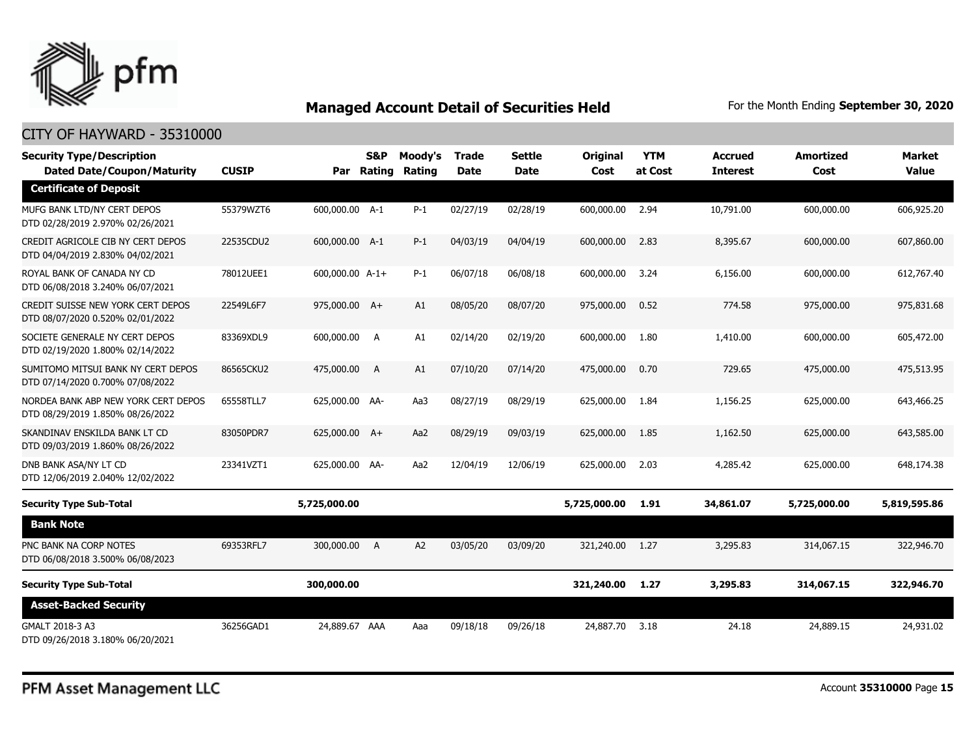

| <b>Security Type/Description</b><br><b>Dated Date/Coupon/Maturity</b>   | <b>CUSIP</b> |                 | S&P<br>Par Rating | Moody's<br>Rating | Trade<br><b>Date</b> | Settle<br><b>Date</b> | <b>Original</b><br>Cost | <b>YTM</b><br>at Cost | <b>Accrued</b><br><b>Interest</b> | <b>Amortized</b><br>Cost | <b>Market</b><br>Value |
|-------------------------------------------------------------------------|--------------|-----------------|-------------------|-------------------|----------------------|-----------------------|-------------------------|-----------------------|-----------------------------------|--------------------------|------------------------|
| <b>Certificate of Deposit</b>                                           |              |                 |                   |                   |                      |                       |                         |                       |                                   |                          |                        |
| MUFG BANK LTD/NY CERT DEPOS<br>DTD 02/28/2019 2.970% 02/26/2021         | 55379WZT6    | 600,000.00 A-1  |                   | $P-1$             | 02/27/19             | 02/28/19              | 600,000.00              | 2.94                  | 10,791.00                         | 600,000.00               | 606,925.20             |
| CREDIT AGRICOLE CIB NY CERT DEPOS<br>DTD 04/04/2019 2.830% 04/02/2021   | 22535CDU2    | 600,000.00 A-1  |                   | $P-1$             | 04/03/19             | 04/04/19              | 600,000.00              | 2.83                  | 8,395.67                          | 600,000.00               | 607,860.00             |
| ROYAL BANK OF CANADA NY CD<br>DTD 06/08/2018 3.240% 06/07/2021          | 78012UEE1    | 600,000.00 A-1+ |                   | $P-1$             | 06/07/18             | 06/08/18              | 600,000.00              | 3.24                  | 6,156.00                          | 600,000.00               | 612,767.40             |
| CREDIT SUISSE NEW YORK CERT DEPOS<br>DTD 08/07/2020 0.520% 02/01/2022   | 22549L6F7    | 975,000.00 A+   |                   | A1                | 08/05/20             | 08/07/20              | 975,000.00              | 0.52                  | 774.58                            | 975,000.00               | 975,831.68             |
| SOCIETE GENERALE NY CERT DEPOS<br>DTD 02/19/2020 1.800% 02/14/2022      | 83369XDL9    | 600,000.00      | <b>A</b>          | A1                | 02/14/20             | 02/19/20              | 600,000.00              | 1.80                  | 1,410.00                          | 600,000.00               | 605,472.00             |
| SUMITOMO MITSUI BANK NY CERT DEPOS<br>DTD 07/14/2020 0.700% 07/08/2022  | 86565CKU2    | 475,000.00 A    |                   | A1                | 07/10/20             | 07/14/20              | 475,000.00              | 0.70                  | 729.65                            | 475,000.00               | 475,513.95             |
| NORDEA BANK ABP NEW YORK CERT DEPOS<br>DTD 08/29/2019 1.850% 08/26/2022 | 65558TLL7    | 625,000.00 AA-  |                   | Aa3               | 08/27/19             | 08/29/19              | 625,000.00              | 1.84                  | 1,156.25                          | 625,000.00               | 643,466.25             |
| SKANDINAV ENSKILDA BANK LT CD<br>DTD 09/03/2019 1.860% 08/26/2022       | 83050PDR7    | 625,000.00 A+   |                   | Aa2               | 08/29/19             | 09/03/19              | 625,000.00              | 1.85                  | 1,162.50                          | 625,000.00               | 643,585.00             |
| DNB BANK ASA/NY LT CD<br>DTD 12/06/2019 2.040% 12/02/2022               | 23341VZT1    | 625,000.00 AA-  |                   | Aa2               | 12/04/19             | 12/06/19              | 625,000.00              | 2.03                  | 4,285.42                          | 625,000.00               | 648,174.38             |
| <b>Security Type Sub-Total</b>                                          |              | 5,725,000.00    |                   |                   |                      |                       | 5,725,000.00            | 1.91                  | 34,861.07                         | 5,725,000.00             | 5,819,595.86           |
| <b>Bank Note</b>                                                        |              |                 |                   |                   |                      |                       |                         |                       |                                   |                          |                        |
| PNC BANK NA CORP NOTES<br>DTD 06/08/2018 3.500% 06/08/2023              | 69353RFL7    | 300,000.00 A    |                   | A2                | 03/05/20             | 03/09/20              | 321,240.00              | 1.27                  | 3,295.83                          | 314,067.15               | 322,946.70             |
| <b>Security Type Sub-Total</b>                                          |              | 300,000.00      |                   |                   |                      |                       | 321,240.00              | 1.27                  | 3,295.83                          | 314,067.15               | 322,946.70             |
| <b>Asset-Backed Security</b>                                            |              |                 |                   |                   |                      |                       |                         |                       |                                   |                          |                        |
| GMALT 2018-3 A3<br>DTD 09/26/2018 3.180% 06/20/2021                     | 36256GAD1    | 24,889.67 AAA   |                   | Aaa               | 09/18/18             | 09/26/18              | 24,887,70               | 3.18                  | 24.18                             | 24,889.15                | 24,931.02              |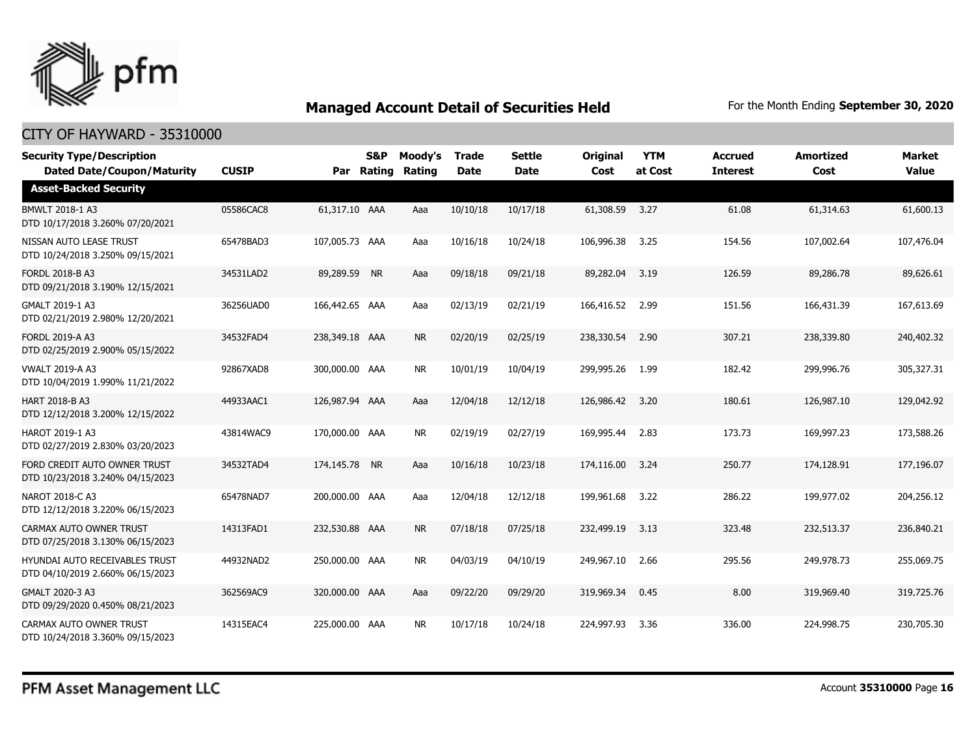

| <b>Security Type/Description</b><br><b>Dated Date/Coupon/Maturity</b> | <b>CUSIP</b> | Par            | <b>S&amp;P</b><br>Rating | Moody's<br>Rating | <b>Trade</b><br><b>Date</b> | <b>Settle</b><br><b>Date</b> | <b>Original</b><br>Cost | <b>YTM</b><br>at Cost | <b>Accrued</b><br><b>Interest</b> | <b>Amortized</b><br>Cost | <b>Market</b><br><b>Value</b> |
|-----------------------------------------------------------------------|--------------|----------------|--------------------------|-------------------|-----------------------------|------------------------------|-------------------------|-----------------------|-----------------------------------|--------------------------|-------------------------------|
| <b>Asset-Backed Security</b>                                          |              |                |                          |                   |                             |                              |                         |                       |                                   |                          |                               |
| BMWLT 2018-1 A3<br>DTD 10/17/2018 3.260% 07/20/2021                   | 05586CAC8    | 61,317.10 AAA  |                          | Aaa               | 10/10/18                    | 10/17/18                     | 61,308.59               | 3.27                  | 61.08                             | 61,314.63                | 61,600.13                     |
| NISSAN AUTO LEASE TRUST<br>DTD 10/24/2018 3.250% 09/15/2021           | 65478BAD3    | 107,005.73 AAA |                          | Aaa               | 10/16/18                    | 10/24/18                     | 106,996.38              | 3.25                  | 154.56                            | 107,002.64               | 107,476.04                    |
| <b>FORDL 2018-B A3</b><br>DTD 09/21/2018 3.190% 12/15/2021            | 34531LAD2    | 89,289.59 NR   |                          | Aaa               | 09/18/18                    | 09/21/18                     | 89,282.04               | 3.19                  | 126.59                            | 89,286.78                | 89,626.61                     |
| GMALT 2019-1 A3<br>DTD 02/21/2019 2.980% 12/20/2021                   | 36256UAD0    | 166,442.65 AAA |                          | Aaa               | 02/13/19                    | 02/21/19                     | 166,416.52              | 2.99                  | 151.56                            | 166,431.39               | 167,613.69                    |
| FORDL 2019-A A3<br>DTD 02/25/2019 2.900% 05/15/2022                   | 34532FAD4    | 238,349.18 AAA |                          | <b>NR</b>         | 02/20/19                    | 02/25/19                     | 238,330.54              | 2.90                  | 307.21                            | 238,339.80               | 240,402.32                    |
| <b>VWALT 2019-A A3</b><br>DTD 10/04/2019 1.990% 11/21/2022            | 92867XAD8    | 300,000,00 AAA |                          | <b>NR</b>         | 10/01/19                    | 10/04/19                     | 299,995.26              | 1.99                  | 182.42                            | 299,996.76               | 305,327.31                    |
| HART 2018-B A3<br>DTD 12/12/2018 3.200% 12/15/2022                    | 44933AAC1    | 126,987.94 AAA |                          | Aaa               | 12/04/18                    | 12/12/18                     | 126,986.42              | 3.20                  | 180.61                            | 126,987.10               | 129,042.92                    |
| HAROT 2019-1 A3<br>DTD 02/27/2019 2.830% 03/20/2023                   | 43814WAC9    | 170,000.00 AAA |                          | <b>NR</b>         | 02/19/19                    | 02/27/19                     | 169,995.44              | 2.83                  | 173.73                            | 169,997.23               | 173,588.26                    |
| FORD CREDIT AUTO OWNER TRUST<br>DTD 10/23/2018 3.240% 04/15/2023      | 34532TAD4    | 174,145.78 NR  |                          | Aaa               | 10/16/18                    | 10/23/18                     | 174,116.00              | 3.24                  | 250.77                            | 174,128.91               | 177,196.07                    |
| NAROT 2018-C A3<br>DTD 12/12/2018 3.220% 06/15/2023                   | 65478NAD7    | 200,000.00 AAA |                          | Aaa               | 12/04/18                    | 12/12/18                     | 199,961.68              | 3.22                  | 286.22                            | 199,977.02               | 204,256.12                    |
| CARMAX AUTO OWNER TRUST<br>DTD 07/25/2018 3.130% 06/15/2023           | 14313FAD1    | 232,530.88 AAA |                          | <b>NR</b>         | 07/18/18                    | 07/25/18                     | 232,499.19              | 3.13                  | 323.48                            | 232,513.37               | 236,840.21                    |
| HYUNDAI AUTO RECEIVABLES TRUST<br>DTD 04/10/2019 2.660% 06/15/2023    | 44932NAD2    | 250,000.00 AAA |                          | <b>NR</b>         | 04/03/19                    | 04/10/19                     | 249,967.10              | 2.66                  | 295.56                            | 249,978.73               | 255,069.75                    |
| GMALT 2020-3 A3<br>DTD 09/29/2020 0.450% 08/21/2023                   | 362569AC9    | 320,000.00 AAA |                          | Aaa               | 09/22/20                    | 09/29/20                     | 319,969.34              | 0.45                  | 8.00                              | 319,969.40               | 319,725.76                    |
| CARMAX AUTO OWNER TRUST<br>DTD 10/24/2018 3.360% 09/15/2023           | 14315EAC4    | 225,000.00 AAA |                          | <b>NR</b>         | 10/17/18                    | 10/24/18                     | 224,997.93              | 3.36                  | 336.00                            | 224,998.75               | 230,705.30                    |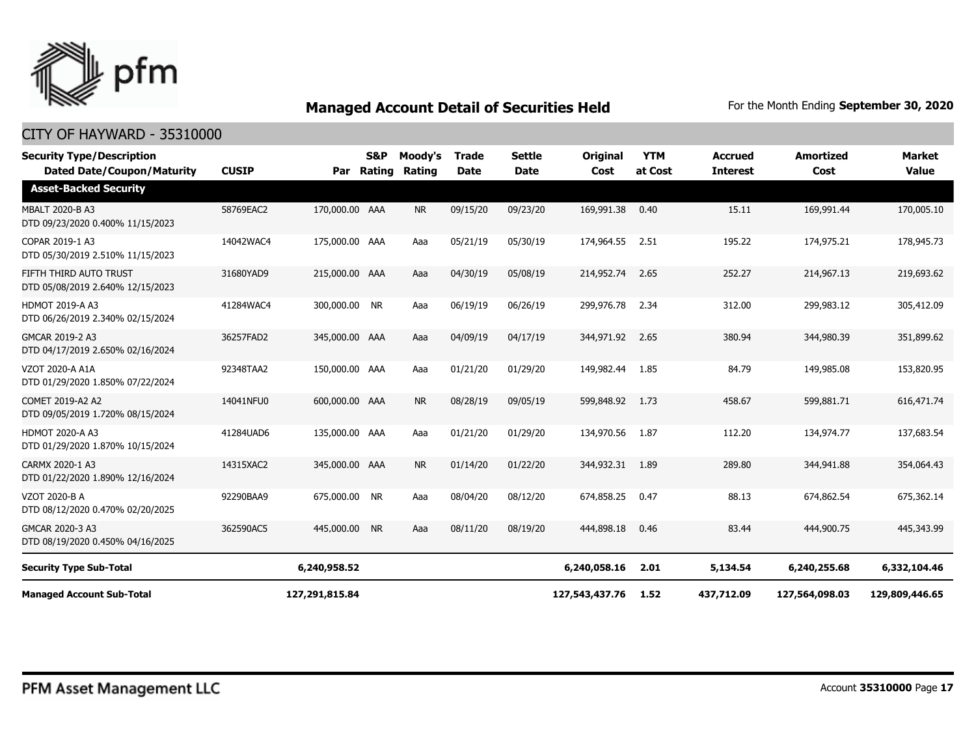

| <b>Security Type/Description</b><br><b>Dated Date/Coupon/Maturity</b> | <b>CUSIP</b> | Par            | <b>S&amp;P</b><br>Rating | Moody's<br>Rating | <b>Trade</b><br><b>Date</b> | <b>Settle</b><br><b>Date</b> | Original<br>Cost | <b>YTM</b><br>at Cost | <b>Accrued</b><br><b>Interest</b> | <b>Amortized</b><br>Cost | <b>Market</b><br><b>Value</b> |
|-----------------------------------------------------------------------|--------------|----------------|--------------------------|-------------------|-----------------------------|------------------------------|------------------|-----------------------|-----------------------------------|--------------------------|-------------------------------|
| <b>Asset-Backed Security</b>                                          |              |                |                          |                   |                             |                              |                  |                       |                                   |                          |                               |
| <b>MBALT 2020-B A3</b><br>DTD 09/23/2020 0.400% 11/15/2023            | 58769EAC2    | 170,000.00 AAA |                          | <b>NR</b>         | 09/15/20                    | 09/23/20                     | 169,991.38       | 0.40                  | 15.11                             | 169,991.44               | 170,005.10                    |
| COPAR 2019-1 A3<br>DTD 05/30/2019 2.510% 11/15/2023                   | 14042WAC4    | 175,000.00 AAA |                          | Aaa               | 05/21/19                    | 05/30/19                     | 174,964.55       | 2.51                  | 195.22                            | 174,975.21               | 178,945.73                    |
| FIFTH THIRD AUTO TRUST<br>DTD 05/08/2019 2.640% 12/15/2023            | 31680YAD9    | 215,000.00 AAA |                          | Aaa               | 04/30/19                    | 05/08/19                     | 214,952.74       | 2.65                  | 252.27                            | 214,967.13               | 219,693.62                    |
| <b>HDMOT 2019-A A3</b><br>DTD 06/26/2019 2.340% 02/15/2024            | 41284WAC4    | 300,000.00 NR  |                          | Aaa               | 06/19/19                    | 06/26/19                     | 299,976.78       | 2.34                  | 312.00                            | 299,983.12               | 305,412.09                    |
| GMCAR 2019-2 A3<br>DTD 04/17/2019 2.650% 02/16/2024                   | 36257FAD2    | 345,000.00 AAA |                          | Aaa               | 04/09/19                    | 04/17/19                     | 344,971.92       | 2.65                  | 380.94                            | 344,980.39               | 351,899.62                    |
| VZOT 2020-A A1A<br>DTD 01/29/2020 1.850% 07/22/2024                   | 92348TAA2    | 150,000.00 AAA |                          | Aaa               | 01/21/20                    | 01/29/20                     | 149,982.44       | 1.85                  | 84.79                             | 149,985.08               | 153,820.95                    |
| COMET 2019-A2 A2<br>DTD 09/05/2019 1.720% 08/15/2024                  | 14041NFU0    | 600,000,00 AAA |                          | <b>NR</b>         | 08/28/19                    | 09/05/19                     | 599,848.92       | 1.73                  | 458.67                            | 599.881.71               | 616,471.74                    |
| <b>HDMOT 2020-A A3</b><br>DTD 01/29/2020 1.870% 10/15/2024            | 41284UAD6    | 135,000.00 AAA |                          | Aaa               | 01/21/20                    | 01/29/20                     | 134,970.56       | 1.87                  | 112.20                            | 134,974.77               | 137,683.54                    |
| CARMX 2020-1 A3<br>DTD 01/22/2020 1.890% 12/16/2024                   | 14315XAC2    | 345,000.00 AAA |                          | <b>NR</b>         | 01/14/20                    | 01/22/20                     | 344,932.31       | 1.89                  | 289.80                            | 344,941.88               | 354,064.43                    |
| VZOT 2020-B A<br>DTD 08/12/2020 0.470% 02/20/2025                     | 92290BAA9    | 675,000.00 NR  |                          | Aaa               | 08/04/20                    | 08/12/20                     | 674,858.25       | 0.47                  | 88.13                             | 674,862.54               | 675,362.14                    |
| GMCAR 2020-3 A3<br>DTD 08/19/2020 0.450% 04/16/2025                   | 362590AC5    | 445,000.00     | <b>NR</b>                | Aaa               | 08/11/20                    | 08/19/20                     | 444,898.18       | 0.46                  | 83.44                             | 444,900.75               | 445,343.99                    |
| <b>Security Type Sub-Total</b>                                        |              | 6,240,958.52   |                          |                   |                             |                              | 6,240,058.16     | 2.01                  | 5,134.54                          | 6,240,255.68             | 6,332,104.46                  |
| <b>Managed Account Sub-Total</b>                                      |              | 127,291,815.84 |                          |                   |                             |                              | 127,543,437.76   | 1.52                  | 437,712.09                        | 127,564,098.03           | 129,809,446.65                |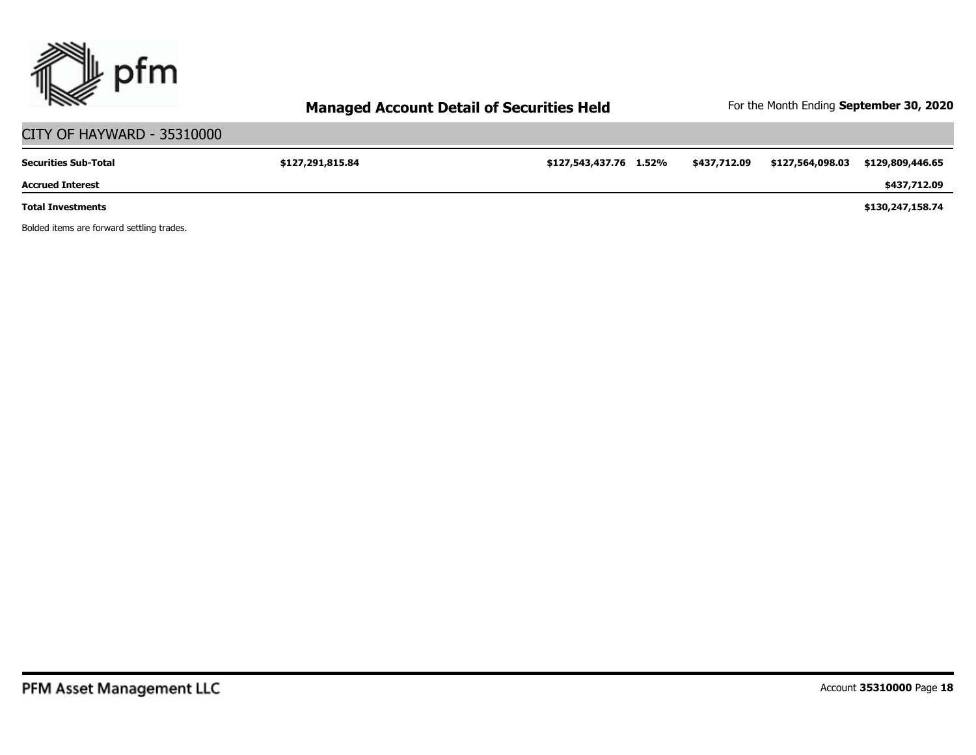

# CITY OF HAYWARD - 35310000

| <b>Securities Sub-Total</b> | \$127,291,815.84 | \$127,543,437.76 1.52% | \$437,712.09 | \$127,564,098.03 | \$129,809,446.65 |
|-----------------------------|------------------|------------------------|--------------|------------------|------------------|
| <b>Accrued Interest</b>     |                  |                        |              |                  | \$437,712.09     |
| <b>Total Investments</b>    |                  |                        |              |                  | \$130,247,158.74 |

Bolded items are forward settling trades.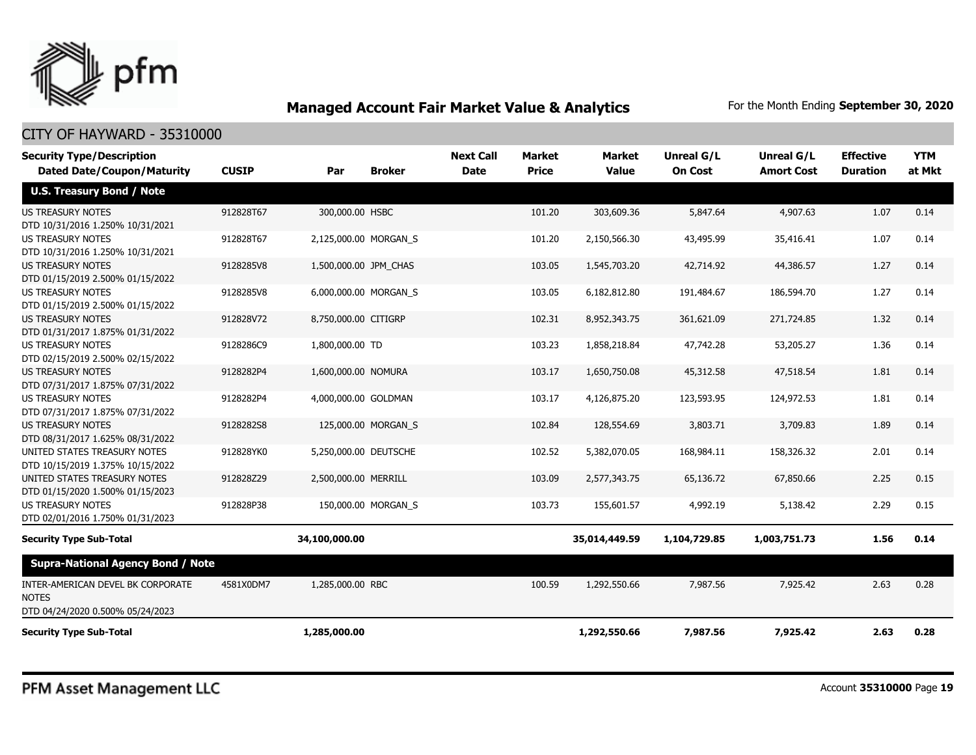

| <b>Security Type/Description</b><br><b>Dated Date/Coupon/Maturity</b>                 | <b>CUSIP</b> | Par                   | <b>Broker</b>       | <b>Next Call</b><br><b>Date</b> | <b>Market</b><br><b>Price</b> | <b>Market</b><br><b>Value</b> | Unreal G/L<br><b>On Cost</b> | <b>Unreal G/L</b><br><b>Amort Cost</b> | <b>Effective</b><br><b>Duration</b> | <b>YTM</b><br>at Mkt |
|---------------------------------------------------------------------------------------|--------------|-----------------------|---------------------|---------------------------------|-------------------------------|-------------------------------|------------------------------|----------------------------------------|-------------------------------------|----------------------|
| <b>U.S. Treasury Bond / Note</b>                                                      |              |                       |                     |                                 |                               |                               |                              |                                        |                                     |                      |
| <b>US TREASURY NOTES</b><br>DTD 10/31/2016 1.250% 10/31/2021                          | 912828T67    | 300,000.00 HSBC       |                     |                                 | 101.20                        | 303,609.36                    | 5,847.64                     | 4,907.63                               | 1.07                                | 0.14                 |
| <b>US TREASURY NOTES</b><br>DTD 10/31/2016 1.250% 10/31/2021                          | 912828T67    | 2,125,000.00 MORGAN S |                     |                                 | 101.20                        | 2,150,566.30                  | 43,495.99                    | 35,416.41                              | 1.07                                | 0.14                 |
| <b>US TREASURY NOTES</b><br>DTD 01/15/2019 2.500% 01/15/2022                          | 9128285V8    | 1,500,000.00 JPM_CHAS |                     |                                 | 103.05                        | 1,545,703.20                  | 42,714.92                    | 44,386.57                              | 1.27                                | 0.14                 |
| <b>US TREASURY NOTES</b><br>DTD 01/15/2019 2.500% 01/15/2022                          | 9128285V8    | 6,000,000.00 MORGAN S |                     |                                 | 103.05                        | 6,182,812.80                  | 191,484.67                   | 186,594.70                             | 1.27                                | 0.14                 |
| <b>US TREASURY NOTES</b><br>DTD 01/31/2017 1.875% 01/31/2022                          | 912828V72    | 8,750,000.00 CITIGRP  |                     |                                 | 102.31                        | 8,952,343.75                  | 361,621.09                   | 271,724.85                             | 1.32                                | 0.14                 |
| <b>US TREASURY NOTES</b><br>DTD 02/15/2019 2.500% 02/15/2022                          | 9128286C9    | 1,800,000.00 TD       |                     |                                 | 103.23                        | 1,858,218.84                  | 47,742.28                    | 53,205.27                              | 1.36                                | 0.14                 |
| <b>US TREASURY NOTES</b><br>DTD 07/31/2017 1.875% 07/31/2022                          | 9128282P4    | 1,600,000.00 NOMURA   |                     |                                 | 103.17                        | 1,650,750.08                  | 45,312.58                    | 47,518.54                              | 1.81                                | 0.14                 |
| <b>US TREASURY NOTES</b><br>DTD 07/31/2017 1.875% 07/31/2022                          | 9128282P4    | 4,000,000.00 GOLDMAN  |                     |                                 | 103.17                        | 4,126,875.20                  | 123,593.95                   | 124,972.53                             | 1.81                                | 0.14                 |
| <b>US TREASURY NOTES</b><br>DTD 08/31/2017 1.625% 08/31/2022                          | 9128282S8    |                       | 125,000.00 MORGAN S |                                 | 102.84                        | 128,554.69                    | 3,803.71                     | 3,709.83                               | 1.89                                | 0.14                 |
| UNITED STATES TREASURY NOTES<br>DTD 10/15/2019 1.375% 10/15/2022                      | 912828YK0    | 5,250,000.00 DEUTSCHE |                     |                                 | 102.52                        | 5,382,070.05                  | 168,984.11                   | 158,326.32                             | 2.01                                | 0.14                 |
| UNITED STATES TREASURY NOTES<br>DTD 01/15/2020 1.500% 01/15/2023                      | 912828Z29    | 2,500,000.00 MERRILL  |                     |                                 | 103.09                        | 2,577,343,75                  | 65,136.72                    | 67,850.66                              | 2.25                                | 0.15                 |
| <b>US TREASURY NOTES</b><br>DTD 02/01/2016 1.750% 01/31/2023                          | 912828P38    |                       | 150,000.00 MORGAN S |                                 | 103.73                        | 155,601.57                    | 4,992.19                     | 5,138.42                               | 2.29                                | 0.15                 |
| <b>Security Type Sub-Total</b>                                                        |              | 34,100,000.00         |                     |                                 |                               | 35,014,449.59                 | 1,104,729.85                 | 1,003,751.73                           | 1.56                                | 0.14                 |
| <b>Supra-National Agency Bond / Note</b>                                              |              |                       |                     |                                 |                               |                               |                              |                                        |                                     |                      |
| INTER-AMERICAN DEVEL BK CORPORATE<br><b>NOTES</b><br>DTD 04/24/2020 0.500% 05/24/2023 | 4581X0DM7    | 1,285,000.00 RBC      |                     |                                 | 100.59                        | 1,292,550.66                  | 7,987.56                     | 7,925.42                               | 2.63                                | 0.28                 |
| <b>Security Type Sub-Total</b>                                                        |              | 1,285,000.00          |                     |                                 |                               | 1,292,550.66                  | 7,987.56                     | 7,925.42                               | 2.63                                | 0.28                 |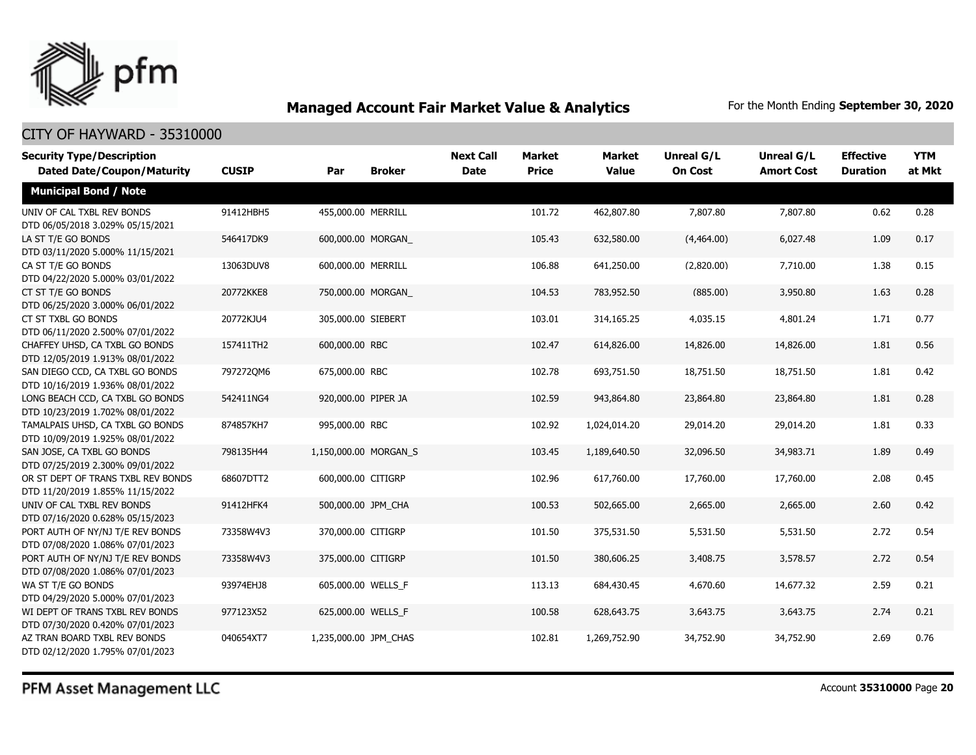

| <b>Security Type/Description</b><br><b>Dated Date/Coupon/Maturity</b>  | <b>CUSIP</b> | Par                   | <b>Broker</b> | <b>Next Call</b><br><b>Date</b> | <b>Market</b><br><b>Price</b> | <b>Market</b><br><b>Value</b> | <b>Unreal G/L</b><br><b>On Cost</b> | Unreal G/L<br><b>Amort Cost</b> | <b>Effective</b><br><b>Duration</b> | <b>YTM</b><br>at Mkt |
|------------------------------------------------------------------------|--------------|-----------------------|---------------|---------------------------------|-------------------------------|-------------------------------|-------------------------------------|---------------------------------|-------------------------------------|----------------------|
| <b>Municipal Bond / Note</b>                                           |              |                       |               |                                 |                               |                               |                                     |                                 |                                     |                      |
| UNIV OF CAL TXBL REV BONDS<br>DTD 06/05/2018 3.029% 05/15/2021         | 91412HBH5    | 455,000.00 MERRILL    |               |                                 | 101.72                        | 462,807.80                    | 7,807.80                            | 7,807.80                        | 0.62                                | 0.28                 |
| LA ST T/E GO BONDS<br>DTD 03/11/2020 5.000% 11/15/2021                 | 546417DK9    | 600,000.00 MORGAN     |               |                                 | 105.43                        | 632,580.00                    | (4,464.00)                          | 6,027.48                        | 1.09                                | 0.17                 |
| CA ST T/E GO BONDS<br>DTD 04/22/2020 5.000% 03/01/2022                 | 13063DUV8    | 600,000.00 MERRILL    |               |                                 | 106.88                        | 641,250.00                    | (2,820.00)                          | 7,710.00                        | 1.38                                | 0.15                 |
| CT ST T/E GO BONDS<br>DTD 06/25/2020 3.000% 06/01/2022                 | 20772KKE8    | 750,000.00 MORGAN     |               |                                 | 104.53                        | 783,952.50                    | (885.00)                            | 3,950.80                        | 1.63                                | 0.28                 |
| CT ST TXBL GO BONDS<br>DTD 06/11/2020 2.500% 07/01/2022                | 20772KJU4    | 305,000.00 SIEBERT    |               |                                 | 103.01                        | 314,165.25                    | 4,035.15                            | 4,801.24                        | 1.71                                | 0.77                 |
| CHAFFEY UHSD, CA TXBL GO BONDS<br>DTD 12/05/2019 1.913% 08/01/2022     | 157411TH2    | 600,000.00 RBC        |               |                                 | 102.47                        | 614,826.00                    | 14,826.00                           | 14,826.00                       | 1.81                                | 0.56                 |
| SAN DIEGO CCD, CA TXBL GO BONDS<br>DTD 10/16/2019 1.936% 08/01/2022    | 7972720M6    | 675,000.00 RBC        |               |                                 | 102.78                        | 693,751.50                    | 18,751.50                           | 18,751.50                       | 1.81                                | 0.42                 |
| LONG BEACH CCD, CA TXBL GO BONDS<br>DTD 10/23/2019 1.702% 08/01/2022   | 542411NG4    | 920,000.00 PIPER JA   |               |                                 | 102.59                        | 943,864.80                    | 23,864.80                           | 23,864.80                       | 1.81                                | 0.28                 |
| TAMALPAIS UHSD, CA TXBL GO BONDS<br>DTD 10/09/2019 1.925% 08/01/2022   | 874857KH7    | 995,000.00 RBC        |               |                                 | 102.92                        | 1,024,014.20                  | 29,014.20                           | 29,014.20                       | 1.81                                | 0.33                 |
| SAN JOSE, CA TXBL GO BONDS<br>DTD 07/25/2019 2.300% 09/01/2022         | 798135H44    | 1,150,000.00 MORGAN S |               |                                 | 103.45                        | 1,189,640.50                  | 32,096.50                           | 34,983.71                       | 1.89                                | 0.49                 |
| OR ST DEPT OF TRANS TXBL REV BONDS<br>DTD 11/20/2019 1.855% 11/15/2022 | 68607DTT2    | 600,000.00 CITIGRP    |               |                                 | 102.96                        | 617,760.00                    | 17,760.00                           | 17,760.00                       | 2.08                                | 0.45                 |
| UNIV OF CAL TXBL REV BONDS<br>DTD 07/16/2020 0.628% 05/15/2023         | 91412HFK4    | 500,000.00 JPM CHA    |               |                                 | 100.53                        | 502,665.00                    | 2,665.00                            | 2,665.00                        | 2.60                                | 0.42                 |
| PORT AUTH OF NY/NJ T/E REV BONDS<br>DTD 07/08/2020 1.086% 07/01/2023   | 73358W4V3    | 370,000.00 CITIGRP    |               |                                 | 101.50                        | 375,531.50                    | 5,531.50                            | 5,531.50                        | 2.72                                | 0.54                 |
| PORT AUTH OF NY/NJ T/E REV BONDS<br>DTD 07/08/2020 1.086% 07/01/2023   | 73358W4V3    | 375,000.00 CITIGRP    |               |                                 | 101.50                        | 380,606.25                    | 3,408.75                            | 3,578.57                        | 2.72                                | 0.54                 |
| WA ST T/E GO BONDS<br>DTD 04/29/2020 5.000% 07/01/2023                 | 93974EHJ8    | 605,000.00 WELLS F    |               |                                 | 113.13                        | 684,430.45                    | 4,670.60                            | 14,677.32                       | 2.59                                | 0.21                 |
| WI DEPT OF TRANS TXBL REV BONDS<br>DTD 07/30/2020 0.420% 07/01/2023    | 977123X52    | 625,000.00 WELLS F    |               |                                 | 100.58                        | 628,643.75                    | 3,643.75                            | 3,643.75                        | 2.74                                | 0.21                 |
| AZ TRAN BOARD TXBL REV BONDS<br>DTD 02/12/2020 1.795% 07/01/2023       | 040654XT7    | 1,235,000.00 JPM CHAS |               |                                 | 102.81                        | 1,269,752.90                  | 34,752.90                           | 34,752.90                       | 2.69                                | 0.76                 |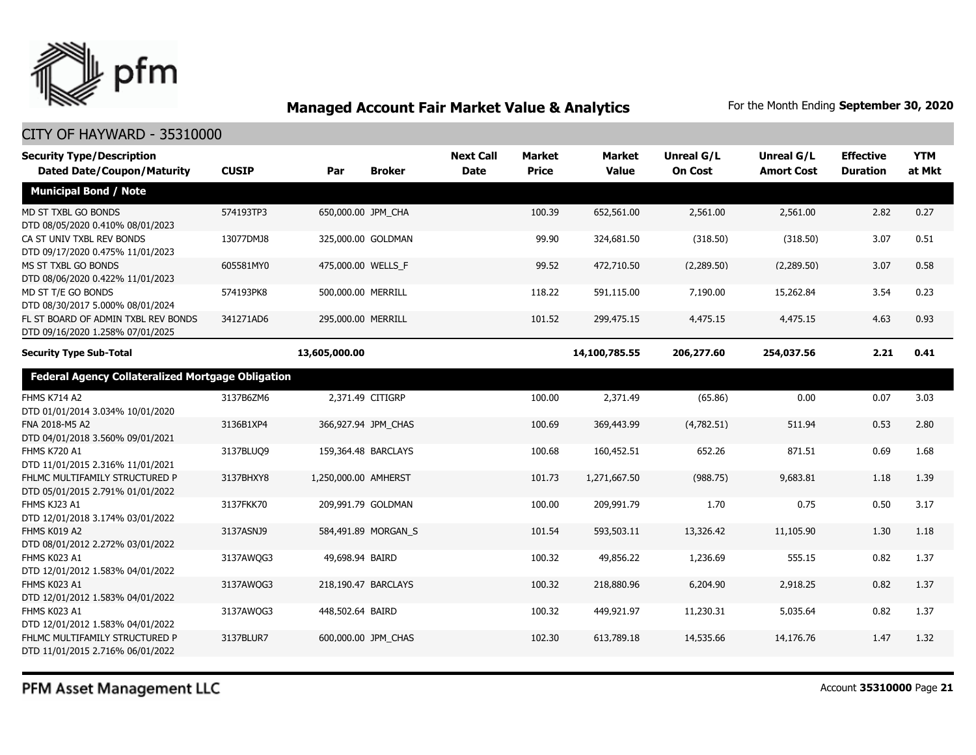

| <b>Security Type/Description</b><br><b>Dated Date/Coupon/Maturity</b>   | <b>CUSIP</b> | Par                  | <b>Broker</b>       | <b>Next Call</b><br><b>Date</b> | <b>Market</b><br><b>Price</b> | Market<br><b>Value</b> | Unreal G/L<br><b>On Cost</b> | Unreal G/L<br><b>Amort Cost</b> | <b>Effective</b><br><b>Duration</b> | <b>YTM</b><br>at Mkt |
|-------------------------------------------------------------------------|--------------|----------------------|---------------------|---------------------------------|-------------------------------|------------------------|------------------------------|---------------------------------|-------------------------------------|----------------------|
| <b>Municipal Bond / Note</b>                                            |              |                      |                     |                                 |                               |                        |                              |                                 |                                     |                      |
| MD ST TXBL GO BONDS<br>DTD 08/05/2020 0.410% 08/01/2023                 | 574193TP3    | 650,000.00 JPM_CHA   |                     |                                 | 100.39                        | 652,561.00             | 2,561.00                     | 2,561.00                        | 2.82                                | 0.27                 |
| CA ST UNIV TXBL REV BONDS<br>DTD 09/17/2020 0.475% 11/01/2023           | 13077DMJ8    |                      | 325,000.00 GOLDMAN  |                                 | 99.90                         | 324,681.50             | (318.50)                     | (318.50)                        | 3.07                                | 0.51                 |
| MS ST TXBL GO BONDS<br>DTD 08/06/2020 0.422% 11/01/2023                 | 605581MY0    | 475,000.00 WELLS_F   |                     |                                 | 99.52                         | 472,710.50             | (2,289.50)                   | (2,289.50)                      | 3.07                                | 0.58                 |
| MD ST T/E GO BONDS<br>DTD 08/30/2017 5.000% 08/01/2024                  | 574193PK8    | 500,000.00 MERRILL   |                     |                                 | 118.22                        | 591,115.00             | 7,190.00                     | 15,262.84                       | 3.54                                | 0.23                 |
| FL ST BOARD OF ADMIN TXBL REV BONDS<br>DTD 09/16/2020 1.258% 07/01/2025 | 341271AD6    | 295,000.00 MERRILL   |                     |                                 | 101.52                        | 299,475.15             | 4,475.15                     | 4,475.15                        | 4.63                                | 0.93                 |
| <b>Security Type Sub-Total</b>                                          |              | 13,605,000.00        |                     |                                 |                               | 14,100,785.55          | 206,277.60                   | 254,037.56                      | 2.21                                | 0.41                 |
| <b>Federal Agency Collateralized Mortgage Obligation</b>                |              |                      |                     |                                 |                               |                        |                              |                                 |                                     |                      |
| <b>FHMS K714 A2</b><br>DTD 01/01/2014 3.034% 10/01/2020                 | 3137B6ZM6    |                      | 2,371.49 CITIGRP    |                                 | 100.00                        | 2,371.49               | (65.86)                      | 0.00                            | 0.07                                | 3.03                 |
| FNA 2018-M5 A2<br>DTD 04/01/2018 3.560% 09/01/2021                      | 3136B1XP4    |                      | 366,927.94 JPM_CHAS |                                 | 100.69                        | 369,443.99             | (4,782.51)                   | 511.94                          | 0.53                                | 2.80                 |
| <b>FHMS K720 A1</b><br>DTD 11/01/2015 2.316% 11/01/2021                 | 3137BLUQ9    |                      | 159,364.48 BARCLAYS |                                 | 100.68                        | 160,452.51             | 652.26                       | 871.51                          | 0.69                                | 1.68                 |
| FHLMC MULTIFAMILY STRUCTURED P<br>DTD 05/01/2015 2.791% 01/01/2022      | 3137BHXY8    | 1,250,000.00 AMHERST |                     |                                 | 101.73                        | 1,271,667.50           | (988.75)                     | 9,683.81                        | 1.18                                | 1.39                 |
| FHMS KJ23 A1<br>DTD 12/01/2018 3.174% 03/01/2022                        | 3137FKK70    |                      | 209,991.79 GOLDMAN  |                                 | 100.00                        | 209,991.79             | 1.70                         | 0.75                            | 0.50                                | 3.17                 |
| FHMS K019 A2<br>DTD 08/01/2012 2.272% 03/01/2022                        | 3137ASNJ9    |                      | 584,491.89 MORGAN_S |                                 | 101.54                        | 593,503.11             | 13,326.42                    | 11,105.90                       | 1.30                                | 1.18                 |
| <b>FHMS K023 A1</b><br>DTD 12/01/2012 1.583% 04/01/2022                 | 3137AWQG3    | 49,698.94 BAIRD      |                     |                                 | 100.32                        | 49,856.22              | 1,236.69                     | 555.15                          | 0.82                                | 1.37                 |
| FHMS K023 A1<br>DTD 12/01/2012 1.583% 04/01/2022                        | 3137AWQG3    |                      | 218,190.47 BARCLAYS |                                 | 100.32                        | 218,880.96             | 6,204.90                     | 2,918.25                        | 0.82                                | 1.37                 |
| FHMS K023 A1<br>DTD 12/01/2012 1.583% 04/01/2022                        | 3137AWQG3    | 448,502.64 BAIRD     |                     |                                 | 100.32                        | 449,921.97             | 11,230.31                    | 5,035.64                        | 0.82                                | 1.37                 |
| FHLMC MULTIFAMILY STRUCTURED P<br>DTD 11/01/2015 2.716% 06/01/2022      | 3137BLUR7    |                      | 600,000.00 JPM CHAS |                                 | 102.30                        | 613,789.18             | 14,535.66                    | 14,176.76                       | 1.47                                | 1.32                 |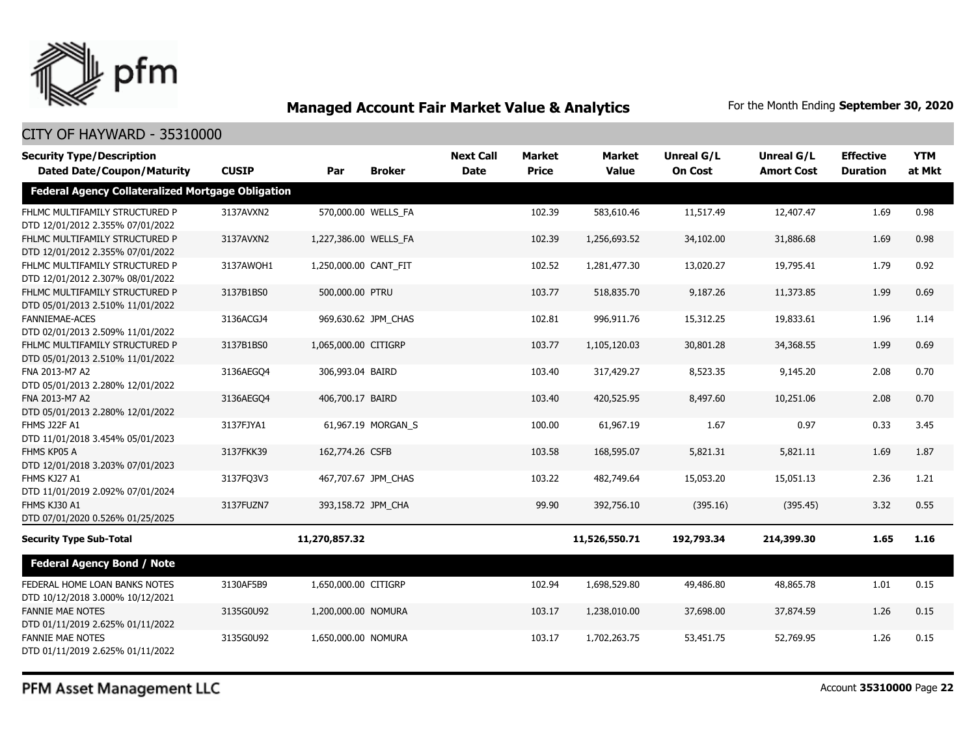

## CITY OF HAYWARD - 35310000

| <b>Security Type/Description</b><br><b>Dated Date/Coupon/Maturity</b> | <b>CUSIP</b> | Par                   | <b>Broker</b>       | <b>Next Call</b><br><b>Date</b> | <b>Market</b><br><b>Price</b> | <b>Market</b><br><b>Value</b> | Unreal G/L<br><b>On Cost</b> | Unreal G/L<br><b>Amort Cost</b> | <b>Effective</b><br><b>Duration</b> | <b>YTM</b><br>at Mkt |
|-----------------------------------------------------------------------|--------------|-----------------------|---------------------|---------------------------------|-------------------------------|-------------------------------|------------------------------|---------------------------------|-------------------------------------|----------------------|
| <b>Federal Agency Collateralized Mortgage Obligation</b>              |              |                       |                     |                                 |                               |                               |                              |                                 |                                     |                      |
| FHLMC MULTIFAMILY STRUCTURED P<br>DTD 12/01/2012 2.355% 07/01/2022    | 3137AVXN2    |                       | 570,000.00 WELLS_FA |                                 | 102.39                        | 583,610.46                    | 11,517.49                    | 12,407.47                       | 1.69                                | 0.98                 |
| FHLMC MULTIFAMILY STRUCTURED P<br>DTD 12/01/2012 2.355% 07/01/2022    | 3137AVXN2    | 1,227,386.00 WELLS FA |                     |                                 | 102.39                        | 1,256,693.52                  | 34,102.00                    | 31,886.68                       | 1.69                                | 0.98                 |
| FHLMC MULTIFAMILY STRUCTURED P<br>DTD 12/01/2012 2.307% 08/01/2022    | 3137AWOH1    | 1,250,000.00 CANT FIT |                     |                                 | 102.52                        | 1,281,477.30                  | 13,020.27                    | 19,795.41                       | 1.79                                | 0.92                 |
| FHLMC MULTIFAMILY STRUCTURED P<br>DTD 05/01/2013 2.510% 11/01/2022    | 3137B1BS0    | 500,000.00 PTRU       |                     |                                 | 103.77                        | 518,835.70                    | 9,187.26                     | 11,373.85                       | 1.99                                | 0.69                 |
| <b>FANNIEMAE-ACES</b><br>DTD 02/01/2013 2.509% 11/01/2022             | 3136ACGJ4    |                       | 969,630.62 JPM_CHAS |                                 | 102.81                        | 996,911.76                    | 15,312.25                    | 19,833.61                       | 1.96                                | 1.14                 |
| FHLMC MULTIFAMILY STRUCTURED P<br>DTD 05/01/2013 2.510% 11/01/2022    | 3137B1BS0    | 1,065,000.00 CITIGRP  |                     |                                 | 103.77                        | 1,105,120.03                  | 30,801.28                    | 34,368.55                       | 1.99                                | 0.69                 |
| FNA 2013-M7 A2<br>DTD 05/01/2013 2.280% 12/01/2022                    | 3136AEGO4    | 306,993.04 BAIRD      |                     |                                 | 103.40                        | 317,429.27                    | 8,523.35                     | 9,145.20                        | 2.08                                | 0.70                 |
| FNA 2013-M7 A2<br>DTD 05/01/2013 2.280% 12/01/2022                    | 3136AEGO4    | 406,700.17 BAIRD      |                     |                                 | 103.40                        | 420,525.95                    | 8,497.60                     | 10,251.06                       | 2.08                                | 0.70                 |
| <b>FHMS J22F A1</b><br>DTD 11/01/2018 3.454% 05/01/2023               | 3137FJYA1    |                       | 61,967.19 MORGAN_S  |                                 | 100.00                        | 61,967.19                     | 1.67                         | 0.97                            | 0.33                                | 3.45                 |
| FHMS KP05 A<br>DTD 12/01/2018 3.203% 07/01/2023                       | 3137FKK39    | 162,774.26 CSFB       |                     |                                 | 103.58                        | 168,595.07                    | 5,821.31                     | 5,821.11                        | 1.69                                | 1.87                 |
| FHMS KJ27 A1<br>DTD 11/01/2019 2.092% 07/01/2024                      | 3137FQ3V3    |                       | 467,707.67 JPM CHAS |                                 | 103.22                        | 482,749.64                    | 15,053.20                    | 15,051.13                       | 2.36                                | 1.21                 |
| FHMS KJ30 A1<br>DTD 07/01/2020 0.526% 01/25/2025                      | 3137FUZN7    | 393,158.72 JPM CHA    |                     |                                 | 99.90                         | 392,756.10                    | (395.16)                     | (395.45)                        | 3.32                                | 0.55                 |
| <b>Security Type Sub-Total</b>                                        |              | 11,270,857.32         |                     |                                 |                               | 11,526,550.71                 | 192,793.34                   | 214,399.30                      | 1.65                                | 1.16                 |
| <b>Federal Agency Bond / Note</b>                                     |              |                       |                     |                                 |                               |                               |                              |                                 |                                     |                      |
| FEDERAL HOME LOAN BANKS NOTES<br>DTD 10/12/2018 3.000% 10/12/2021     | 3130AF5B9    | 1,650,000.00 CITIGRP  |                     |                                 | 102.94                        | 1,698,529.80                  | 49,486.80                    | 48,865.78                       | 1.01                                | 0.15                 |
| <b>FANNIE MAE NOTES</b><br>DTD 01/11/2019 2.625% 01/11/2022           | 3135G0U92    | 1,200,000.00 NOMURA   |                     |                                 | 103.17                        | 1,238,010.00                  | 37,698.00                    | 37,874.59                       | 1.26                                | 0.15                 |
| <b>FANNIE MAE NOTES</b><br>DTD 01/11/2019 2.625% 01/11/2022           | 3135G0U92    | 1,650,000.00 NOMURA   |                     |                                 | 103.17                        | 1,702,263.75                  | 53,451.75                    | 52,769.95                       | 1.26                                | 0.15                 |

PFM Asset Management LLC

Account **35310000** Page **22**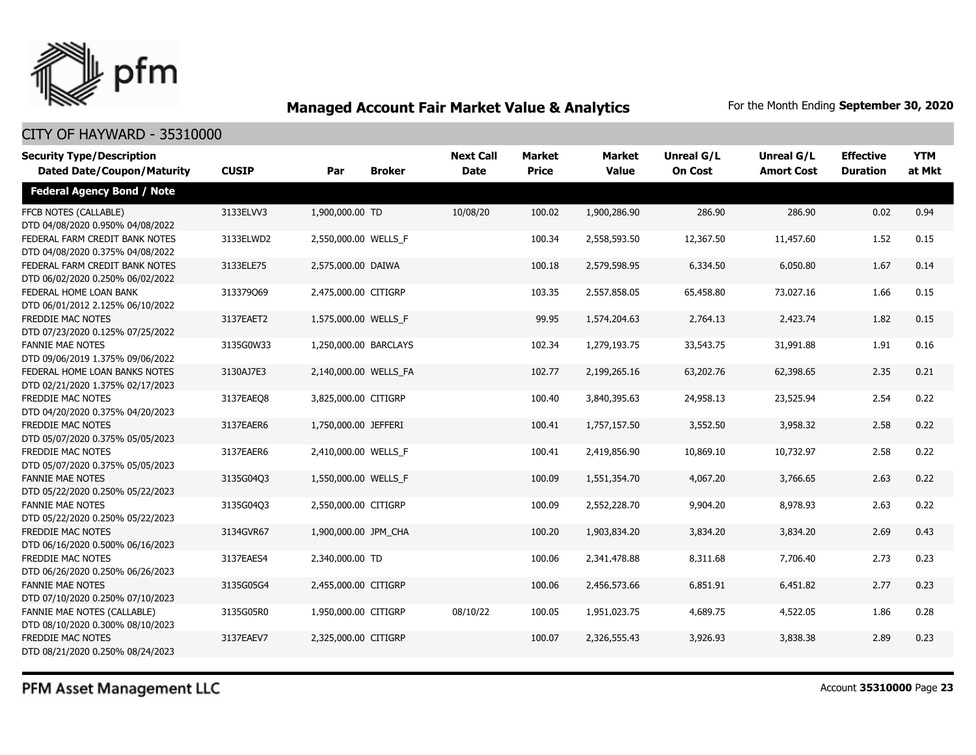

## CITY OF HAYWARD - 35310000

| <b>Security Type/Description</b><br><b>Dated Date/Coupon/Maturity</b> | <b>CUSIP</b> | Par                   | <b>Broker</b> | <b>Next Call</b><br><b>Date</b> | <b>Market</b><br><b>Price</b> | Market<br><b>Value</b> | <b>Unreal G/L</b><br><b>On Cost</b> | Unreal G/L<br><b>Amort Cost</b> | <b>Effective</b><br><b>Duration</b> | <b>YTM</b><br>at Mkt |
|-----------------------------------------------------------------------|--------------|-----------------------|---------------|---------------------------------|-------------------------------|------------------------|-------------------------------------|---------------------------------|-------------------------------------|----------------------|
| <b>Federal Agency Bond / Note</b>                                     |              |                       |               |                                 |                               |                        |                                     |                                 |                                     |                      |
| FFCB NOTES (CALLABLE)<br>DTD 04/08/2020 0.950% 04/08/2022             | 3133ELVV3    | 1,900,000.00 TD       |               | 10/08/20                        | 100.02                        | 1,900,286.90           | 286.90                              | 286.90                          | 0.02                                | 0.94                 |
| FEDERAL FARM CREDIT BANK NOTES<br>DTD 04/08/2020 0.375% 04/08/2022    | 3133ELWD2    | 2,550,000.00 WELLS_F  |               |                                 | 100.34                        | 2,558,593.50           | 12,367.50                           | 11,457.60                       | 1.52                                | 0.15                 |
| FEDERAL FARM CREDIT BANK NOTES<br>DTD 06/02/2020 0.250% 06/02/2022    | 3133ELE75    | 2,575,000.00 DAIWA    |               |                                 | 100.18                        | 2,579,598.95           | 6,334.50                            | 6,050.80                        | 1.67                                | 0.14                 |
| FEDERAL HOME LOAN BANK<br>DTD 06/01/2012 2.125% 06/10/2022            | 313379Q69    | 2,475,000.00 CITIGRP  |               |                                 | 103.35                        | 2,557,858.05           | 65,458.80                           | 73,027.16                       | 1.66                                | 0.15                 |
| FREDDIE MAC NOTES<br>DTD 07/23/2020 0.125% 07/25/2022                 | 3137EAET2    | 1,575,000.00 WELLS_F  |               |                                 | 99.95                         | 1,574,204.63           | 2,764.13                            | 2,423.74                        | 1.82                                | 0.15                 |
| <b>FANNIE MAE NOTES</b><br>DTD 09/06/2019 1.375% 09/06/2022           | 3135G0W33    | 1,250,000.00 BARCLAYS |               |                                 | 102.34                        | 1,279,193.75           | 33,543.75                           | 31,991.88                       | 1.91                                | 0.16                 |
| FEDERAL HOME LOAN BANKS NOTES<br>DTD 02/21/2020 1.375% 02/17/2023     | 3130AJ7E3    | 2,140,000.00 WELLS FA |               |                                 | 102.77                        | 2,199,265.16           | 63,202.76                           | 62,398.65                       | 2.35                                | 0.21                 |
| FREDDIE MAC NOTES<br>DTD 04/20/2020 0.375% 04/20/2023                 | 3137EAEO8    | 3,825,000.00 CITIGRP  |               |                                 | 100.40                        | 3,840,395.63           | 24,958.13                           | 23,525.94                       | 2.54                                | 0.22                 |
| <b>FREDDIE MAC NOTES</b><br>DTD 05/07/2020 0.375% 05/05/2023          | 3137EAER6    | 1,750,000.00 JEFFERI  |               |                                 | 100.41                        | 1,757,157.50           | 3,552.50                            | 3,958.32                        | 2.58                                | 0.22                 |
| FREDDIE MAC NOTES<br>DTD 05/07/2020 0.375% 05/05/2023                 | 3137EAER6    | 2,410,000.00 WELLS_F  |               |                                 | 100.41                        | 2,419,856.90           | 10,869.10                           | 10,732.97                       | 2.58                                | 0.22                 |
| <b>FANNIE MAE NOTES</b><br>DTD 05/22/2020 0.250% 05/22/2023           | 3135G04Q3    | 1,550,000.00 WELLS F  |               |                                 | 100.09                        | 1,551,354.70           | 4,067.20                            | 3,766.65                        | 2.63                                | 0.22                 |
| <b>FANNIE MAE NOTES</b><br>DTD 05/22/2020 0.250% 05/22/2023           | 3135G04Q3    | 2,550,000.00 CITIGRP  |               |                                 | 100.09                        | 2,552,228.70           | 9,904.20                            | 8,978.93                        | 2.63                                | 0.22                 |
| <b>FREDDIE MAC NOTES</b><br>DTD 06/16/2020 0.500% 06/16/2023          | 3134GVR67    | 1,900,000.00 JPM_CHA  |               |                                 | 100.20                        | 1,903,834.20           | 3,834.20                            | 3,834.20                        | 2.69                                | 0.43                 |
| FREDDIE MAC NOTES<br>DTD 06/26/2020 0.250% 06/26/2023                 | 3137EAES4    | 2,340,000.00 TD       |               |                                 | 100.06                        | 2,341,478.88           | 8,311.68                            | 7,706.40                        | 2.73                                | 0.23                 |
| <b>FANNIE MAE NOTES</b><br>DTD 07/10/2020 0.250% 07/10/2023           | 3135G05G4    | 2,455,000.00 CITIGRP  |               |                                 | 100.06                        | 2,456,573.66           | 6,851.91                            | 6,451.82                        | 2.77                                | 0.23                 |
| FANNIE MAE NOTES (CALLABLE)<br>DTD 08/10/2020 0.300% 08/10/2023       | 3135G05R0    | 1,950,000.00 CITIGRP  |               | 08/10/22                        | 100.05                        | 1,951,023.75           | 4,689.75                            | 4,522.05                        | 1.86                                | 0.28                 |
| <b>FREDDIE MAC NOTES</b><br>DTD 08/21/2020 0.250% 08/24/2023          | 3137EAEV7    | 2.325,000.00 CITIGRP  |               |                                 | 100.07                        | 2,326,555.43           | 3,926.93                            | 3,838.38                        | 2.89                                | 0.23                 |

PFM Asset Management LLC

Account **35310000** Page **23**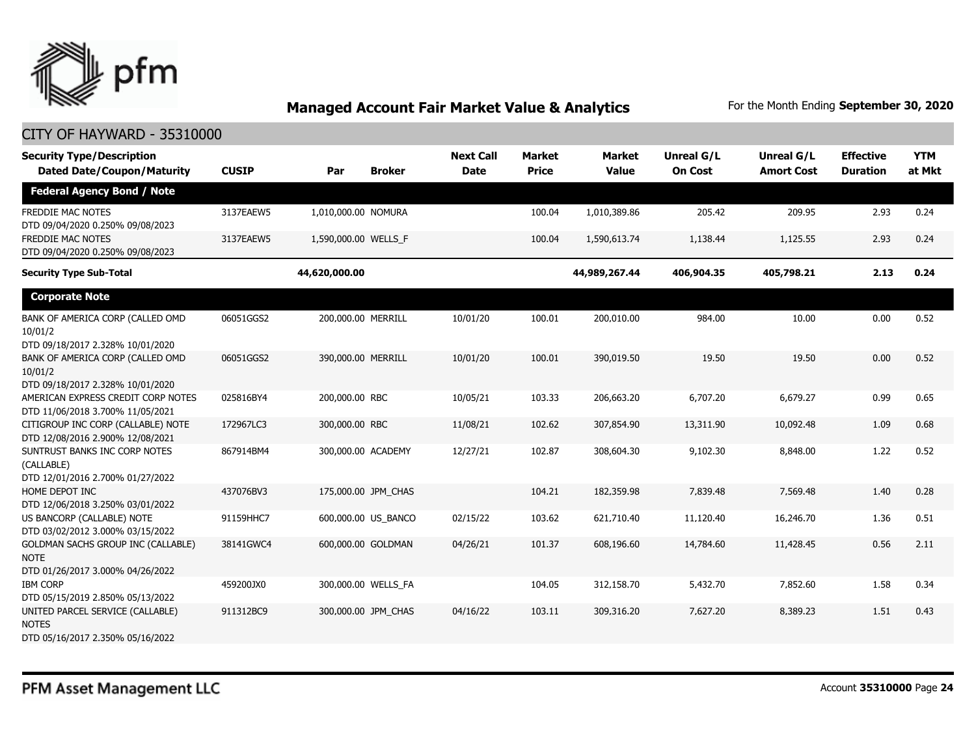

| <b>Security Type/Description</b><br><b>Dated Date/Coupon/Maturity</b>                 | <b>CUSIP</b> | Par                  | <b>Broker</b>       | <b>Next Call</b><br><b>Date</b> | <b>Market</b><br><b>Price</b> | <b>Market</b><br><b>Value</b> | Unreal G/L<br><b>On Cost</b> | Unreal G/L<br><b>Amort Cost</b> | <b>Effective</b><br><b>Duration</b> | <b>YTM</b><br>at Mkt |
|---------------------------------------------------------------------------------------|--------------|----------------------|---------------------|---------------------------------|-------------------------------|-------------------------------|------------------------------|---------------------------------|-------------------------------------|----------------------|
| <b>Federal Agency Bond / Note</b>                                                     |              |                      |                     |                                 |                               |                               |                              |                                 |                                     |                      |
| FREDDIE MAC NOTES<br>DTD 09/04/2020 0.250% 09/08/2023                                 | 3137EAEW5    | 1,010,000.00 NOMURA  |                     |                                 | 100.04                        | 1,010,389.86                  | 205.42                       | 209.95                          | 2.93                                | 0.24                 |
| FREDDIE MAC NOTES<br>DTD 09/04/2020 0.250% 09/08/2023                                 | 3137EAEW5    | 1,590,000.00 WELLS_F |                     |                                 | 100.04                        | 1,590,613.74                  | 1,138.44                     | 1,125.55                        | 2.93                                | 0.24                 |
| <b>Security Type Sub-Total</b>                                                        |              | 44,620,000.00        |                     |                                 |                               | 44,989,267.44                 | 406,904.35                   | 405,798.21                      | 2.13                                | 0.24                 |
| <b>Corporate Note</b>                                                                 |              |                      |                     |                                 |                               |                               |                              |                                 |                                     |                      |
| BANK OF AMERICA CORP (CALLED OMD<br>10/01/2<br>DTD 09/18/2017 2.328% 10/01/2020       | 06051GGS2    | 200,000.00 MERRILL   |                     | 10/01/20                        | 100.01                        | 200,010.00                    | 984.00                       | 10.00                           | 0.00                                | 0.52                 |
| BANK OF AMERICA CORP (CALLED OMD<br>10/01/2<br>DTD 09/18/2017 2.328% 10/01/2020       | 06051GGS2    | 390,000.00 MERRILL   |                     | 10/01/20                        | 100.01                        | 390,019.50                    | 19.50                        | 19.50                           | 0.00                                | 0.52                 |
| AMERICAN EXPRESS CREDIT CORP NOTES<br>DTD 11/06/2018 3.700% 11/05/2021                | 025816BY4    | 200,000.00 RBC       |                     | 10/05/21                        | 103.33                        | 206,663.20                    | 6,707.20                     | 6,679.27                        | 0.99                                | 0.65                 |
| CITIGROUP INC CORP (CALLABLE) NOTE<br>DTD 12/08/2016 2.900% 12/08/2021                | 172967LC3    | 300,000.00 RBC       |                     | 11/08/21                        | 102.62                        | 307,854.90                    | 13,311.90                    | 10,092.48                       | 1.09                                | 0.68                 |
| SUNTRUST BANKS INC CORP NOTES<br>(CALLABLE)<br>DTD 12/01/2016 2.700% 01/27/2022       | 867914BM4    | 300,000.00 ACADEMY   |                     | 12/27/21                        | 102.87                        | 308,604.30                    | 9,102.30                     | 8,848.00                        | 1.22                                | 0.52                 |
| HOME DEPOT INC<br>DTD 12/06/2018 3.250% 03/01/2022                                    | 437076BV3    | 175,000.00 JPM CHAS  |                     |                                 | 104.21                        | 182,359.98                    | 7,839.48                     | 7,569.48                        | 1.40                                | 0.28                 |
| US BANCORP (CALLABLE) NOTE<br>DTD 03/02/2012 3.000% 03/15/2022                        | 91159HHC7    |                      | 600,000.00 US BANCO | 02/15/22                        | 103.62                        | 621,710.40                    | 11,120.40                    | 16,246.70                       | 1.36                                | 0.51                 |
| GOLDMAN SACHS GROUP INC (CALLABLE)<br><b>NOTE</b><br>DTD 01/26/2017 3.000% 04/26/2022 | 38141GWC4    | 600,000.00 GOLDMAN   |                     | 04/26/21                        | 101.37                        | 608,196.60                    | 14,784.60                    | 11,428.45                       | 0.56                                | 2.11                 |
| <b>IBM CORP</b><br>DTD 05/15/2019 2.850% 05/13/2022                                   | 459200JX0    |                      | 300,000.00 WELLS_FA |                                 | 104.05                        | 312,158.70                    | 5,432.70                     | 7,852.60                        | 1.58                                | 0.34                 |
| UNITED PARCEL SERVICE (CALLABLE)<br><b>NOTES</b><br>DTD 05/16/2017 2.350% 05/16/2022  | 911312BC9    |                      | 300,000.00 JPM_CHAS | 04/16/22                        | 103.11                        | 309,316.20                    | 7,627.20                     | 8,389.23                        | 1.51                                | 0.43                 |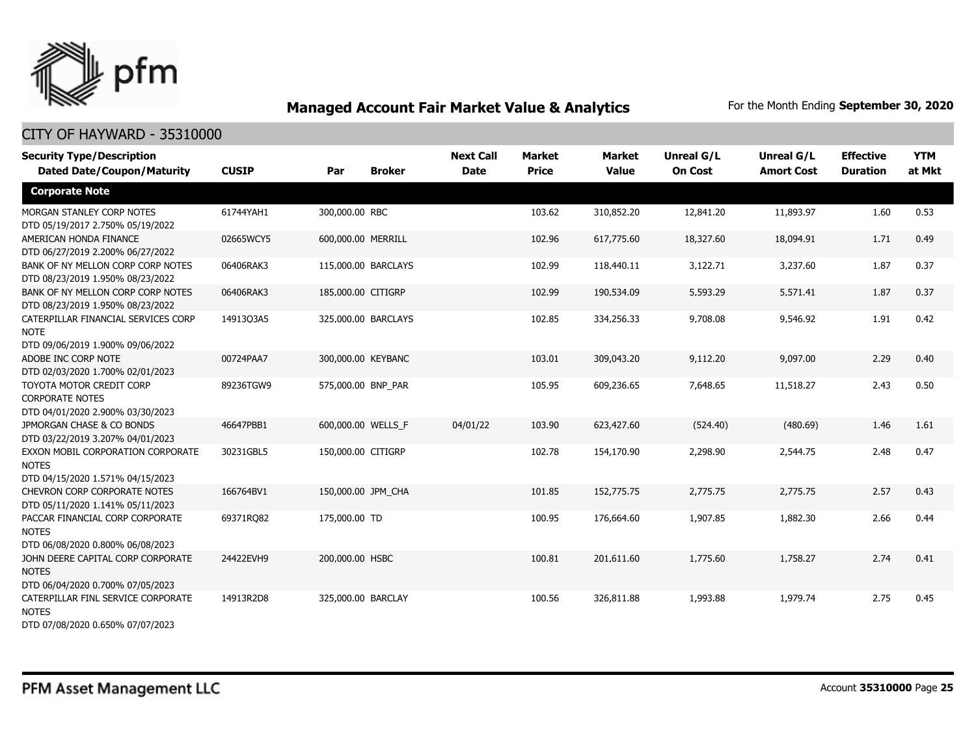

| <b>Security Type/Description</b><br><b>Dated Date/Coupon/Maturity</b>                       | <b>CUSIP</b> | Par                 | <b>Broker</b> | <b>Next Call</b><br><b>Date</b> | <b>Market</b><br><b>Price</b> | <b>Market</b><br><b>Value</b> | <b>Unreal G/L</b><br><b>On Cost</b> | Unreal G/L<br><b>Amort Cost</b> | <b>Effective</b><br><b>Duration</b> | <b>YTM</b><br>at Mkt |
|---------------------------------------------------------------------------------------------|--------------|---------------------|---------------|---------------------------------|-------------------------------|-------------------------------|-------------------------------------|---------------------------------|-------------------------------------|----------------------|
| <b>Corporate Note</b>                                                                       |              |                     |               |                                 |                               |                               |                                     |                                 |                                     |                      |
| MORGAN STANLEY CORP NOTES<br>DTD 05/19/2017 2.750% 05/19/2022                               | 61744YAH1    | 300,000.00 RBC      |               |                                 | 103.62                        | 310,852.20                    | 12,841.20                           | 11,893.97                       | 1.60                                | 0.53                 |
| AMERICAN HONDA FINANCE<br>DTD 06/27/2019 2.200% 06/27/2022                                  | 02665WCY5    | 600,000.00 MERRILL  |               |                                 | 102.96                        | 617,775.60                    | 18,327.60                           | 18,094.91                       | 1.71                                | 0.49                 |
| BANK OF NY MELLON CORP CORP NOTES<br>DTD 08/23/2019 1.950% 08/23/2022                       | 06406RAK3    | 115,000.00 BARCLAYS |               |                                 | 102.99                        | 118,440.11                    | 3,122.71                            | 3,237.60                        | 1.87                                | 0.37                 |
| BANK OF NY MELLON CORP CORP NOTES<br>DTD 08/23/2019 1.950% 08/23/2022                       | 06406RAK3    | 185,000.00 CITIGRP  |               |                                 | 102.99                        | 190,534.09                    | 5,593.29                            | 5,571.41                        | 1.87                                | 0.37                 |
| CATERPILLAR FINANCIAL SERVICES CORP<br><b>NOTE</b>                                          | 14913Q3A5    | 325,000.00 BARCLAYS |               |                                 | 102.85                        | 334,256.33                    | 9,708.08                            | 9,546.92                        | 1.91                                | 0.42                 |
| DTD 09/06/2019 1.900% 09/06/2022<br>ADOBE INC CORP NOTE<br>DTD 02/03/2020 1.700% 02/01/2023 | 00724PAA7    | 300,000.00 KEYBANC  |               |                                 | 103.01                        | 309,043.20                    | 9,112.20                            | 9,097.00                        | 2.29                                | 0.40                 |
| TOYOTA MOTOR CREDIT CORP<br><b>CORPORATE NOTES</b><br>DTD 04/01/2020 2.900% 03/30/2023      | 89236TGW9    | 575,000.00 BNP PAR  |               |                                 | 105.95                        | 609,236.65                    | 7,648.65                            | 11,518.27                       | 2.43                                | 0.50                 |
| JPMORGAN CHASE & CO BONDS<br>DTD 03/22/2019 3.207% 04/01/2023                               | 46647PBB1    | 600,000.00 WELLS F  |               | 04/01/22                        | 103.90                        | 623,427.60                    | (524.40)                            | (480.69)                        | 1.46                                | 1.61                 |
| EXXON MOBIL CORPORATION CORPORATE<br><b>NOTES</b><br>DTD 04/15/2020 1.571% 04/15/2023       | 30231GBL5    | 150,000.00 CITIGRP  |               |                                 | 102.78                        | 154,170.90                    | 2,298.90                            | 2,544.75                        | 2.48                                | 0.47                 |
| <b>CHEVRON CORP CORPORATE NOTES</b><br>DTD 05/11/2020 1.141% 05/11/2023                     | 166764BV1    | 150,000.00 JPM_CHA  |               |                                 | 101.85                        | 152,775.75                    | 2,775.75                            | 2,775.75                        | 2.57                                | 0.43                 |
| PACCAR FINANCIAL CORP CORPORATE<br><b>NOTES</b><br>DTD 06/08/2020 0.800% 06/08/2023         | 69371RQ82    | 175,000.00 TD       |               |                                 | 100.95                        | 176,664.60                    | 1,907.85                            | 1,882.30                        | 2.66                                | 0.44                 |
| JOHN DEERE CAPITAL CORP CORPORATE<br><b>NOTES</b><br>DTD 06/04/2020 0.700% 07/05/2023       | 24422EVH9    | 200,000.00 HSBC     |               |                                 | 100.81                        | 201,611.60                    | 1,775.60                            | 1,758.27                        | 2.74                                | 0.41                 |
| CATERPILLAR FINL SERVICE CORPORATE<br><b>NOTES</b><br>DTD 07/08/2020 0.650% 07/07/2023      | 14913R2D8    | 325,000.00 BARCLAY  |               |                                 | 100.56                        | 326,811.88                    | 1,993.88                            | 1,979.74                        | 2.75                                | 0.45                 |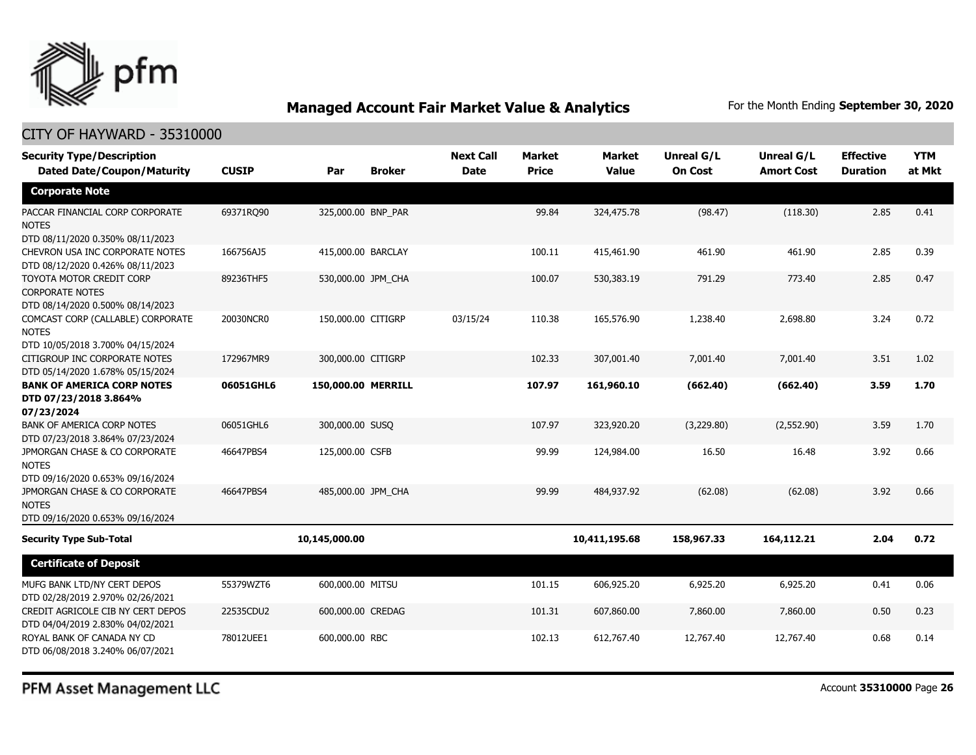

## CITY OF HAYWARD - 35310000

| <b>Security Type/Description</b><br><b>Dated Date/Coupon/Maturity</b>                  | <b>CUSIP</b> | Par                | <b>Broker</b> | <b>Next Call</b><br><b>Date</b> | <b>Market</b><br><b>Price</b> | <b>Market</b><br><b>Value</b> | <b>Unreal G/L</b><br><b>On Cost</b> | Unreal G/L<br><b>Amort Cost</b> | <b>Effective</b><br><b>Duration</b> | <b>YTM</b><br>at Mkt |
|----------------------------------------------------------------------------------------|--------------|--------------------|---------------|---------------------------------|-------------------------------|-------------------------------|-------------------------------------|---------------------------------|-------------------------------------|----------------------|
| <b>Corporate Note</b>                                                                  |              |                    |               |                                 |                               |                               |                                     |                                 |                                     |                      |
| PACCAR FINANCIAL CORP CORPORATE<br><b>NOTES</b><br>DTD 08/11/2020 0.350% 08/11/2023    | 69371RO90    | 325,000.00 BNP_PAR |               |                                 | 99.84                         | 324,475.78                    | (98.47)                             | (118.30)                        | 2.85                                | 0.41                 |
| CHEVRON USA INC CORPORATE NOTES<br>DTD 08/12/2020 0.426% 08/11/2023                    | 166756AJ5    | 415,000.00 BARCLAY |               |                                 | 100.11                        | 415,461.90                    | 461.90                              | 461.90                          | 2.85                                | 0.39                 |
| TOYOTA MOTOR CREDIT CORP<br><b>CORPORATE NOTES</b><br>DTD 08/14/2020 0.500% 08/14/2023 | 89236THF5    | 530,000.00 JPM_CHA |               |                                 | 100.07                        | 530,383.19                    | 791.29                              | 773.40                          | 2.85                                | 0.47                 |
| COMCAST CORP (CALLABLE) CORPORATE<br><b>NOTES</b><br>DTD 10/05/2018 3.700% 04/15/2024  | 20030NCR0    | 150,000.00 CITIGRP |               | 03/15/24                        | 110.38                        | 165,576.90                    | 1,238.40                            | 2,698.80                        | 3.24                                | 0.72                 |
| CITIGROUP INC CORPORATE NOTES<br>DTD 05/14/2020 1.678% 05/15/2024                      | 172967MR9    | 300,000.00 CITIGRP |               |                                 | 102.33                        | 307,001.40                    | 7,001.40                            | 7,001.40                        | 3.51                                | 1.02                 |
| <b>BANK OF AMERICA CORP NOTES</b><br>DTD 07/23/2018 3.864%<br>07/23/2024               | 06051GHL6    | 150,000.00 MERRILL |               |                                 | 107.97                        | 161,960.10                    | (662.40)                            | (662.40)                        | 3.59                                | 1.70                 |
| <b>BANK OF AMERICA CORP NOTES</b><br>DTD 07/23/2018 3.864% 07/23/2024                  | 06051GHL6    | 300,000.00 SUSQ    |               |                                 | 107.97                        | 323,920.20                    | (3,229.80)                          | (2,552.90)                      | 3.59                                | 1.70                 |
| JPMORGAN CHASE & CO CORPORATE<br><b>NOTES</b><br>DTD 09/16/2020 0.653% 09/16/2024      | 46647PBS4    | 125,000.00 CSFB    |               |                                 | 99.99                         | 124,984.00                    | 16.50                               | 16.48                           | 3.92                                | 0.66                 |
| JPMORGAN CHASE & CO CORPORATE<br><b>NOTES</b><br>DTD 09/16/2020 0.653% 09/16/2024      | 46647PBS4    | 485,000.00 JPM_CHA |               |                                 | 99.99                         | 484,937.92                    | (62.08)                             | (62.08)                         | 3.92                                | 0.66                 |
| <b>Security Type Sub-Total</b>                                                         |              | 10,145,000.00      |               |                                 |                               | 10,411,195.68                 | 158,967.33                          | 164,112.21                      | 2.04                                | 0.72                 |
| <b>Certificate of Deposit</b>                                                          |              |                    |               |                                 |                               |                               |                                     |                                 |                                     |                      |
| MUFG BANK LTD/NY CERT DEPOS<br>DTD 02/28/2019 2.970% 02/26/2021                        | 55379WZT6    | 600,000.00 MITSU   |               |                                 | 101.15                        | 606,925.20                    | 6,925.20                            | 6,925.20                        | 0.41                                | 0.06                 |
| CREDIT AGRICOLE CIB NY CERT DEPOS<br>DTD 04/04/2019 2.830% 04/02/2021                  | 22535CDU2    | 600,000.00 CREDAG  |               |                                 | 101.31                        | 607,860.00                    | 7,860.00                            | 7,860.00                        | 0.50                                | 0.23                 |
| ROYAL BANK OF CANADA NY CD<br>DTD 06/08/2018 3.240% 06/07/2021                         | 78012UEE1    | 600,000,00 RBC     |               |                                 | 102.13                        | 612,767.40                    | 12,767.40                           | 12,767.40                       | 0.68                                | 0.14                 |

PFM Asset Management LLC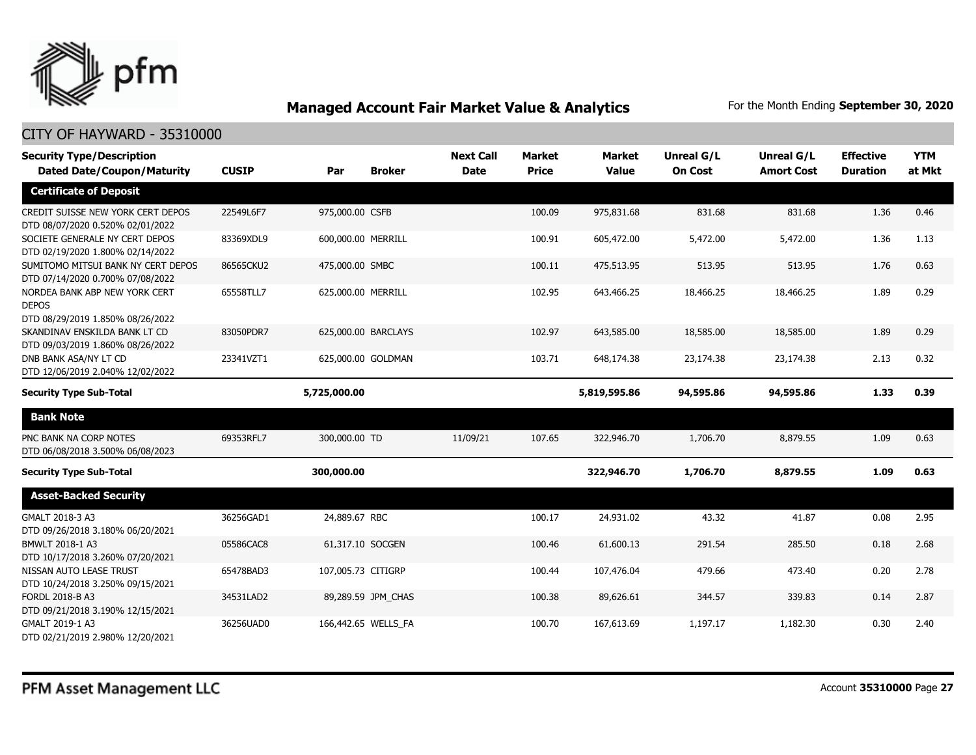

| <b>Security Type/Description</b><br><b>Dated Date/Coupon/Maturity</b>             | <b>CUSIP</b> | Par                | <b>Broker</b>       | <b>Next Call</b><br><b>Date</b> | <b>Market</b><br><b>Price</b> | <b>Market</b><br><b>Value</b> | Unreal G/L<br><b>On Cost</b> | Unreal G/L<br><b>Amort Cost</b> | <b>Effective</b><br><b>Duration</b> | <b>YTM</b><br>at Mkt |
|-----------------------------------------------------------------------------------|--------------|--------------------|---------------------|---------------------------------|-------------------------------|-------------------------------|------------------------------|---------------------------------|-------------------------------------|----------------------|
| <b>Certificate of Deposit</b>                                                     |              |                    |                     |                                 |                               |                               |                              |                                 |                                     |                      |
|                                                                                   |              |                    |                     |                                 |                               |                               |                              |                                 |                                     |                      |
| CREDIT SUISSE NEW YORK CERT DEPOS<br>DTD 08/07/2020 0.520% 02/01/2022             | 22549L6F7    | 975,000.00 CSFB    |                     |                                 | 100.09                        | 975,831,68                    | 831.68                       | 831.68                          | 1.36                                | 0.46                 |
| SOCIETE GENERALE NY CERT DEPOS<br>DTD 02/19/2020 1.800% 02/14/2022                | 83369XDL9    | 600,000.00 MERRILL |                     |                                 | 100.91                        | 605,472.00                    | 5,472.00                     | 5,472.00                        | 1.36                                | 1.13                 |
| SUMITOMO MITSUI BANK NY CERT DEPOS<br>DTD 07/14/2020 0.700% 07/08/2022            | 86565CKU2    | 475,000.00 SMBC    |                     |                                 | 100.11                        | 475,513.95                    | 513.95                       | 513.95                          | 1.76                                | 0.63                 |
| NORDEA BANK ABP NEW YORK CERT<br><b>DEPOS</b><br>DTD 08/29/2019 1.850% 08/26/2022 | 65558TLL7    | 625,000.00 MERRILL |                     |                                 | 102.95                        | 643,466.25                    | 18,466.25                    | 18,466.25                       | 1.89                                | 0.29                 |
| SKANDINAV ENSKILDA BANK LT CD<br>DTD 09/03/2019 1.860% 08/26/2022                 | 83050PDR7    |                    | 625,000.00 BARCLAYS |                                 | 102.97                        | 643,585,00                    | 18,585.00                    | 18,585.00                       | 1.89                                | 0.29                 |
| DNB BANK ASA/NY LT CD<br>DTD 12/06/2019 2.040% 12/02/2022                         | 23341VZT1    |                    | 625,000.00 GOLDMAN  |                                 | 103.71                        | 648,174.38                    | 23,174.38                    | 23,174.38                       | 2.13                                | 0.32                 |
| <b>Security Type Sub-Total</b>                                                    |              | 5,725,000.00       |                     |                                 |                               | 5,819,595.86                  | 94,595.86                    | 94,595.86                       | 1.33                                | 0.39                 |
| <b>Bank Note</b>                                                                  |              |                    |                     |                                 |                               |                               |                              |                                 |                                     |                      |
| PNC BANK NA CORP NOTES<br>DTD 06/08/2018 3.500% 06/08/2023                        | 69353RFL7    | 300,000.00 TD      |                     | 11/09/21                        | 107.65                        | 322,946.70                    | 1,706.70                     | 8,879.55                        | 1.09                                | 0.63                 |
| <b>Security Type Sub-Total</b>                                                    |              | 300,000.00         |                     |                                 |                               | 322,946.70                    | 1,706.70                     | 8,879.55                        | 1.09                                | 0.63                 |
| <b>Asset-Backed Security</b>                                                      |              |                    |                     |                                 |                               |                               |                              |                                 |                                     |                      |
| GMALT 2018-3 A3<br>DTD 09/26/2018 3.180% 06/20/2021                               | 36256GAD1    | 24,889.67 RBC      |                     |                                 | 100.17                        | 24,931.02                     | 43.32                        | 41.87                           | 0.08                                | 2.95                 |
| BMWLT 2018-1 A3<br>DTD 10/17/2018 3.260% 07/20/2021                               | 05586CAC8    | 61,317.10 SOCGEN   |                     |                                 | 100.46                        | 61,600.13                     | 291.54                       | 285.50                          | 0.18                                | 2.68                 |
| NISSAN AUTO LEASE TRUST<br>DTD 10/24/2018 3.250% 09/15/2021                       | 65478BAD3    | 107,005.73 CITIGRP |                     |                                 | 100.44                        | 107,476.04                    | 479.66                       | 473.40                          | 0.20                                | 2.78                 |
| FORDL 2018-B A3<br>DTD 09/21/2018 3.190% 12/15/2021                               | 34531LAD2    |                    | 89,289.59 JPM_CHAS  |                                 | 100.38                        | 89,626.61                     | 344.57                       | 339.83                          | 0.14                                | 2.87                 |
| GMALT 2019-1 A3<br>DTD 02/21/2019 2.980% 12/20/2021                               | 36256UAD0    |                    | 166,442.65 WELLS FA |                                 | 100.70                        | 167,613.69                    | 1,197.17                     | 1,182.30                        | 0.30                                | 2.40                 |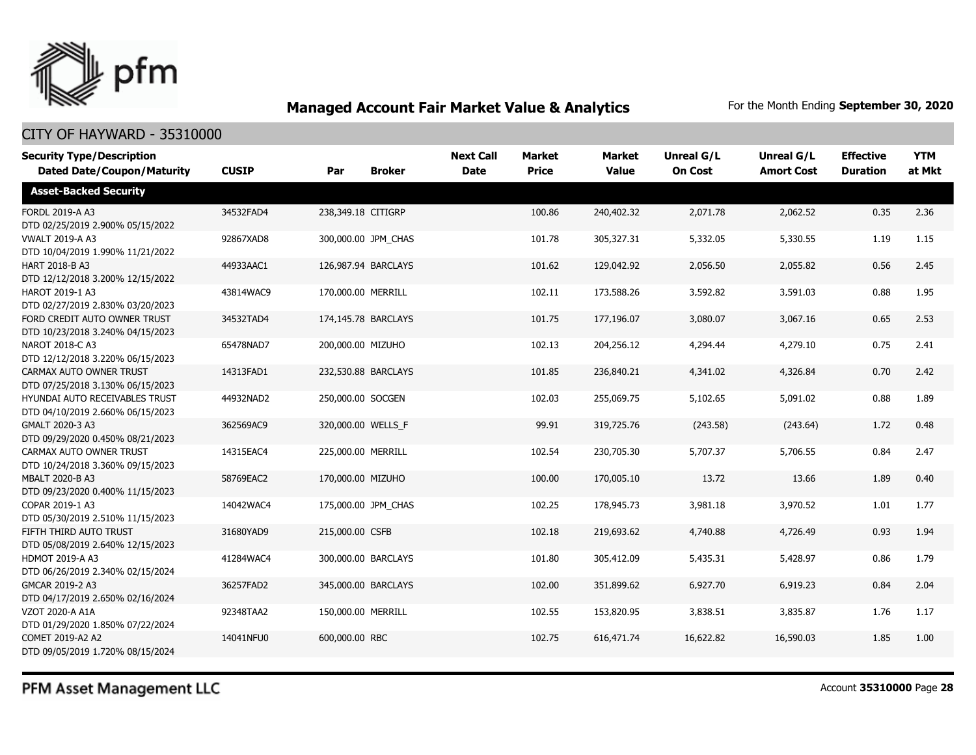

| <b>Security Type/Description</b><br><b>Dated Date/Coupon/Maturity</b> | <b>CUSIP</b> | Par                | <b>Broker</b>       | <b>Next Call</b><br><b>Date</b> | <b>Market</b><br><b>Price</b> | <b>Market</b><br><b>Value</b> | <b>Unreal G/L</b><br><b>On Cost</b> | Unreal G/L<br><b>Amort Cost</b> | <b>Effective</b><br><b>Duration</b> | <b>YTM</b><br>at Mkt |
|-----------------------------------------------------------------------|--------------|--------------------|---------------------|---------------------------------|-------------------------------|-------------------------------|-------------------------------------|---------------------------------|-------------------------------------|----------------------|
| <b>Asset-Backed Security</b>                                          |              |                    |                     |                                 |                               |                               |                                     |                                 |                                     |                      |
| FORDL 2019-A A3<br>DTD 02/25/2019 2.900% 05/15/2022                   | 34532FAD4    | 238,349.18 CITIGRP |                     |                                 | 100.86                        | 240,402.32                    | 2,071.78                            | 2,062.52                        | 0.35                                | 2.36                 |
| <b>VWALT 2019-A A3</b><br>DTD 10/04/2019 1.990% 11/21/2022            | 92867XAD8    |                    | 300,000.00 JPM CHAS |                                 | 101.78                        | 305,327.31                    | 5,332.05                            | 5,330.55                        | 1.19                                | 1.15                 |
| <b>HART 2018-B A3</b><br>DTD 12/12/2018 3.200% 12/15/2022             | 44933AAC1    |                    | 126,987.94 BARCLAYS |                                 | 101.62                        | 129,042.92                    | 2,056.50                            | 2,055.82                        | 0.56                                | 2.45                 |
| <b>HAROT 2019-1 A3</b><br>DTD 02/27/2019 2.830% 03/20/2023            | 43814WAC9    | 170,000.00 MERRILL |                     |                                 | 102.11                        | 173,588.26                    | 3,592.82                            | 3,591.03                        | 0.88                                | 1.95                 |
| FORD CREDIT AUTO OWNER TRUST<br>DTD 10/23/2018 3.240% 04/15/2023      | 34532TAD4    |                    | 174,145.78 BARCLAYS |                                 | 101.75                        | 177,196.07                    | 3,080.07                            | 3,067.16                        | 0.65                                | 2.53                 |
| <b>NAROT 2018-C A3</b><br>DTD 12/12/2018 3.220% 06/15/2023            | 65478NAD7    | 200,000.00 MIZUHO  |                     |                                 | 102.13                        | 204,256.12                    | 4,294.44                            | 4,279.10                        | 0.75                                | 2.41                 |
| CARMAX AUTO OWNER TRUST<br>DTD 07/25/2018 3.130% 06/15/2023           | 14313FAD1    |                    | 232,530.88 BARCLAYS |                                 | 101.85                        | 236,840.21                    | 4,341.02                            | 4,326.84                        | 0.70                                | 2.42                 |
| HYUNDAI AUTO RECEIVABLES TRUST<br>DTD 04/10/2019 2.660% 06/15/2023    | 44932NAD2    | 250,000.00 SOCGEN  |                     |                                 | 102.03                        | 255,069.75                    | 5,102.65                            | 5,091.02                        | 0.88                                | 1.89                 |
| GMALT 2020-3 A3<br>DTD 09/29/2020 0.450% 08/21/2023                   | 362569AC9    | 320,000.00 WELLS F |                     |                                 | 99.91                         | 319,725.76                    | (243.58)                            | (243.64)                        | 1.72                                | 0.48                 |
| CARMAX AUTO OWNER TRUST<br>DTD 10/24/2018 3.360% 09/15/2023           | 14315EAC4    | 225,000.00 MERRILL |                     |                                 | 102.54                        | 230,705.30                    | 5,707.37                            | 5,706.55                        | 0.84                                | 2.47                 |
| MBALT 2020-B A3<br>DTD 09/23/2020 0.400% 11/15/2023                   | 58769EAC2    | 170,000.00 MIZUHO  |                     |                                 | 100.00                        | 170,005.10                    | 13.72                               | 13.66                           | 1.89                                | 0.40                 |
| COPAR 2019-1 A3<br>DTD 05/30/2019 2.510% 11/15/2023                   | 14042WAC4    |                    | 175,000.00 JPM CHAS |                                 | 102.25                        | 178,945.73                    | 3,981.18                            | 3,970.52                        | 1.01                                | 1.77                 |
| FIFTH THIRD AUTO TRUST<br>DTD 05/08/2019 2.640% 12/15/2023            | 31680YAD9    | 215,000.00 CSFB    |                     |                                 | 102.18                        | 219,693.62                    | 4,740.88                            | 4,726.49                        | 0.93                                | 1.94                 |
| <b>HDMOT 2019-A A3</b><br>DTD 06/26/2019 2.340% 02/15/2024            | 41284WAC4    |                    | 300,000.00 BARCLAYS |                                 | 101.80                        | 305,412.09                    | 5,435.31                            | 5,428.97                        | 0.86                                | 1.79                 |
| GMCAR 2019-2 A3<br>DTD 04/17/2019 2.650% 02/16/2024                   | 36257FAD2    |                    | 345,000.00 BARCLAYS |                                 | 102.00                        | 351,899.62                    | 6,927.70                            | 6,919.23                        | 0.84                                | 2.04                 |
| VZOT 2020-A A1A<br>DTD 01/29/2020 1.850% 07/22/2024                   | 92348TAA2    | 150,000.00 MERRILL |                     |                                 | 102.55                        | 153,820.95                    | 3,838.51                            | 3,835.87                        | 1.76                                | 1.17                 |
| COMET 2019-A2 A2<br>DTD 09/05/2019 1.720% 08/15/2024                  | 14041NFU0    | 600,000.00 RBC     |                     |                                 | 102.75                        | 616,471.74                    | 16,622.82                           | 16,590.03                       | 1.85                                | 1.00                 |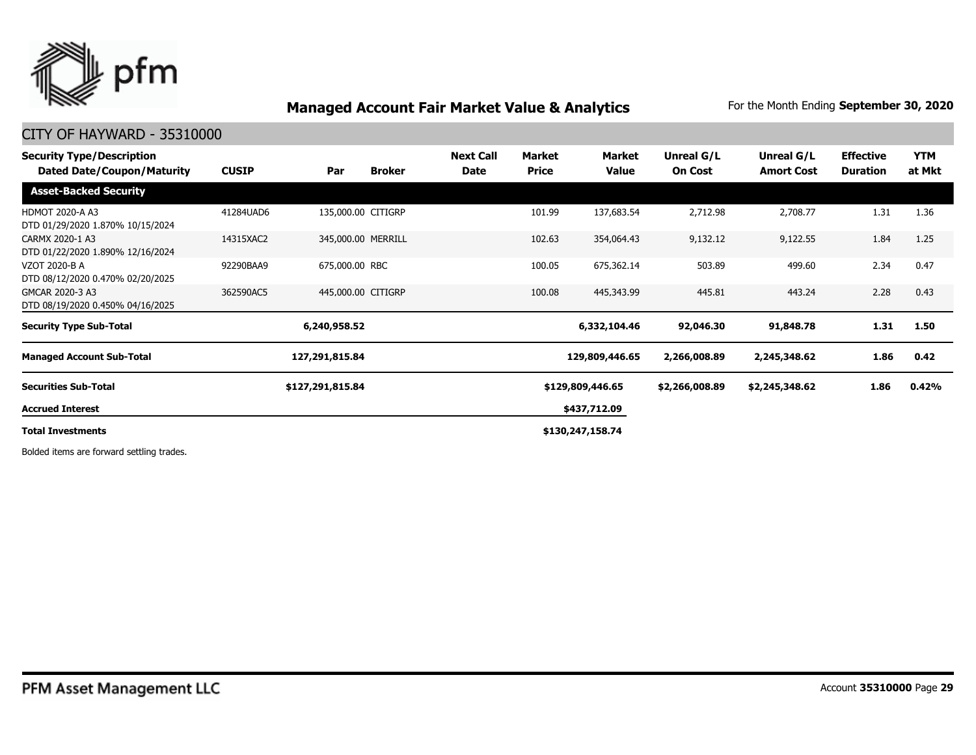

## CITY OF HAYWARD - 35310000

| <b>Security Type/Description</b><br><b>Dated Date/Coupon/Maturity</b> | <b>CUSIP</b> | Par                | <b>Broker</b> | <b>Next Call</b><br>Date | Market<br><b>Price</b> | Market<br>Value  | Unreal G/L<br><b>On Cost</b> | Unreal G/L<br><b>Amort Cost</b> | <b>Effective</b><br><b>Duration</b> | <b>YTM</b><br>at Mkt |
|-----------------------------------------------------------------------|--------------|--------------------|---------------|--------------------------|------------------------|------------------|------------------------------|---------------------------------|-------------------------------------|----------------------|
| <b>Asset-Backed Security</b>                                          |              |                    |               |                          |                        |                  |                              |                                 |                                     |                      |
| <b>HDMOT 2020-A A3</b><br>DTD 01/29/2020 1.870% 10/15/2024            | 41284UAD6    | 135,000.00 CITIGRP |               |                          | 101.99                 | 137,683.54       | 2,712.98                     | 2,708.77                        | 1.31                                | 1.36                 |
| CARMX 2020-1 A3<br>DTD 01/22/2020 1.890% 12/16/2024                   | 14315XAC2    | 345,000.00 MERRILL |               |                          | 102.63                 | 354,064.43       | 9,132.12                     | 9,122.55                        | 1.84                                | 1.25                 |
| VZOT 2020-B A<br>DTD 08/12/2020 0.470% 02/20/2025                     | 92290BAA9    | 675,000.00 RBC     |               |                          | 100.05                 | 675,362.14       | 503.89                       | 499.60                          | 2.34                                | 0.47                 |
| GMCAR 2020-3 A3<br>DTD 08/19/2020 0.450% 04/16/2025                   | 362590AC5    | 445,000.00 CITIGRP |               |                          | 100.08                 | 445,343.99       | 445.81                       | 443.24                          | 2.28                                | 0.43                 |
| <b>Security Type Sub-Total</b>                                        |              | 6,240,958.52       |               |                          |                        | 6,332,104.46     | 92,046.30                    | 91,848.78                       | 1.31                                | 1.50                 |
| <b>Managed Account Sub-Total</b>                                      |              | 127,291,815.84     |               |                          |                        | 129,809,446.65   | 2,266,008.89                 | 2,245,348.62                    | 1.86                                | 0.42                 |
| <b>Securities Sub-Total</b>                                           |              | \$127,291,815.84   |               |                          |                        | \$129,809,446.65 | \$2,266,008.89               | \$2,245,348.62                  | 1.86                                | 0.42%                |
| <b>Accrued Interest</b>                                               |              |                    |               |                          |                        | \$437,712.09     |                              |                                 |                                     |                      |
| <b>Total Investments</b>                                              |              |                    |               |                          |                        | \$130,247,158.74 |                              |                                 |                                     |                      |

Bolded items are forward settling trades.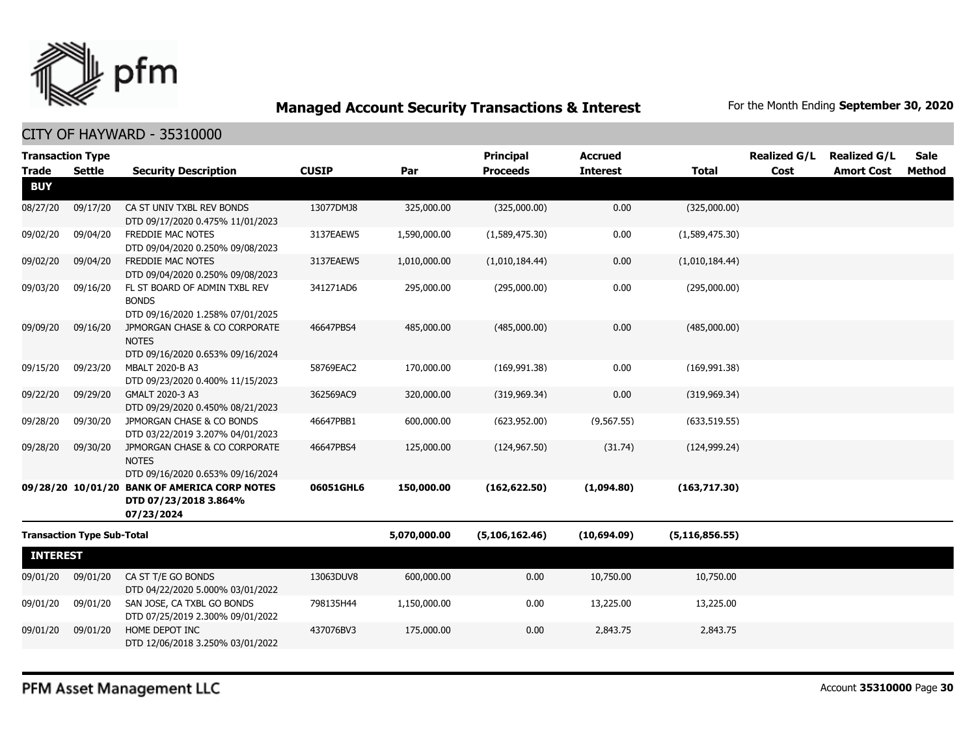

## CITY OF HAYWARD - 35310000

| <b>Transaction Type</b> |                                   |                                                                                   |              |              | <b>Principal</b> | <b>Accrued</b>  |                  | <b>Realized G/L</b> | <b>Realized G/L</b> | <b>Sale</b> |
|-------------------------|-----------------------------------|-----------------------------------------------------------------------------------|--------------|--------------|------------------|-----------------|------------------|---------------------|---------------------|-------------|
| <b>Trade</b>            | <b>Settle</b>                     | <b>Security Description</b>                                                       | <b>CUSIP</b> | Par          | <b>Proceeds</b>  | <b>Interest</b> | <b>Total</b>     | Cost                | <b>Amort Cost</b>   | Method      |
| <b>BUY</b>              |                                   |                                                                                   |              |              |                  |                 |                  |                     |                     |             |
| 08/27/20                | 09/17/20                          | CA ST UNIV TXBL REV BONDS<br>DTD 09/17/2020 0.475% 11/01/2023                     | 13077DMJ8    | 325,000.00   | (325,000.00)     | 0.00            | (325,000.00)     |                     |                     |             |
| 09/02/20                | 09/04/20                          | FREDDIE MAC NOTES<br>DTD 09/04/2020 0.250% 09/08/2023                             | 3137EAEW5    | 1,590,000.00 | (1,589,475.30)   | 0.00            | (1,589,475.30)   |                     |                     |             |
| 09/02/20                | 09/04/20                          | FREDDIE MAC NOTES<br>DTD 09/04/2020 0.250% 09/08/2023                             | 3137EAEW5    | 1,010,000.00 | (1,010,184.44)   | 0.00            | (1,010,184.44)   |                     |                     |             |
| 09/03/20                | 09/16/20                          | FL ST BOARD OF ADMIN TXBL REV<br><b>BONDS</b><br>DTD 09/16/2020 1.258% 07/01/2025 | 341271AD6    | 295,000.00   | (295,000.00)     | 0.00            | (295,000.00)     |                     |                     |             |
| 09/09/20                | 09/16/20                          | JPMORGAN CHASE & CO CORPORATE<br><b>NOTES</b><br>DTD 09/16/2020 0.653% 09/16/2024 | 46647PBS4    | 485,000.00   | (485,000.00)     | 0.00            | (485,000.00)     |                     |                     |             |
| 09/15/20                | 09/23/20                          | MBALT 2020-B A3<br>DTD 09/23/2020 0.400% 11/15/2023                               | 58769EAC2    | 170,000.00   | (169, 991.38)    | 0.00            | (169, 991.38)    |                     |                     |             |
| 09/22/20                | 09/29/20                          | GMALT 2020-3 A3<br>DTD 09/29/2020 0.450% 08/21/2023                               | 362569AC9    | 320,000.00   | (319, 969.34)    | 0.00            | (319, 969.34)    |                     |                     |             |
| 09/28/20                | 09/30/20                          | JPMORGAN CHASE & CO BONDS<br>DTD 03/22/2019 3.207% 04/01/2023                     | 46647PBB1    | 600,000.00   | (623, 952.00)    | (9, 567.55)     | (633, 519.55)    |                     |                     |             |
| 09/28/20                | 09/30/20                          | JPMORGAN CHASE & CO CORPORATE<br><b>NOTES</b><br>DTD 09/16/2020 0.653% 09/16/2024 | 46647PBS4    | 125,000.00   | (124, 967.50)    | (31.74)         | (124, 999.24)    |                     |                     |             |
|                         | 09/28/20 10/01/20                 | <b>BANK OF AMERICA CORP NOTES</b><br>DTD 07/23/2018 3.864%<br>07/23/2024          | 06051GHL6    | 150,000.00   | (162, 622.50)    | (1,094.80)      | (163,717.30)     |                     |                     |             |
|                         | <b>Transaction Type Sub-Total</b> |                                                                                   |              | 5,070,000.00 | (5, 106, 162.46) | (10,694.09)     | (5, 116, 856.55) |                     |                     |             |
| <b>INTEREST</b>         |                                   |                                                                                   |              |              |                  |                 |                  |                     |                     |             |
| 09/01/20                | 09/01/20                          | CA ST T/E GO BONDS<br>DTD 04/22/2020 5.000% 03/01/2022                            | 13063DUV8    | 600,000.00   | 0.00             | 10,750.00       | 10,750.00        |                     |                     |             |
| 09/01/20                | 09/01/20                          | SAN JOSE, CA TXBL GO BONDS<br>DTD 07/25/2019 2.300% 09/01/2022                    | 798135H44    | 1,150,000.00 | 0.00             | 13,225.00       | 13,225.00        |                     |                     |             |
| 09/01/20                | 09/01/20                          | HOME DEPOT INC<br>DTD 12/06/2018 3.250% 03/01/2022                                | 437076BV3    | 175,000.00   | 0.00             | 2,843.75        | 2,843.75         |                     |                     |             |

PFM Asset Management LLC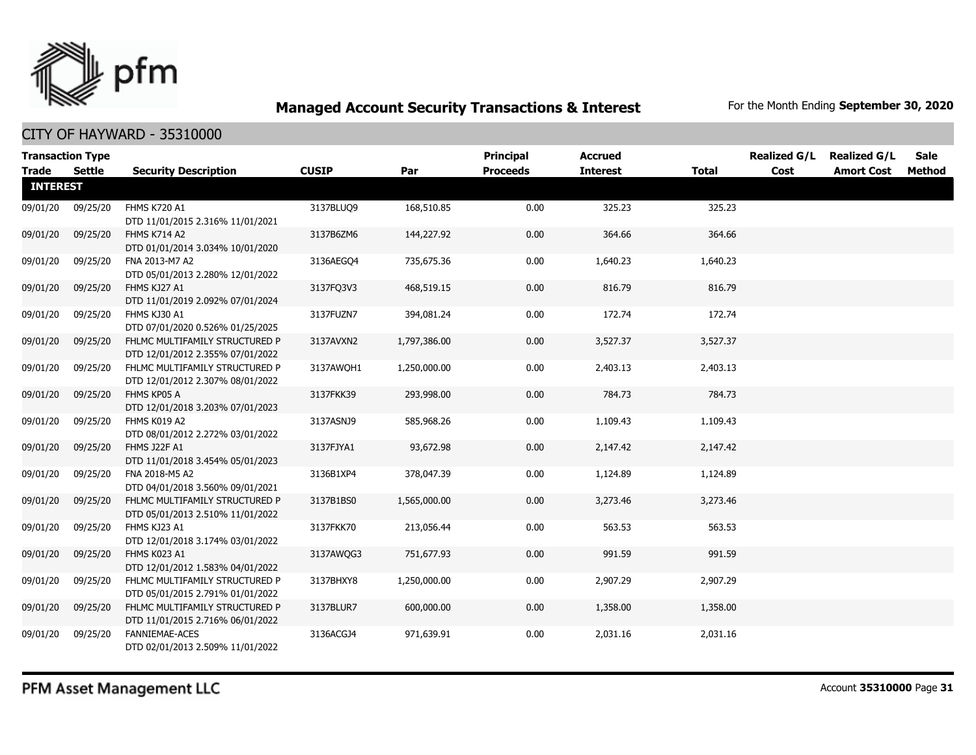

| <b>Transaction Type</b> |          |                                                                    |              |              | Principal       | <b>Accrued</b>  |              | <b>Realized G/L</b> | <b>Realized G/L</b> | Sale   |
|-------------------------|----------|--------------------------------------------------------------------|--------------|--------------|-----------------|-----------------|--------------|---------------------|---------------------|--------|
| <b>Trade</b>            | Settle   | <b>Security Description</b>                                        | <b>CUSIP</b> | Par          | <b>Proceeds</b> | <b>Interest</b> | <b>Total</b> | Cost                | <b>Amort Cost</b>   | Method |
| <b>INTEREST</b>         |          |                                                                    |              |              |                 |                 |              |                     |                     |        |
| 09/01/20                | 09/25/20 | FHMS K720 A1<br>DTD 11/01/2015 2.316% 11/01/2021                   | 3137BLUQ9    | 168,510.85   | 0.00            | 325.23          | 325.23       |                     |                     |        |
| 09/01/20                | 09/25/20 | FHMS K714 A2<br>DTD 01/01/2014 3.034% 10/01/2020                   | 3137B6ZM6    | 144,227.92   | 0.00            | 364.66          | 364.66       |                     |                     |        |
| 09/01/20                | 09/25/20 | FNA 2013-M7 A2<br>DTD 05/01/2013 2.280% 12/01/2022                 | 3136AEGO4    | 735,675.36   | 0.00            | 1,640.23        | 1,640.23     |                     |                     |        |
| 09/01/20                | 09/25/20 | FHMS KJ27 A1<br>DTD 11/01/2019 2.092% 07/01/2024                   | 3137FQ3V3    | 468,519.15   | 0.00            | 816.79          | 816.79       |                     |                     |        |
| 09/01/20                | 09/25/20 | FHMS KJ30 A1<br>DTD 07/01/2020 0.526% 01/25/2025                   | 3137FUZN7    | 394,081.24   | 0.00            | 172.74          | 172.74       |                     |                     |        |
| 09/01/20                | 09/25/20 | FHLMC MULTIFAMILY STRUCTURED P<br>DTD 12/01/2012 2.355% 07/01/2022 | 3137AVXN2    | 1,797,386.00 | 0.00            | 3,527.37        | 3,527.37     |                     |                     |        |
| 09/01/20                | 09/25/20 | FHLMC MULTIFAMILY STRUCTURED P<br>DTD 12/01/2012 2.307% 08/01/2022 | 3137AWOH1    | 1,250,000.00 | 0.00            | 2,403.13        | 2,403.13     |                     |                     |        |
| 09/01/20                | 09/25/20 | FHMS KP05 A<br>DTD 12/01/2018 3.203% 07/01/2023                    | 3137FKK39    | 293,998.00   | 0.00            | 784.73          | 784.73       |                     |                     |        |
| 09/01/20                | 09/25/20 | FHMS K019 A2<br>DTD 08/01/2012 2.272% 03/01/2022                   | 3137ASNJ9    | 585,968.26   | 0.00            | 1,109.43        | 1,109.43     |                     |                     |        |
| 09/01/20                | 09/25/20 | FHMS J22F A1<br>DTD 11/01/2018 3.454% 05/01/2023                   | 3137FJYA1    | 93,672.98    | 0.00            | 2,147.42        | 2,147.42     |                     |                     |        |
| 09/01/20                | 09/25/20 | FNA 2018-M5 A2<br>DTD 04/01/2018 3.560% 09/01/2021                 | 3136B1XP4    | 378,047.39   | 0.00            | 1,124.89        | 1,124.89     |                     |                     |        |
| 09/01/20                | 09/25/20 | FHLMC MULTIFAMILY STRUCTURED P<br>DTD 05/01/2013 2.510% 11/01/2022 | 3137B1BS0    | 1,565,000.00 | 0.00            | 3,273.46        | 3,273.46     |                     |                     |        |
| 09/01/20                | 09/25/20 | FHMS KJ23 A1<br>DTD 12/01/2018 3.174% 03/01/2022                   | 3137FKK70    | 213,056.44   | 0.00            | 563.53          | 563.53       |                     |                     |        |
| 09/01/20                | 09/25/20 | FHMS K023 A1<br>DTD 12/01/2012 1.583% 04/01/2022                   | 3137AWQG3    | 751,677.93   | 0.00            | 991.59          | 991.59       |                     |                     |        |
| 09/01/20                | 09/25/20 | FHLMC MULTIFAMILY STRUCTURED P<br>DTD 05/01/2015 2.791% 01/01/2022 | 3137BHXY8    | 1,250,000.00 | 0.00            | 2,907.29        | 2,907.29     |                     |                     |        |
| 09/01/20                | 09/25/20 | FHLMC MULTIFAMILY STRUCTURED P<br>DTD 11/01/2015 2.716% 06/01/2022 | 3137BLUR7    | 600,000.00   | 0.00            | 1,358.00        | 1,358.00     |                     |                     |        |
| 09/01/20                | 09/25/20 | FANNIEMAE-ACES<br>DTD 02/01/2013 2.509% 11/01/2022                 | 3136ACGJ4    | 971,639.91   | 0.00            | 2,031.16        | 2,031.16     |                     |                     |        |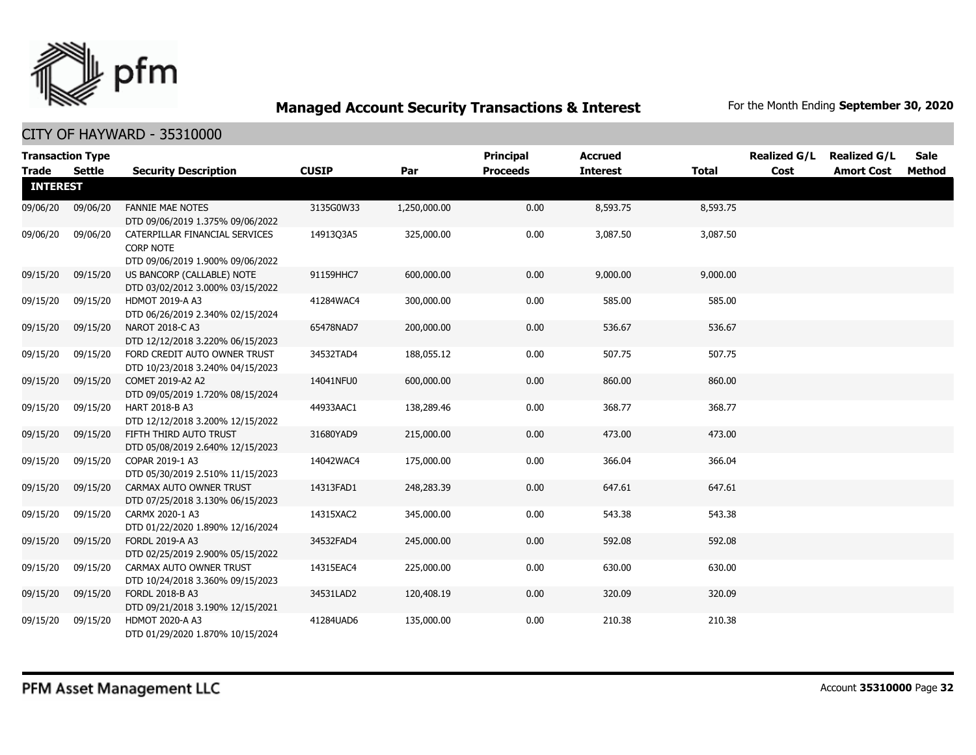

|                 | <b>Transaction Type</b> |                                                                                        |              |              | <b>Principal</b> | <b>Accrued</b>  |              | <b>Realized G/L</b> | <b>Realized G/L</b> | Sale   |
|-----------------|-------------------------|----------------------------------------------------------------------------------------|--------------|--------------|------------------|-----------------|--------------|---------------------|---------------------|--------|
| <b>Trade</b>    | Settle                  | <b>Security Description</b>                                                            | <b>CUSIP</b> | Par          | <b>Proceeds</b>  | <b>Interest</b> | <b>Total</b> | Cost                | <b>Amort Cost</b>   | Method |
| <b>INTEREST</b> |                         |                                                                                        |              |              |                  |                 |              |                     |                     |        |
| 09/06/20        | 09/06/20                | <b>FANNIE MAE NOTES</b><br>DTD 09/06/2019 1.375% 09/06/2022                            | 3135G0W33    | 1,250,000.00 | 0.00             | 8,593.75        | 8,593.75     |                     |                     |        |
| 09/06/20        | 09/06/20                | CATERPILLAR FINANCIAL SERVICES<br><b>CORP NOTE</b><br>DTD 09/06/2019 1.900% 09/06/2022 | 1491303A5    | 325,000.00   | 0.00             | 3,087.50        | 3,087.50     |                     |                     |        |
| 09/15/20        | 09/15/20                | US BANCORP (CALLABLE) NOTE<br>DTD 03/02/2012 3.000% 03/15/2022                         | 91159HHC7    | 600,000.00   | 0.00             | 9,000.00        | 9,000.00     |                     |                     |        |
| 09/15/20        | 09/15/20                | HDMOT 2019-A A3<br>DTD 06/26/2019 2.340% 02/15/2024                                    | 41284WAC4    | 300,000.00   | 0.00             | 585.00          | 585.00       |                     |                     |        |
| 09/15/20        | 09/15/20                | NAROT 2018-C A3<br>DTD 12/12/2018 3.220% 06/15/2023                                    | 65478NAD7    | 200,000.00   | 0.00             | 536.67          | 536.67       |                     |                     |        |
| 09/15/20        | 09/15/20                | FORD CREDIT AUTO OWNER TRUST<br>DTD 10/23/2018 3.240% 04/15/2023                       | 34532TAD4    | 188,055.12   | 0.00             | 507.75          | 507.75       |                     |                     |        |
| 09/15/20        | 09/15/20                | COMET 2019-A2 A2<br>DTD 09/05/2019 1.720% 08/15/2024                                   | 14041NFU0    | 600,000.00   | 0.00             | 860.00          | 860.00       |                     |                     |        |
| 09/15/20        | 09/15/20                | <b>HART 2018-B A3</b><br>DTD 12/12/2018 3.200% 12/15/2022                              | 44933AAC1    | 138,289.46   | 0.00             | 368.77          | 368.77       |                     |                     |        |
| 09/15/20        | 09/15/20                | FIFTH THIRD AUTO TRUST<br>DTD 05/08/2019 2.640% 12/15/2023                             | 31680YAD9    | 215,000.00   | 0.00             | 473.00          | 473.00       |                     |                     |        |
| 09/15/20        | 09/15/20                | COPAR 2019-1 A3<br>DTD 05/30/2019 2.510% 11/15/2023                                    | 14042WAC4    | 175,000.00   | 0.00             | 366.04          | 366.04       |                     |                     |        |
| 09/15/20        | 09/15/20                | CARMAX AUTO OWNER TRUST<br>DTD 07/25/2018 3.130% 06/15/2023                            | 14313FAD1    | 248,283.39   | 0.00             | 647.61          | 647.61       |                     |                     |        |
| 09/15/20        | 09/15/20                | CARMX 2020-1 A3<br>DTD 01/22/2020 1.890% 12/16/2024                                    | 14315XAC2    | 345,000.00   | 0.00             | 543.38          | 543.38       |                     |                     |        |
| 09/15/20        | 09/15/20                | <b>FORDL 2019-A A3</b><br>DTD 02/25/2019 2.900% 05/15/2022                             | 34532FAD4    | 245,000.00   | 0.00             | 592.08          | 592.08       |                     |                     |        |
| 09/15/20        | 09/15/20                | CARMAX AUTO OWNER TRUST<br>DTD 10/24/2018 3.360% 09/15/2023                            | 14315EAC4    | 225,000.00   | 0.00             | 630.00          | 630.00       |                     |                     |        |
| 09/15/20        | 09/15/20                | FORDL 2018-B A3<br>DTD 09/21/2018 3.190% 12/15/2021                                    | 34531LAD2    | 120,408.19   | 0.00             | 320.09          | 320.09       |                     |                     |        |
| 09/15/20        | 09/15/20                | HDMOT 2020-A A3<br>DTD 01/29/2020 1.870% 10/15/2024                                    | 41284UAD6    | 135,000.00   | 0.00             | 210.38          | 210.38       |                     |                     |        |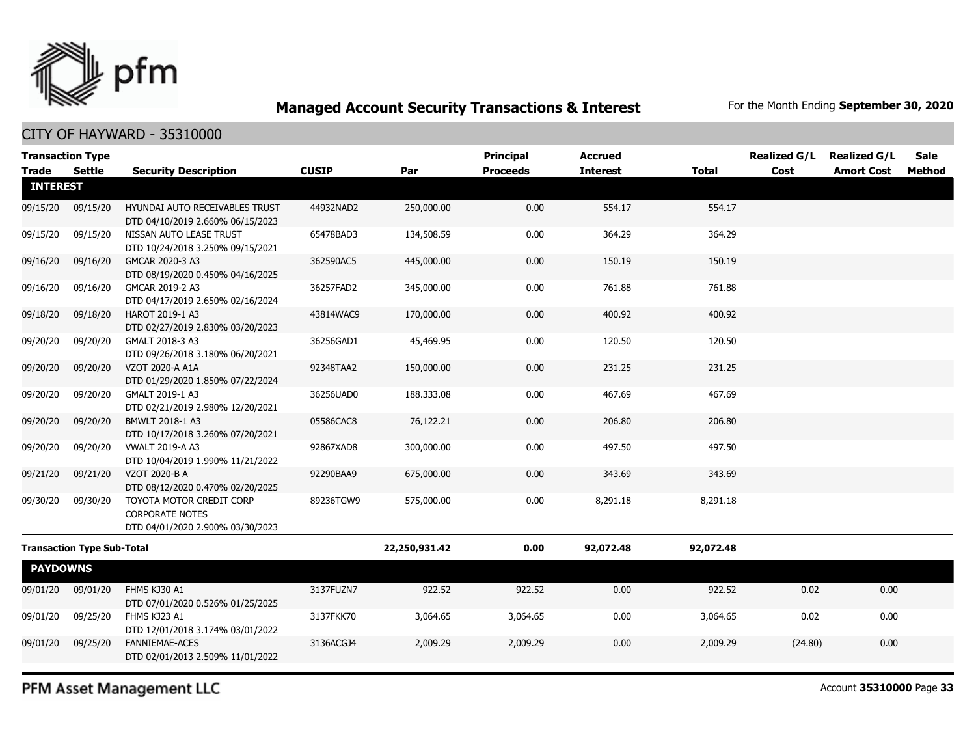

## CITY OF HAYWARD - 35310000

|                 | <b>Transaction Type</b>           |                                                                                        |              |               | <b>Principal</b> | <b>Accrued</b>  |              | <b>Realized G/L</b> | <b>Realized G/L</b> | <b>Sale</b> |
|-----------------|-----------------------------------|----------------------------------------------------------------------------------------|--------------|---------------|------------------|-----------------|--------------|---------------------|---------------------|-------------|
| <b>Trade</b>    | <b>Settle</b>                     | <b>Security Description</b>                                                            | <b>CUSIP</b> | Par           | <b>Proceeds</b>  | <b>Interest</b> | <b>Total</b> | Cost                | <b>Amort Cost</b>   | Method      |
| <b>INTEREST</b> |                                   |                                                                                        |              |               |                  |                 |              |                     |                     |             |
| 09/15/20        | 09/15/20                          | HYUNDAI AUTO RECEIVABLES TRUST<br>DTD 04/10/2019 2.660% 06/15/2023                     | 44932NAD2    | 250,000.00    | 0.00             | 554.17          | 554.17       |                     |                     |             |
| 09/15/20        | 09/15/20                          | NISSAN AUTO LEASE TRUST<br>DTD 10/24/2018 3.250% 09/15/2021                            | 65478BAD3    | 134,508.59    | 0.00             | 364.29          | 364.29       |                     |                     |             |
| 09/16/20        | 09/16/20                          | GMCAR 2020-3 A3<br>DTD 08/19/2020 0.450% 04/16/2025                                    | 362590AC5    | 445,000.00    | 0.00             | 150.19          | 150.19       |                     |                     |             |
| 09/16/20        | 09/16/20                          | GMCAR 2019-2 A3<br>DTD 04/17/2019 2.650% 02/16/2024                                    | 36257FAD2    | 345,000.00    | 0.00             | 761.88          | 761.88       |                     |                     |             |
| 09/18/20        | 09/18/20                          | HAROT 2019-1 A3<br>DTD 02/27/2019 2.830% 03/20/2023                                    | 43814WAC9    | 170,000.00    | 0.00             | 400.92          | 400.92       |                     |                     |             |
| 09/20/20        | 09/20/20                          | GMALT 2018-3 A3<br>DTD 09/26/2018 3.180% 06/20/2021                                    | 36256GAD1    | 45,469.95     | 0.00             | 120.50          | 120.50       |                     |                     |             |
| 09/20/20        | 09/20/20                          | VZOT 2020-A A1A<br>DTD 01/29/2020 1.850% 07/22/2024                                    | 92348TAA2    | 150,000.00    | 0.00             | 231.25          | 231.25       |                     |                     |             |
| 09/20/20        | 09/20/20                          | GMALT 2019-1 A3<br>DTD 02/21/2019 2.980% 12/20/2021                                    | 36256UAD0    | 188,333.08    | 0.00             | 467.69          | 467.69       |                     |                     |             |
| 09/20/20        | 09/20/20                          | BMWLT 2018-1 A3<br>DTD 10/17/2018 3.260% 07/20/2021                                    | 05586CAC8    | 76,122.21     | 0.00             | 206.80          | 206.80       |                     |                     |             |
| 09/20/20        | 09/20/20                          | <b>VWALT 2019-A A3</b><br>DTD 10/04/2019 1.990% 11/21/2022                             | 92867XAD8    | 300,000.00    | 0.00             | 497.50          | 497.50       |                     |                     |             |
| 09/21/20        | 09/21/20                          | VZOT 2020-B A<br>DTD 08/12/2020 0.470% 02/20/2025                                      | 92290BAA9    | 675,000.00    | 0.00             | 343.69          | 343.69       |                     |                     |             |
| 09/30/20        | 09/30/20                          | TOYOTA MOTOR CREDIT CORP<br><b>CORPORATE NOTES</b><br>DTD 04/01/2020 2.900% 03/30/2023 | 89236TGW9    | 575,000.00    | 0.00             | 8,291.18        | 8,291.18     |                     |                     |             |
|                 | <b>Transaction Type Sub-Total</b> |                                                                                        |              | 22,250,931.42 | 0.00             | 92,072.48       | 92,072.48    |                     |                     |             |
| <b>PAYDOWNS</b> |                                   |                                                                                        |              |               |                  |                 |              |                     |                     |             |
| 09/01/20        | 09/01/20                          | FHMS KJ30 A1<br>DTD 07/01/2020 0.526% 01/25/2025                                       | 3137FUZN7    | 922.52        | 922.52           | 0.00            | 922.52       | 0.02                | 0.00                |             |
| 09/01/20        | 09/25/20                          | FHMS KJ23 A1<br>DTD 12/01/2018 3.174% 03/01/2022                                       | 3137FKK70    | 3,064.65      | 3,064.65         | 0.00            | 3,064.65     | 0.02                | 0.00                |             |
| 09/01/20        | 09/25/20                          | FANNIEMAE-ACES<br>DTD 02/01/2013 2.509% 11/01/2022                                     | 3136ACGJ4    | 2,009.29      | 2,009.29         | 0.00            | 2,009.29     | (24.80)             | 0.00                |             |
|                 |                                   |                                                                                        |              |               |                  |                 |              |                     |                     |             |

PFM Asset Management LLC

Account **35310000** Page **33**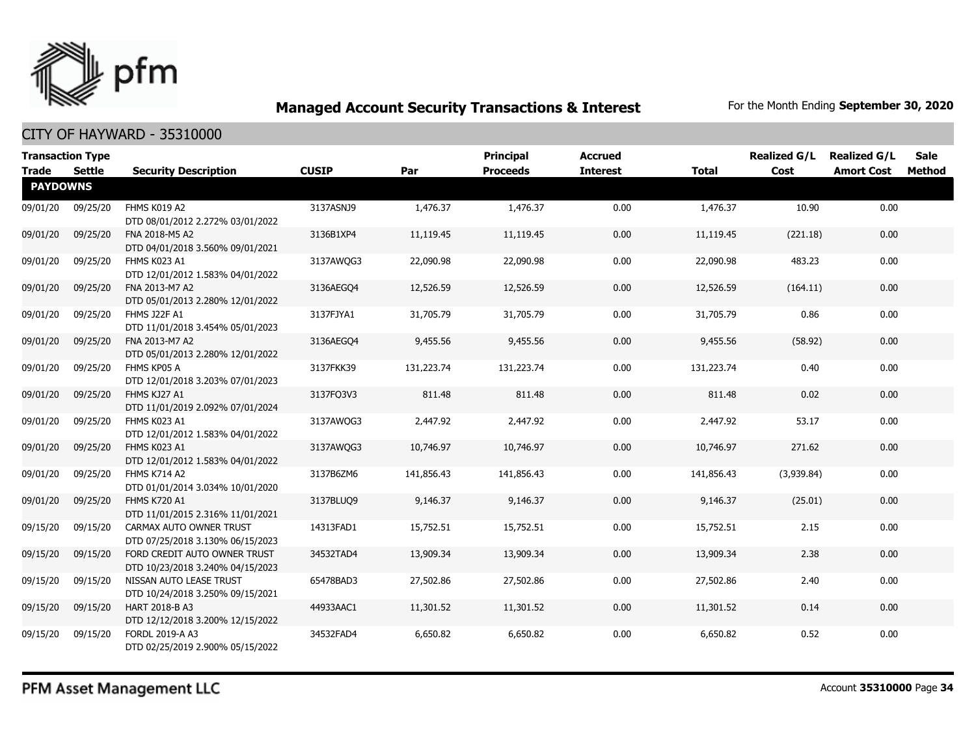

| <b>Transaction Type</b><br><b>Trade</b><br>Settle |          | <b>Security Description</b>                                      | <b>CUSIP</b> | Par        | <b>Principal</b><br><b>Proceeds</b> | <b>Accrued</b><br><b>Interest</b> | <b>Total</b> | <b>Realized G/L</b><br>Cost | <b>Realized G/L</b><br><b>Amort Cost</b> | <b>Sale</b><br><b>Method</b> |
|---------------------------------------------------|----------|------------------------------------------------------------------|--------------|------------|-------------------------------------|-----------------------------------|--------------|-----------------------------|------------------------------------------|------------------------------|
| <b>PAYDOWNS</b>                                   |          |                                                                  |              |            |                                     |                                   |              |                             |                                          |                              |
| 09/01/20                                          | 09/25/20 | FHMS K019 A2<br>DTD 08/01/2012 2.272% 03/01/2022                 | 3137ASNJ9    | 1,476.37   | 1,476.37                            | 0.00                              | 1,476.37     | 10.90                       | 0.00                                     |                              |
| 09/01/20                                          | 09/25/20 | FNA 2018-M5 A2<br>DTD 04/01/2018 3.560% 09/01/2021               | 3136B1XP4    | 11,119.45  | 11,119.45                           | 0.00                              | 11,119.45    | (221.18)                    | 0.00                                     |                              |
| 09/01/20                                          | 09/25/20 | FHMS K023 A1<br>DTD 12/01/2012 1.583% 04/01/2022                 | 3137AWQG3    | 22,090.98  | 22,090.98                           | 0.00                              | 22,090.98    | 483.23                      | 0.00                                     |                              |
| 09/01/20                                          | 09/25/20 | FNA 2013-M7 A2<br>DTD 05/01/2013 2.280% 12/01/2022               | 3136AEGQ4    | 12,526.59  | 12,526.59                           | 0.00                              | 12,526.59    | (164.11)                    | 0.00                                     |                              |
| 09/01/20                                          | 09/25/20 | FHMS J22F A1<br>DTD 11/01/2018 3.454% 05/01/2023                 | 3137FJYA1    | 31,705.79  | 31,705.79                           | 0.00                              | 31,705.79    | 0.86                        | 0.00                                     |                              |
| 09/01/20                                          | 09/25/20 | FNA 2013-M7 A2<br>DTD 05/01/2013 2.280% 12/01/2022               | 3136AEGO4    | 9,455.56   | 9,455.56                            | 0.00                              | 9,455.56     | (58.92)                     | 0.00                                     |                              |
| 09/01/20                                          | 09/25/20 | FHMS KP05 A<br>DTD 12/01/2018 3.203% 07/01/2023                  | 3137FKK39    | 131,223.74 | 131,223.74                          | 0.00                              | 131,223.74   | 0.40                        | 0.00                                     |                              |
| 09/01/20                                          | 09/25/20 | FHMS KJ27 A1<br>DTD 11/01/2019 2.092% 07/01/2024                 | 3137FQ3V3    | 811.48     | 811.48                              | 0.00                              | 811.48       | 0.02                        | 0.00                                     |                              |
| 09/01/20                                          | 09/25/20 | FHMS K023 A1<br>DTD 12/01/2012 1.583% 04/01/2022                 | 3137AWQG3    | 2,447.92   | 2,447.92                            | 0.00                              | 2,447.92     | 53.17                       | 0.00                                     |                              |
| 09/01/20                                          | 09/25/20 | FHMS K023 A1<br>DTD 12/01/2012 1.583% 04/01/2022                 | 3137AWQG3    | 10,746.97  | 10,746.97                           | 0.00                              | 10,746.97    | 271.62                      | 0.00                                     |                              |
| 09/01/20                                          | 09/25/20 | FHMS K714 A2<br>DTD 01/01/2014 3.034% 10/01/2020                 | 3137B6ZM6    | 141,856.43 | 141,856.43                          | 0.00                              | 141,856.43   | (3,939.84)                  | 0.00                                     |                              |
| 09/01/20                                          | 09/25/20 | <b>FHMS K720 A1</b><br>DTD 11/01/2015 2.316% 11/01/2021          | 3137BLUQ9    | 9,146.37   | 9,146.37                            | 0.00                              | 9,146.37     | (25.01)                     | 0.00                                     |                              |
| 09/15/20                                          | 09/15/20 | CARMAX AUTO OWNER TRUST<br>DTD 07/25/2018 3.130% 06/15/2023      | 14313FAD1    | 15,752.51  | 15,752.51                           | 0.00                              | 15,752.51    | 2.15                        | 0.00                                     |                              |
| 09/15/20                                          | 09/15/20 | FORD CREDIT AUTO OWNER TRUST<br>DTD 10/23/2018 3.240% 04/15/2023 | 34532TAD4    | 13,909.34  | 13,909.34                           | 0.00                              | 13,909.34    | 2.38                        | 0.00                                     |                              |
| 09/15/20                                          | 09/15/20 | NISSAN AUTO LEASE TRUST<br>DTD 10/24/2018 3.250% 09/15/2021      | 65478BAD3    | 27,502.86  | 27,502.86                           | 0.00                              | 27,502.86    | 2.40                        | 0.00                                     |                              |
| 09/15/20                                          | 09/15/20 | HART 2018-B A3<br>DTD 12/12/2018 3.200% 12/15/2022               | 44933AAC1    | 11,301.52  | 11,301.52                           | 0.00                              | 11,301.52    | 0.14                        | 0.00                                     |                              |
| 09/15/20                                          | 09/15/20 | FORDL 2019-A A3<br>DTD 02/25/2019 2.900% 05/15/2022              | 34532FAD4    | 6,650.82   | 6,650.82                            | 0.00                              | 6,650.82     | 0.52                        | 0.00                                     |                              |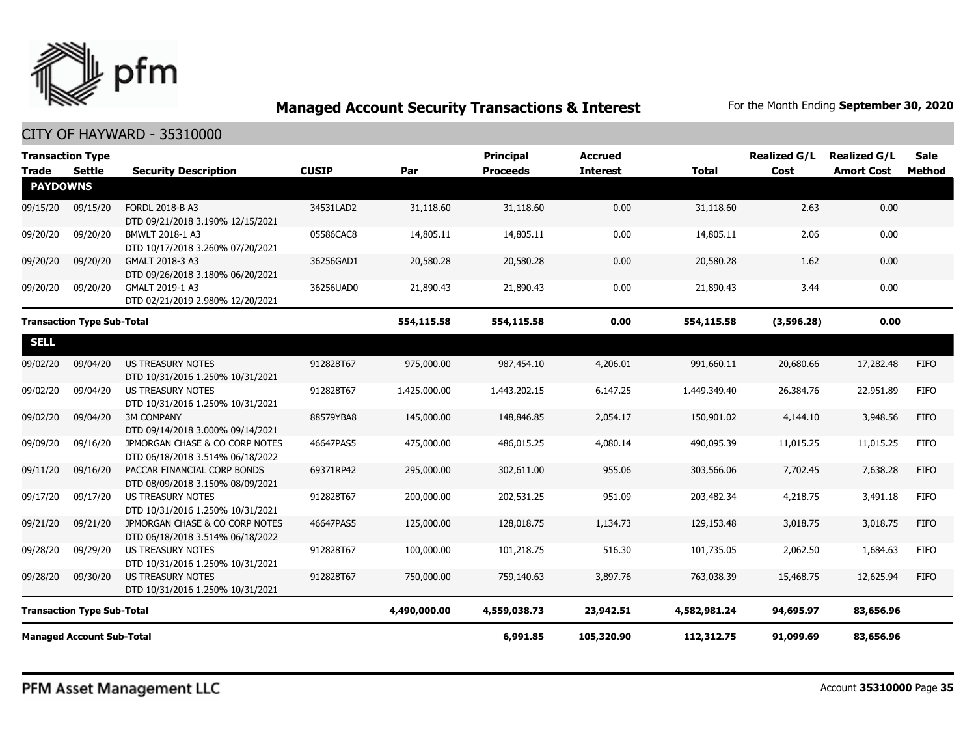

| <b>Transaction Type</b>                           |               |                                                                    |              |              | <b>Principal</b> | <b>Accrued</b>  |              | <b>Realized G/L</b> | <b>Realized G/L</b> | <b>Sale</b>   |
|---------------------------------------------------|---------------|--------------------------------------------------------------------|--------------|--------------|------------------|-----------------|--------------|---------------------|---------------------|---------------|
| <b>Trade</b><br><b>PAYDOWNS</b>                   | <b>Settle</b> | <b>Security Description</b>                                        | <b>CUSIP</b> | Par          | <b>Proceeds</b>  | <b>Interest</b> | <b>Total</b> | Cost                | <b>Amort Cost</b>   | <b>Method</b> |
| 09/15/20                                          | 09/15/20      | FORDL 2018-B A3<br>DTD 09/21/2018 3.190% 12/15/2021                | 34531LAD2    | 31,118.60    | 31,118.60        | 0.00            | 31,118.60    | 2.63                | 0.00                |               |
| 09/20/20                                          | 09/20/20      | BMWLT 2018-1 A3<br>DTD 10/17/2018 3.260% 07/20/2021                | 05586CAC8    | 14,805.11    | 14,805.11        | 0.00            | 14,805.11    | 2.06                | 0.00                |               |
| 09/20/20                                          | 09/20/20      | GMALT 2018-3 A3<br>DTD 09/26/2018 3.180% 06/20/2021                | 36256GAD1    | 20,580.28    | 20,580.28        | 0.00            | 20,580.28    | 1.62                | 0.00                |               |
| 09/20/20                                          | 09/20/20      | GMALT 2019-1 A3<br>DTD 02/21/2019 2.980% 12/20/2021                | 36256UAD0    | 21,890.43    | 21,890.43        | 0.00            | 21,890.43    | 3.44                | 0.00                |               |
| <b>Transaction Type Sub-Total</b>                 |               |                                                                    |              | 554,115.58   | 554,115.58       | 0.00            | 554,115.58   | (3,596.28)          | 0.00                |               |
| <b>SELL</b>                                       |               |                                                                    |              |              |                  |                 |              |                     |                     |               |
| 09/02/20                                          | 09/04/20      | <b>US TREASURY NOTES</b><br>DTD 10/31/2016 1.250% 10/31/2021       | 912828T67    | 975,000.00   | 987,454.10       | 4,206.01        | 991,660.11   | 20,680.66           | 17,282.48           | <b>FIFO</b>   |
| 09/02/20                                          | 09/04/20      | <b>US TREASURY NOTES</b><br>DTD 10/31/2016 1.250% 10/31/2021       | 912828T67    | 1,425,000.00 | 1,443,202.15     | 6,147.25        | 1,449,349,40 | 26,384.76           | 22,951.89           | <b>FIFO</b>   |
| 09/02/20                                          | 09/04/20      | <b>3M COMPANY</b><br>DTD 09/14/2018 3.000% 09/14/2021              | 88579YBA8    | 145,000.00   | 148,846.85       | 2,054.17        | 150,901.02   | 4,144.10            | 3,948.56            | <b>FIFO</b>   |
| 09/09/20                                          | 09/16/20      | JPMORGAN CHASE & CO CORP NOTES<br>DTD 06/18/2018 3.514% 06/18/2022 | 46647PAS5    | 475,000.00   | 486,015.25       | 4,080.14        | 490,095.39   | 11,015.25           | 11,015.25           | <b>FIFO</b>   |
| 09/11/20                                          | 09/16/20      | PACCAR FINANCIAL CORP BONDS<br>DTD 08/09/2018 3.150% 08/09/2021    | 69371RP42    | 295,000.00   | 302,611.00       | 955.06          | 303,566.06   | 7,702.45            | 7,638.28            | <b>FIFO</b>   |
| 09/17/20                                          | 09/17/20      | <b>US TREASURY NOTES</b><br>DTD 10/31/2016 1.250% 10/31/2021       | 912828T67    | 200,000.00   | 202,531.25       | 951.09          | 203,482.34   | 4,218.75            | 3,491.18            | <b>FIFO</b>   |
| 09/21/20                                          | 09/21/20      | JPMORGAN CHASE & CO CORP NOTES<br>DTD 06/18/2018 3.514% 06/18/2022 | 46647PAS5    | 125,000.00   | 128,018.75       | 1,134.73        | 129,153.48   | 3,018.75            | 3,018.75            | <b>FIFO</b>   |
| 09/28/20                                          | 09/29/20      | <b>US TREASURY NOTES</b><br>DTD 10/31/2016 1.250% 10/31/2021       | 912828T67    | 100,000.00   | 101,218.75       | 516.30          | 101,735.05   | 2,062.50            | 1,684.63            | <b>FIFO</b>   |
| 09/28/20                                          | 09/30/20      | <b>US TREASURY NOTES</b><br>DTD 10/31/2016 1.250% 10/31/2021       | 912828T67    | 750,000.00   | 759,140.63       | 3,897.76        | 763,038.39   | 15,468.75           | 12,625.94           | <b>FIFO</b>   |
| 4,490,000.00<br><b>Transaction Type Sub-Total</b> |               |                                                                    |              |              | 4,559,038.73     | 23,942.51       | 4,582,981.24 | 94,695.97           | 83,656.96           |               |
| <b>Managed Account Sub-Total</b>                  |               |                                                                    |              |              | 6,991.85         | 105,320.90      | 112,312.75   | 91,099.69           | 83,656.96           |               |